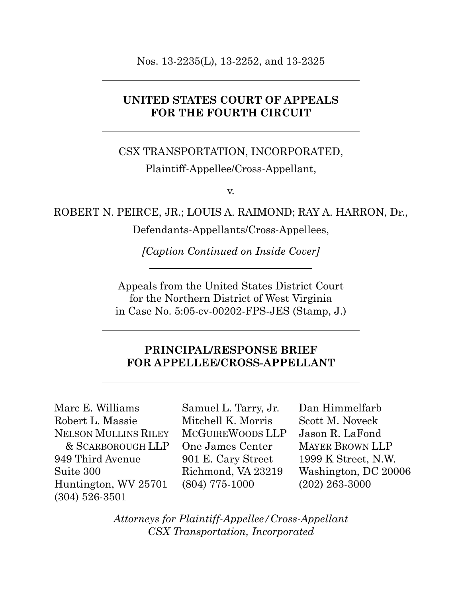Nos. 13-2235(L), 13-2252, and 13-2325

### **UNITED STATES COURT OF APPEALS FOR THE FOURTH CIRCUIT**

CSX TRANSPORTATION, INCORPORATED,

Plaintiff-Appellee/Cross-Appellant,

v.

ROBERT N. PEIRCE, JR.; LOUIS A. RAIMOND; RAY A. HARRON, Dr.,

Defendants-Appellants/Cross-Appellees,

*[Caption Continued on Inside Cover]*

Appeals from the United States District Court for the Northern District of West Virginia in Case No. 5:05-cv-00202-FPS-JES (Stamp, J.)

### **PRINCIPAL/RESPONSE BRIEF FOR APPELLEE/CROSS-APPELLANT**

Marc E. Williams Robert L. Massie NELSON MULLINS RILEY & SCARBOROUGH LLP 949 Third Avenue Suite 300 Huntington, WV 25701 (304) 526-3501

Samuel L. Tarry, Jr. Mitchell K. Morris MCGUIREWOODS LLP One James Center 901 E. Cary Street Richmond, VA 23219 (804) 775-1000

Dan Himmelfarb Scott M. Noveck Jason R. LaFond MAYER BROWN LLP 1999 K Street, N.W. Washington, DC 20006 (202) 263-3000

*Attorneys for Plaintiff-Appellee/Cross-Appellant CSX Transportation, Incorporated*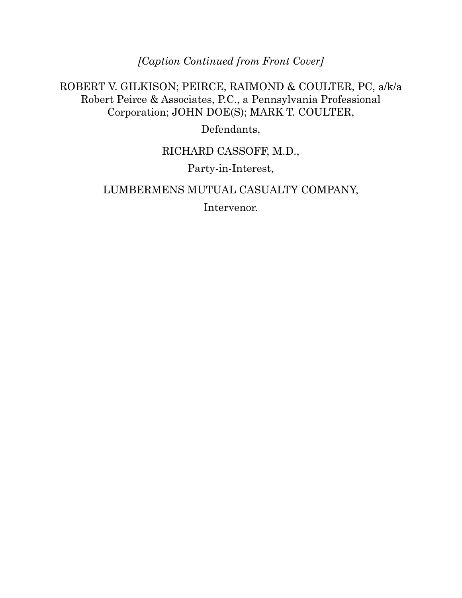*[Caption Continued from Front Cover]*

ROBERT V. GILKISON; PEIRCE, RAIMOND & COULTER, PC, a/k/a Robert Peirce & Associates, P.C., a Pennsylvania Professional Corporation; JOHN DOE(S); MARK T. COULTER,

Defendants,

RICHARD CASSOFF, M.D.,

Party-in-Interest,

LUMBERMENS MUTUAL CASUALTY COMPANY,

Intervenor.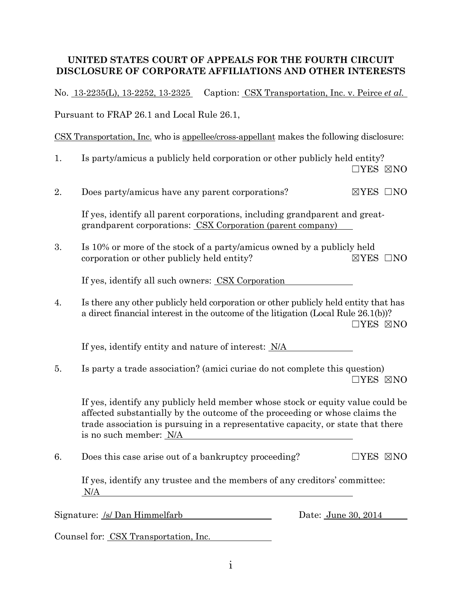### **UNITED STATES COURT OF APPEALS FOR THE FOURTH CIRCUIT DISCLOSURE OF CORPORATE AFFILIATIONS AND OTHER INTERESTS**

No. 13-2235(L), 13-2252, 13-2325 Caption: CSX Transportation, Inc. v. Peirce *et al.*

Pursuant to FRAP 26.1 and Local Rule 26.1,

CSX Transportation, Inc. who is appellee/cross-appellant makes the following disclosure:

- 1. Is party/amicus a publicly held corporation or other publicly held entity?  $\Box$ YES  $\boxtimes$ NO
- 2. Does party/amicus have any parent corporations?  $\Box$   $\Sigma$ YES  $\Box$  NO

If yes, identify all parent corporations, including grandparent and greatgrandparent corporations: CSX Corporation (parent company)

3. Is 10% or more of the stock of a party/amicus owned by a publicly held corporation or other publicly held entity? ☒YES ☐NO

If yes, identify all such owners: CSX Corporation

4. Is there any other publicly held corporation or other publicly held entity that has a direct financial interest in the outcome of the litigation (Local Rule 26.1(b))? ☐YES ☒NO

If yes, identify entity and nature of interest: N/A

5. Is party a trade association? (amici curiae do not complete this question) ☐YES ☒NO

If yes, identify any publicly held member whose stock or equity value could be affected substantially by the outcome of the proceeding or whose claims the trade association is pursuing in a representative capacity, or state that there is no such member: N/A

6. Does this case arise out of a bankruptcy proceeding?  $\Box$  YES  $\boxtimes$  NO

If yes, identify any trustee and the members of any creditors' committee: N/A

Signature: /s/ Dan Himmelfarb Date: June 30, 2014

Counsel for: CSX Transportation, Inc.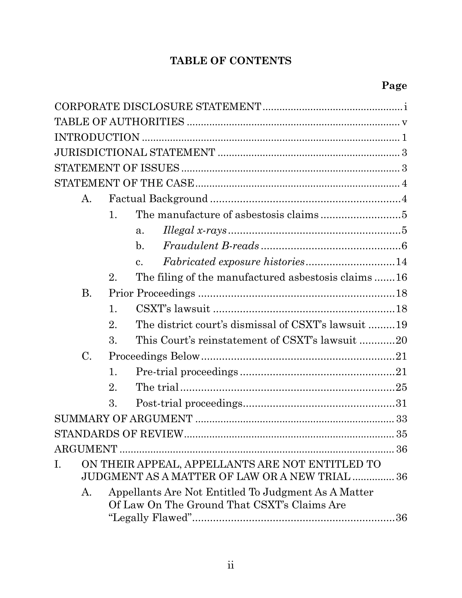# **TABLE OF CONTENTS**

|    | А.        |                |                                                                                                                                 |    |
|----|-----------|----------------|---------------------------------------------------------------------------------------------------------------------------------|----|
|    |           | $\mathbf{1}$ . |                                                                                                                                 |    |
|    |           |                | a.                                                                                                                              |    |
|    |           |                | $\label{1.1} \pmb{F} r \pmb{a} u \pmb{d} u \pmb{l} e n t \; \pmb{B}\mbox{-} \pmb{r} e a d s \,  \nonumber \\$<br>$\mathbf{b}$ . |    |
|    |           |                | Fabricated exposure histories14<br>$\mathbf{c}$ .                                                                               |    |
|    |           | 2.             | The filing of the manufactured asbestosis claims16                                                                              |    |
|    | <b>B.</b> |                |                                                                                                                                 |    |
|    |           | 1.             |                                                                                                                                 |    |
|    |           | 2.             | The district court's dismissal of CSXT's lawsuit 19                                                                             |    |
|    |           | 3.             | This Court's reinstatement of CSXT's lawsuit 20                                                                                 |    |
|    | C.        |                |                                                                                                                                 |    |
|    |           | 1.             |                                                                                                                                 |    |
|    |           | 2.             |                                                                                                                                 |    |
|    |           | 3.             |                                                                                                                                 |    |
|    |           |                |                                                                                                                                 |    |
|    |           |                |                                                                                                                                 |    |
|    |           |                |                                                                                                                                 | 36 |
| Ι. |           |                | ON THEIR APPEAL, APPELLANTS ARE NOT ENTITLED TO                                                                                 |    |
|    |           |                | JUDGMENT AS A MATTER OF LAW OR A NEW TRIAL  36                                                                                  |    |
|    | A.        |                | Appellants Are Not Entitled To Judgment As A Matter                                                                             |    |
|    |           |                | Of Law On The Ground That CSXT's Claims Are                                                                                     |    |
|    |           |                |                                                                                                                                 |    |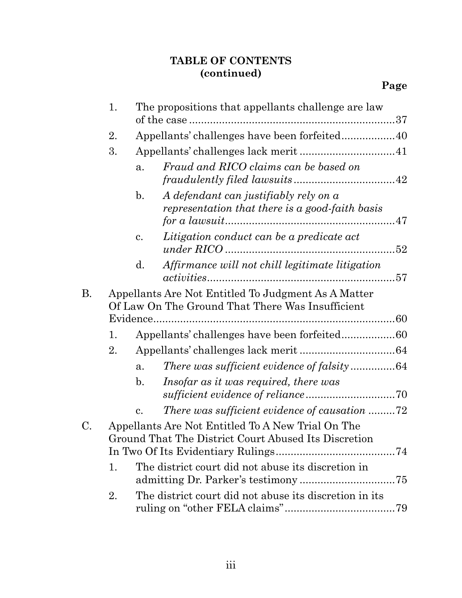# **TABLE OF CONTENTS (continued)**

|    | 1. | The propositions that appellants challenge are law                                                         |
|----|----|------------------------------------------------------------------------------------------------------------|
|    | 2. |                                                                                                            |
|    | 3. |                                                                                                            |
|    |    | Fraud and RICO claims can be based on<br>a.                                                                |
|    |    | A defendant can justifiably rely on a<br>$\mathbf{b}$ .<br>representation that there is a good-faith basis |
|    |    | Litigation conduct can be a predicate act<br>c.                                                            |
|    |    | Affirmance will not chill legitimate litigation<br>d.                                                      |
| В. |    | Appellants Are Not Entitled To Judgment As A Matter<br>Of Law On The Ground That There Was Insufficient    |
|    |    |                                                                                                            |
|    | 1. |                                                                                                            |
|    | 2. |                                                                                                            |
|    |    | There was sufficient evidence of falsity64<br>a.                                                           |
|    |    | $\mathbf{b}$ .<br>Insofar as it was required, there was                                                    |
|    |    | There was sufficient evidence of causation 72<br>c.                                                        |
| C. |    | Appellants Are Not Entitled To A New Trial On The<br>Ground That The District Court Abused Its Discretion  |
|    | 1. | The district court did not abuse its discretion in                                                         |
|    | 2. | The district court did not abuse its discretion in its                                                     |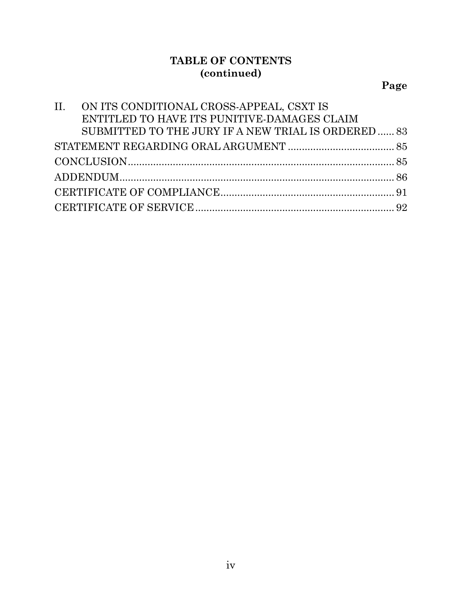# **TABLE OF CONTENTS (continued)**

# **Page**

| II. ON ITS CONDITIONAL CROSS-APPEAL, CSXT IS        |  |
|-----------------------------------------------------|--|
| ENTITLED TO HAVE ITS PUNITIVE-DAMAGES CLAIM         |  |
| SUBMITTED TO THE JURY IF A NEW TRIAL IS ORDERED  83 |  |
|                                                     |  |
|                                                     |  |
|                                                     |  |
|                                                     |  |
|                                                     |  |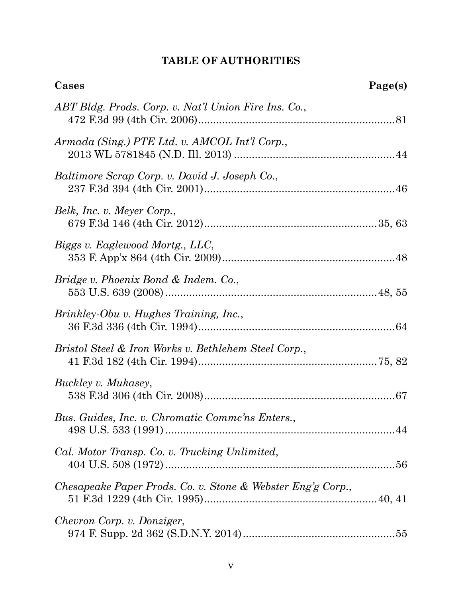# **TABLE OF AUTHORITIES**

| Cases                                                       | Page(s) |
|-------------------------------------------------------------|---------|
| ABT Bldg. Prods. Corp. v. Nat'l Union Fire Ins. Co.,        |         |
| Armada (Sing.) PTE Ltd. v. AMCOL Int'l Corp.,               |         |
| Baltimore Scrap Corp. v. David J. Joseph Co.,               |         |
| Belk, Inc. v. Meyer Corp.,                                  |         |
| Biggs v. Eaglewood Mortg., LLC,                             |         |
| Bridge v. Phoenix Bond & Indem. Co.,                        |         |
| Brinkley-Obu v. Hughes Training, Inc.,                      |         |
| Bristol Steel & Iron Works v. Bethlehem Steel Corp.,        |         |
| Buckley v. Mukasey,                                         |         |
| Bus. Guides, Inc. v. Chromatic Comme'ns Enters.,            |         |
| Cal. Motor Transp. Co. v. Trucking Unlimited,               |         |
| Chesapeake Paper Prods. Co. v. Stone & Webster Eng'g Corp., |         |
| Chevron Corp. v. Donziger,                                  |         |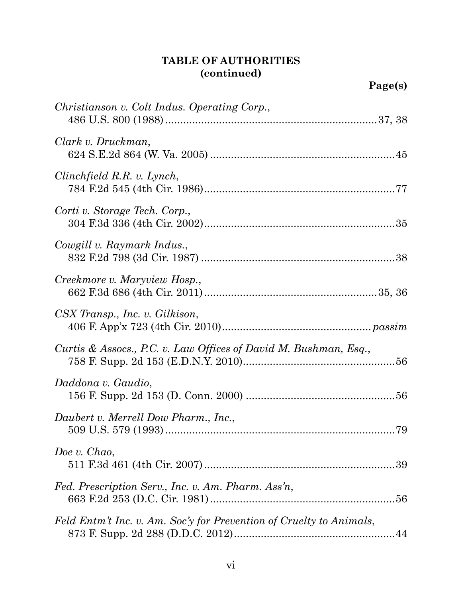| Christianson v. Colt Indus. Operating Corp.,                        |  |
|---------------------------------------------------------------------|--|
| Clark v. Druckman,                                                  |  |
| Clinchfield R.R. v. Lynch,                                          |  |
| Corti v. Storage Tech. Corp.,                                       |  |
| Cowgill v. Raymark Indus.,                                          |  |
| Creekmore v. Maryview Hosp.,                                        |  |
| CSX Transp., Inc. v. Gilkison,                                      |  |
| Curtis & Assocs., P.C. v. Law Offices of David M. Bushman, Esq.,    |  |
| Daddona v. Gaudio,                                                  |  |
| Daubert v. Merrell Dow Pharm., Inc.,                                |  |
| Doe v. Chao,                                                        |  |
| Fed. Prescription Serv., Inc. v. Am. Pharm. Ass'n,                  |  |
| Feld Entm't Inc. v. Am. Soc'y for Prevention of Cruelty to Animals, |  |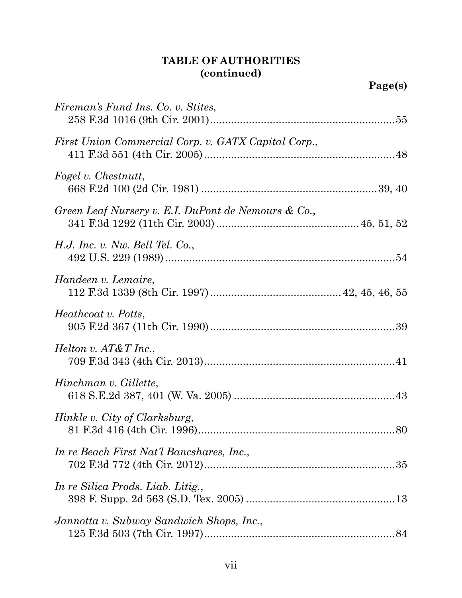| Fireman's Fund Ins. Co. v. Stites,                  |    |
|-----------------------------------------------------|----|
| First Union Commercial Corp. v. GATX Capital Corp., |    |
| Fogel v. Chestnutt,                                 |    |
| Green Leaf Nursery v. E.I. DuPont de Nemours & Co., |    |
| H.J. Inc. v. Nw. Bell Tel. Co.,                     |    |
| Handeen v. Lemaire,                                 |    |
| <i>Heathcoat v. Potts,</i>                          |    |
| Helton v. $AT\&T$ Inc.,                             |    |
| Hinchman v. Gillette,                               |    |
| Hinkle v. City of Clarksburg,                       |    |
| In re Beach First Nat'l Bancshares, Inc.,           |    |
| In re Silica Prods. Liab. Litig.,                   |    |
| Jannotta v. Subway Sandwich Shops, Inc.,            | 84 |
|                                                     |    |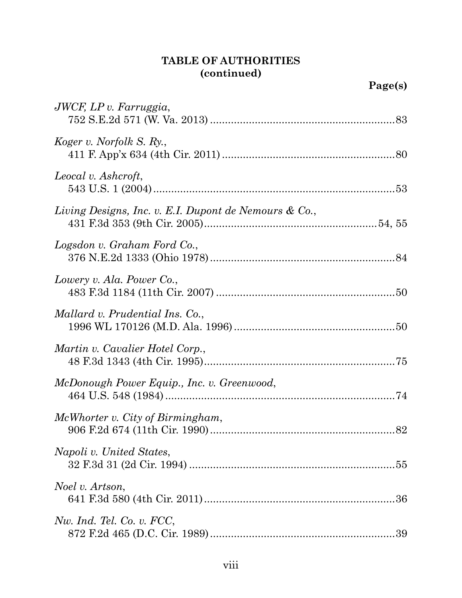| $JWCF, LP$ v. Farruggia,                              |  |
|-------------------------------------------------------|--|
| Koger v. Norfolk S. Ry.,                              |  |
| Leocal v. Ashcroft,                                   |  |
| Living Designs, Inc. v. E.I. Dupont de Nemours & Co., |  |
| Logsdon v. Graham Ford Co.,                           |  |
| Lowery v. Ala. Power Co.,                             |  |
| Mallard v. Prudential Ins. Co.,                       |  |
| Martin v. Cavalier Hotel Corp.,                       |  |
| McDonough Power Equip., Inc. v. Greenwood,            |  |
| McWhorter v. City of Birmingham,                      |  |
| Napoli v. United States,                              |  |
| Noel v. Artson,                                       |  |
| Nw. Ind. Tel. Co. v. FCC,                             |  |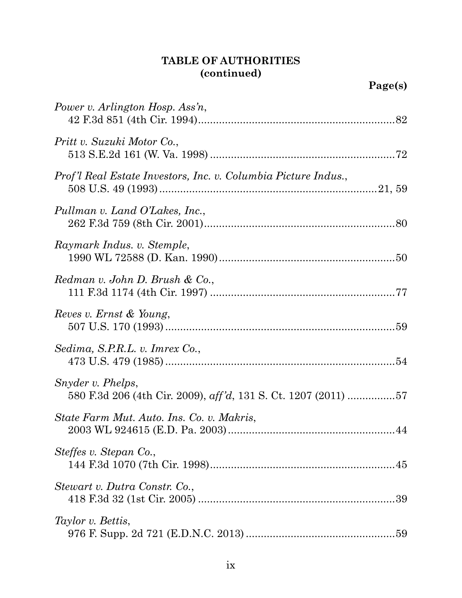| Power v. Arlington Hosp. Ass'n,                                                            |
|--------------------------------------------------------------------------------------------|
| Pritt v. Suzuki Motor Co.,                                                                 |
| Prof'l Real Estate Investors, Inc. v. Columbia Picture Indus.,                             |
| Pullman v. Land O'Lakes, Inc.,                                                             |
| Raymark Indus. v. Stemple,                                                                 |
| Redman v. John D. Brush & Co.,                                                             |
| Reves v. Ernst & Young,                                                                    |
| Sedima, S.P.R.L. v. Imrex Co.,                                                             |
| <i>Snyder v. Phelps,</i><br>580 F.3d 206 (4th Cir. 2009), aff'd, 131 S. Ct. 1207 (2011) 57 |
| State Farm Mut. Auto. Ins. Co. v. Makris,                                                  |
| Steffes v. Stepan Co.,                                                                     |
| Stewart v. Dutra Constr. Co.,                                                              |
| <i>Taylor v. Bettis,</i>                                                                   |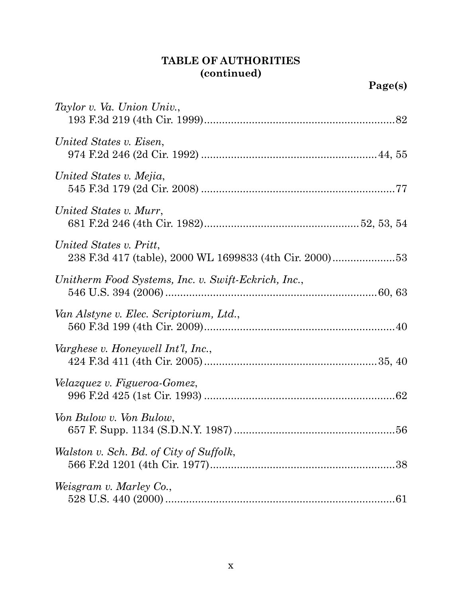| Taylor v. Va. Union Univ.,                          |
|-----------------------------------------------------|
| United States v. Eisen,                             |
| United States v. Mejia,                             |
| United States v. Murr,                              |
| United States v. Pritt,                             |
| Unitherm Food Systems, Inc. v. Swift-Eckrich, Inc., |
| Van Alstyne v. Elec. Scriptorium, Ltd.,             |
| Varghese v. Honeywell Int'l, Inc.,                  |
| <i>Velazquez v. Figueroa-Gomez,</i>                 |
| Von Bulow v. Von Bulow,                             |
| Walston v. Sch. Bd. of City of Suffolk,             |
| Weisgram v. Marley Co.,                             |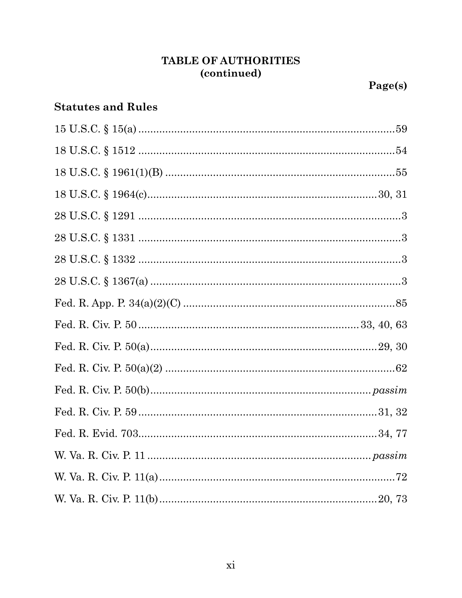# **Statutes and Rules**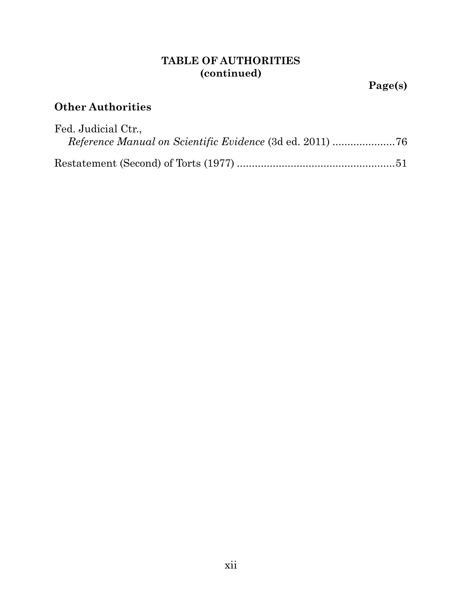**Page(s)**

# **Other Authorities**

| Fed. Judicial Ctr., |
|---------------------|
|                     |
|                     |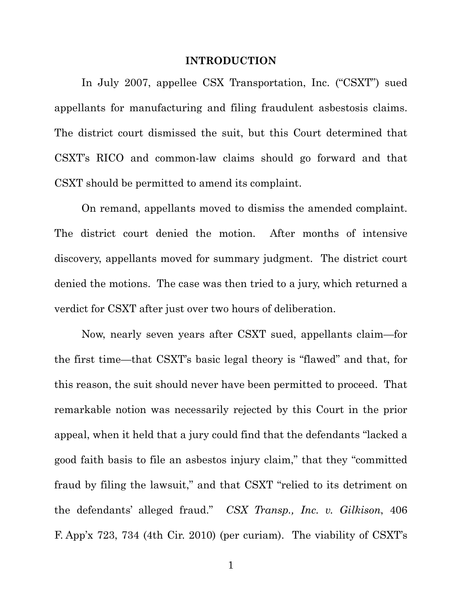#### **INTRODUCTION**

In July 2007, appellee CSX Transportation, Inc. ("CSXT") sued appellants for manufacturing and filing fraudulent asbestosis claims. The district court dismissed the suit, but this Court determined that CSXT's RICO and common-law claims should go forward and that CSXT should be permitted to amend its complaint.

On remand, appellants moved to dismiss the amended complaint. The district court denied the motion. After months of intensive discovery, appellants moved for summary judgment. The district court denied the motions. The case was then tried to a jury, which returned a verdict for CSXT after just over two hours of deliberation.

Now, nearly seven years after CSXT sued, appellants claim—for the first time—that CSXT's basic legal theory is "flawed" and that, for this reason, the suit should never have been permitted to proceed. That remarkable notion was necessarily rejected by this Court in the prior appeal, when it held that a jury could find that the defendants "lacked a good faith basis to file an asbestos injury claim," that they "committed fraud by filing the lawsuit," and that CSXT "relied to its detriment on the defendants' alleged fraud." *CSX Transp., Inc. v. Gilkison*, 406 F. App'x 723, 734 (4th Cir. 2010) (per curiam). The viability of CSXT's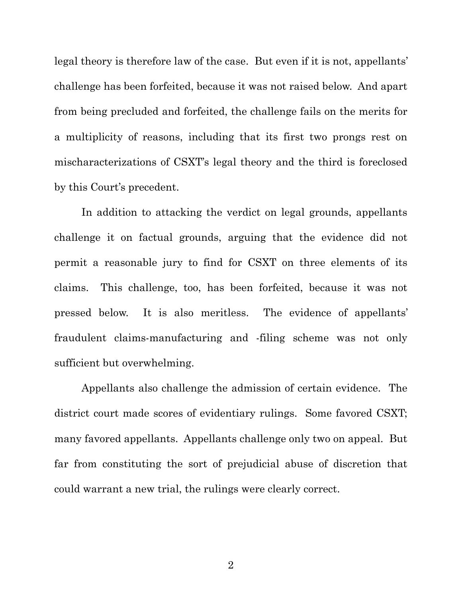legal theory is therefore law of the case. But even if it is not, appellants' challenge has been forfeited, because it was not raised below. And apart from being precluded and forfeited, the challenge fails on the merits for a multiplicity of reasons, including that its first two prongs rest on mischaracterizations of CSXT's legal theory and the third is foreclosed by this Court's precedent.

In addition to attacking the verdict on legal grounds, appellants challenge it on factual grounds, arguing that the evidence did not permit a reasonable jury to find for CSXT on three elements of its claims. This challenge, too, has been forfeited, because it was not pressed below. It is also meritless. The evidence of appellants' fraudulent claims-manufacturing and -filing scheme was not only sufficient but overwhelming.

Appellants also challenge the admission of certain evidence. The district court made scores of evidentiary rulings. Some favored CSXT; many favored appellants. Appellants challenge only two on appeal. But far from constituting the sort of prejudicial abuse of discretion that could warrant a new trial, the rulings were clearly correct.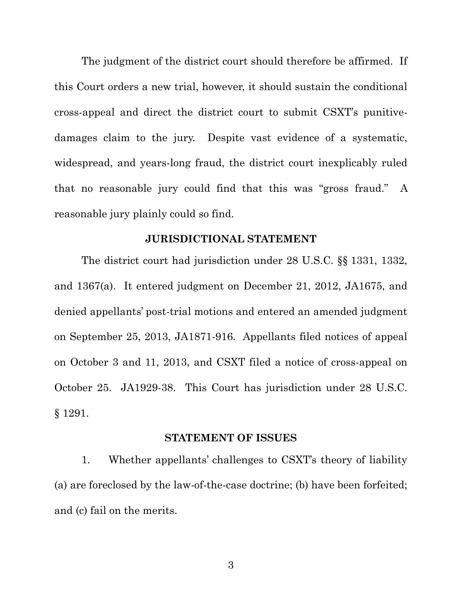The judgment of the district court should therefore be affirmed. If this Court orders a new trial, however, it should sustain the conditional cross-appeal and direct the district court to submit CSXT's punitivedamages claim to the jury. Despite vast evidence of a systematic, widespread, and years-long fraud, the district court inexplicably ruled that no reasonable jury could find that this was "gross fraud." A reasonable jury plainly could so find.

#### **JURISDICTIONAL STATEMENT**

The district court had jurisdiction under 28 U.S.C. §§ 1331, 1332, and 1367(a). It entered judgment on December 21, 2012, JA1675, and denied appellants' post-trial motions and entered an amended judgment on September 25, 2013, JA1871-916. Appellants filed notices of appeal on October 3 and 11, 2013, and CSXT filed a notice of cross-appeal on October 25. JA1929-38. This Court has jurisdiction under 28 U.S.C. § 1291.

#### **STATEMENT OF ISSUES**

1. Whether appellants' challenges to CSXT's theory of liability (a) are foreclosed by the law-of-the-case doctrine; (b) have been forfeited; and (c) fail on the merits.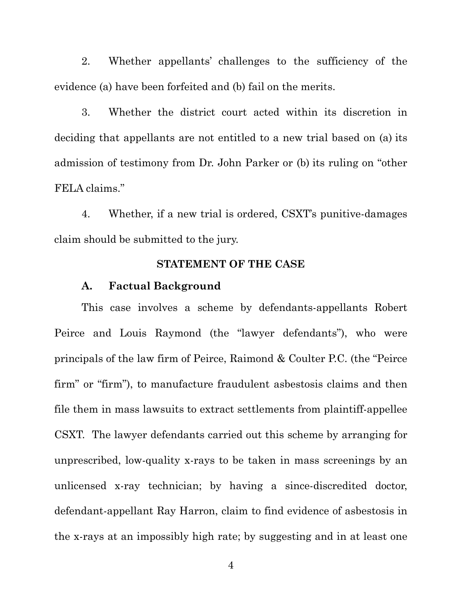2. Whether appellants' challenges to the sufficiency of the evidence (a) have been forfeited and (b) fail on the merits.

3. Whether the district court acted within its discretion in deciding that appellants are not entitled to a new trial based on (a) its admission of testimony from Dr. John Parker or (b) its ruling on "other FELA claims."

4. Whether, if a new trial is ordered, CSXT's punitive-damages claim should be submitted to the jury.

#### **STATEMENT OF THE CASE**

#### **A. Factual Background**

This case involves a scheme by defendants-appellants Robert Peirce and Louis Raymond (the "lawyer defendants"), who were principals of the law firm of Peirce, Raimond & Coulter P.C. (the "Peirce firm" or "firm"), to manufacture fraudulent asbestosis claims and then file them in mass lawsuits to extract settlements from plaintiff-appellee CSXT. The lawyer defendants carried out this scheme by arranging for unprescribed, low-quality x-rays to be taken in mass screenings by an unlicensed x-ray technician; by having a since-discredited doctor, defendant-appellant Ray Harron, claim to find evidence of asbestosis in the x-rays at an impossibly high rate; by suggesting and in at least one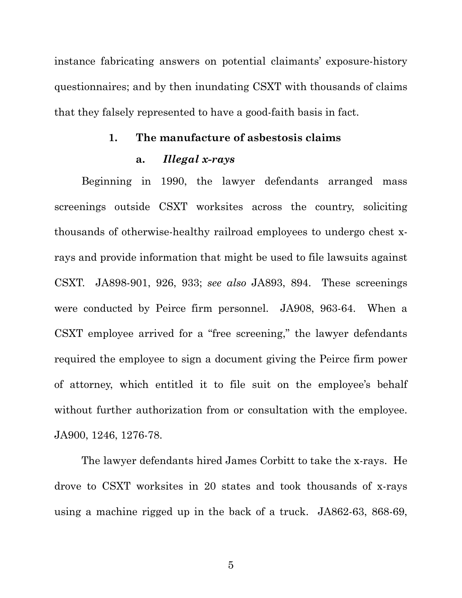instance fabricating answers on potential claimants' exposure-history questionnaires; and by then inundating CSXT with thousands of claims that they falsely represented to have a good-faith basis in fact.

### **1. The manufacture of asbestosis claims**

### **a.** *Illegal x-rays*

Beginning in 1990, the lawyer defendants arranged mass screenings outside CSXT worksites across the country, soliciting thousands of otherwise-healthy railroad employees to undergo chest xrays and provide information that might be used to file lawsuits against CSXT. JA898-901, 926, 933; *see also* JA893, 894. These screenings were conducted by Peirce firm personnel. JA908, 963-64. When a CSXT employee arrived for a "free screening," the lawyer defendants required the employee to sign a document giving the Peirce firm power of attorney, which entitled it to file suit on the employee's behalf without further authorization from or consultation with the employee. JA900, 1246, 1276-78.

The lawyer defendants hired James Corbitt to take the x-rays. He drove to CSXT worksites in 20 states and took thousands of x-rays using a machine rigged up in the back of a truck. JA862-63, 868-69,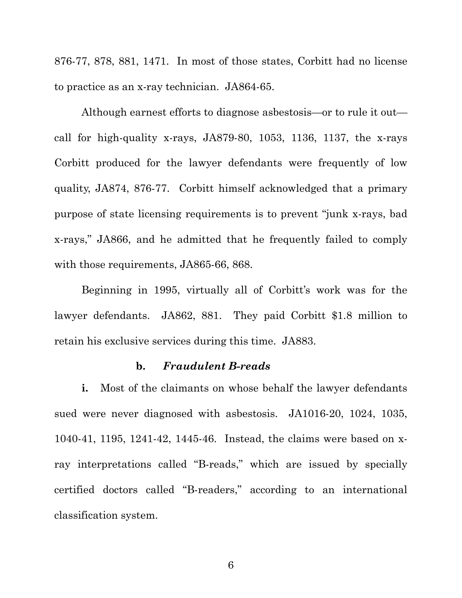876-77, 878, 881, 1471. In most of those states, Corbitt had no license to practice as an x-ray technician. JA864-65.

Although earnest efforts to diagnose asbestosis—or to rule it out call for high-quality x-rays, JA879-80, 1053, 1136, 1137, the x-rays Corbitt produced for the lawyer defendants were frequently of low quality, JA874, 876-77. Corbitt himself acknowledged that a primary purpose of state licensing requirements is to prevent "junk x-rays, bad x-rays," JA866, and he admitted that he frequently failed to comply with those requirements, JA865-66, 868.

Beginning in 1995, virtually all of Corbitt's work was for the lawyer defendants. JA862, 881. They paid Corbitt \$1.8 million to retain his exclusive services during this time. JA883.

### **b.** *Fraudulent B-reads*

**i.** Most of the claimants on whose behalf the lawyer defendants sued were never diagnosed with asbestosis. JA1016-20, 1024, 1035, 1040-41, 1195, 1241-42, 1445-46. Instead, the claims were based on xray interpretations called "B-reads," which are issued by specially certified doctors called "B-readers," according to an international classification system.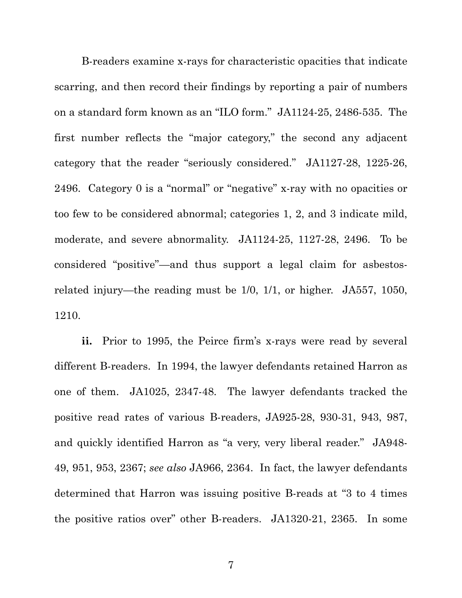B-readers examine x-rays for characteristic opacities that indicate scarring, and then record their findings by reporting a pair of numbers on a standard form known as an "ILO form." JA1124-25, 2486-535. The first number reflects the "major category," the second any adjacent category that the reader "seriously considered." JA1127-28, 1225-26, 2496. Category 0 is a "normal" or "negative" x-ray with no opacities or too few to be considered abnormal; categories 1, 2, and 3 indicate mild, moderate, and severe abnormality. JA1124-25, 1127-28, 2496. To be considered "positive"—and thus support a legal claim for asbestosrelated injury—the reading must be 1/0, 1/1, or higher. JA557, 1050, 1210.

**ii.** Prior to 1995, the Peirce firm's x-rays were read by several different B-readers. In 1994, the lawyer defendants retained Harron as one of them. JA1025, 2347-48. The lawyer defendants tracked the positive read rates of various B-readers, JA925-28, 930-31, 943, 987, and quickly identified Harron as "a very, very liberal reader." JA948- 49, 951, 953, 2367; *see also* JA966, 2364. In fact, the lawyer defendants determined that Harron was issuing positive B-reads at "3 to 4 times the positive ratios over" other B-readers. JA1320-21, 2365. In some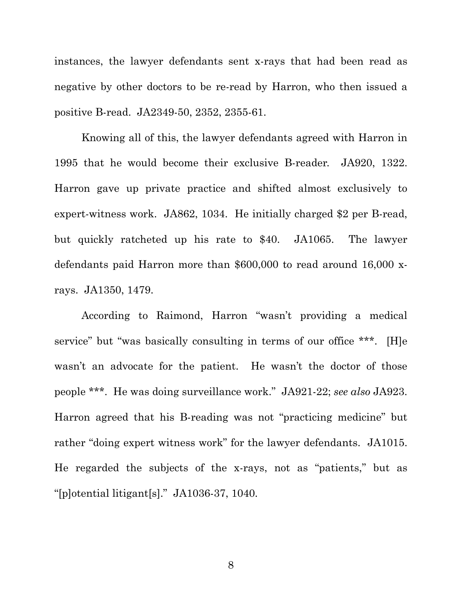instances, the lawyer defendants sent x-rays that had been read as negative by other doctors to be re-read by Harron, who then issued a positive B-read. JA2349-50, 2352, 2355-61.

Knowing all of this, the lawyer defendants agreed with Harron in 1995 that he would become their exclusive B-reader. JA920, 1322. Harron gave up private practice and shifted almost exclusively to expert-witness work. JA862, 1034. He initially charged \$2 per B-read, but quickly ratcheted up his rate to \$40. JA1065. The lawyer defendants paid Harron more than \$600,000 to read around 16,000 xrays. JA1350, 1479.

According to Raimond, Harron "wasn't providing a medical service" but "was basically consulting in terms of our office \*\*\*. [H]e wasn't an advocate for the patient. He wasn't the doctor of those people \*\*\*. He was doing surveillance work." JA921-22; *see also* JA923. Harron agreed that his B-reading was not "practicing medicine" but rather "doing expert witness work" for the lawyer defendants. JA1015. He regarded the subjects of the x-rays, not as "patients," but as "[p]otential litigant[s]." JA1036-37, 1040.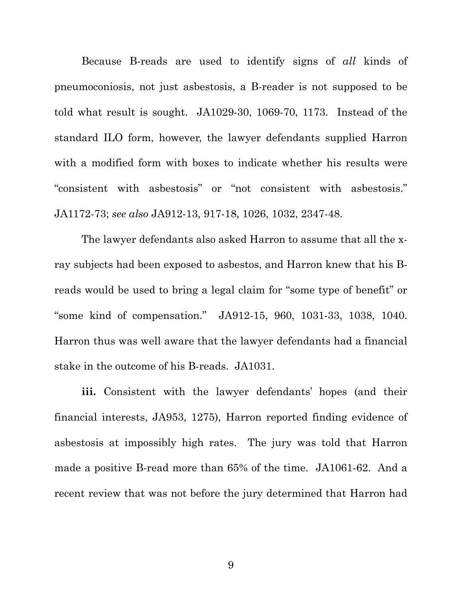Because B-reads are used to identify signs of *all* kinds of pneumoconiosis, not just asbestosis, a B-reader is not supposed to be told what result is sought. JA1029-30, 1069-70, 1173. Instead of the standard ILO form, however, the lawyer defendants supplied Harron with a modified form with boxes to indicate whether his results were "consistent with asbestosis" or "not consistent with asbestosis." JA1172-73; *see also* JA912-13, 917-18, 1026, 1032, 2347-48.

The lawyer defendants also asked Harron to assume that all the xray subjects had been exposed to asbestos, and Harron knew that his Breads would be used to bring a legal claim for "some type of benefit" or "some kind of compensation." JA912-15, 960, 1031-33, 1038, 1040. Harron thus was well aware that the lawyer defendants had a financial stake in the outcome of his B-reads. JA1031.

**iii.** Consistent with the lawyer defendants' hopes (and their financial interests, JA953, 1275), Harron reported finding evidence of asbestosis at impossibly high rates. The jury was told that Harron made a positive B-read more than 65% of the time. JA1061-62. And a recent review that was not before the jury determined that Harron had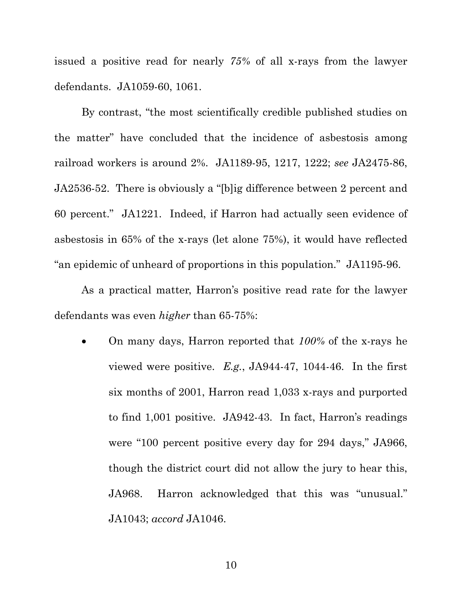issued a positive read for nearly *75%* of all x-rays from the lawyer defendants. JA1059-60, 1061.

By contrast, "the most scientifically credible published studies on the matter" have concluded that the incidence of asbestosis among railroad workers is around 2%. JA1189-95, 1217, 1222; *see* JA2475-86, JA2536-52. There is obviously a "[b]ig difference between 2 percent and 60 percent." JA1221. Indeed, if Harron had actually seen evidence of asbestosis in 65% of the x-rays (let alone 75%), it would have reflected "an epidemic of unheard of proportions in this population." JA1195-96.

As a practical matter, Harron's positive read rate for the lawyer defendants was even *higher* than 65-75%:

 On many days, Harron reported that *100%* of the x-rays he viewed were positive. *E.g.*, JA944-47, 1044-46. In the first six months of 2001, Harron read 1,033 x-rays and purported to find 1,001 positive. JA942-43. In fact, Harron's readings were "100 percent positive every day for 294 days," JA966, though the district court did not allow the jury to hear this, JA968. Harron acknowledged that this was "unusual." JA1043; *accord* JA1046.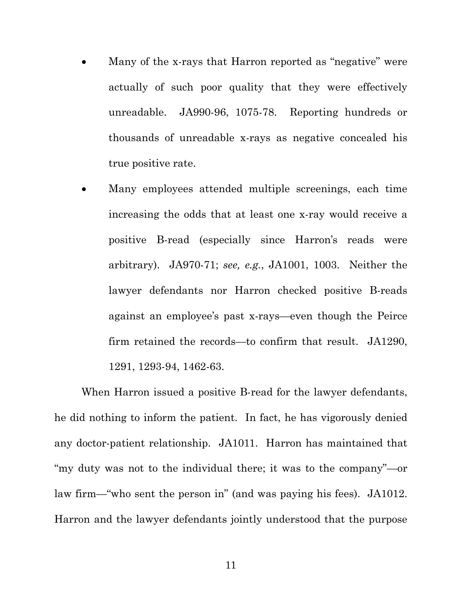- Many of the x-rays that Harron reported as "negative" were actually of such poor quality that they were effectively unreadable. JA990-96, 1075-78. Reporting hundreds or thousands of unreadable x-rays as negative concealed his true positive rate.
- Many employees attended multiple screenings, each time increasing the odds that at least one x-ray would receive a positive B-read (especially since Harron's reads were arbitrary). JA970-71; *see, e.g.*, JA1001, 1003. Neither the lawyer defendants nor Harron checked positive B-reads against an employee's past x-rays—even though the Peirce firm retained the records—to confirm that result. JA1290, 1291, 1293-94, 1462-63.

When Harron issued a positive B-read for the lawyer defendants, he did nothing to inform the patient. In fact, he has vigorously denied any doctor-patient relationship. JA1011. Harron has maintained that "my duty was not to the individual there; it was to the company"—or law firm—"who sent the person in" (and was paying his fees). JA1012. Harron and the lawyer defendants jointly understood that the purpose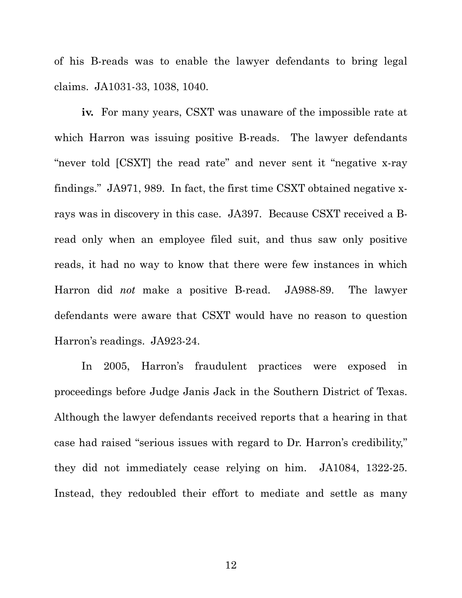of his B-reads was to enable the lawyer defendants to bring legal claims. JA1031-33, 1038, 1040.

**iv.** For many years, CSXT was unaware of the impossible rate at which Harron was issuing positive B-reads. The lawyer defendants "never told [CSXT] the read rate" and never sent it "negative x-ray findings." JA971, 989. In fact, the first time CSXT obtained negative xrays was in discovery in this case. JA397. Because CSXT received a Bread only when an employee filed suit, and thus saw only positive reads, it had no way to know that there were few instances in which Harron did *not* make a positive B-read. JA988-89. The lawyer defendants were aware that CSXT would have no reason to question Harron's readings. JA923-24.

In 2005, Harron's fraudulent practices were exposed in proceedings before Judge Janis Jack in the Southern District of Texas. Although the lawyer defendants received reports that a hearing in that case had raised "serious issues with regard to Dr. Harron's credibility," they did not immediately cease relying on him. JA1084, 1322-25. Instead, they redoubled their effort to mediate and settle as many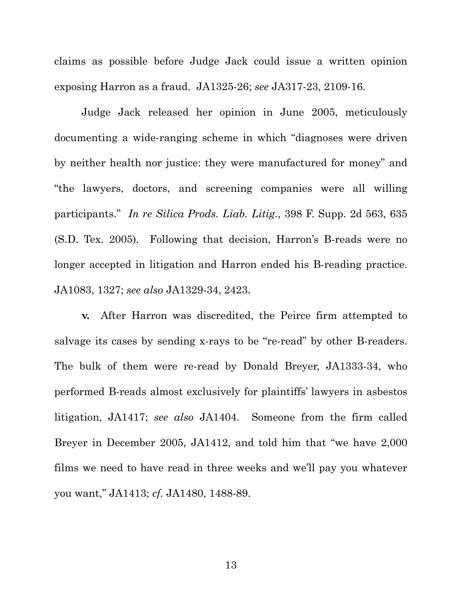claims as possible before Judge Jack could issue a written opinion exposing Harron as a fraud. JA1325-26; *see* JA317-23, 2109-16.

Judge Jack released her opinion in June 2005, meticulously documenting a wide-ranging scheme in which "diagnoses were driven by neither health nor justice: they were manufactured for money" and "the lawyers, doctors, and screening companies were all willing participants." *In re Silica Prods. Liab. Litig.*, 398 F. Supp. 2d 563, 635 (S.D. Tex. 2005). Following that decision, Harron's B-reads were no longer accepted in litigation and Harron ended his B-reading practice. JA1083, 1327; *see also* JA1329-34, 2423.

**v.** After Harron was discredited, the Peirce firm attempted to salvage its cases by sending x-rays to be "re-read" by other B-readers. The bulk of them were re-read by Donald Breyer, JA1333-34, who performed B-reads almost exclusively for plaintiffs' lawyers in asbestos litigation, JA1417; *see also* JA1404. Someone from the firm called Breyer in December 2005, JA1412, and told him that "we have 2,000 films we need to have read in three weeks and we'll pay you whatever you want," JA1413; *cf.* JA1480, 1488-89.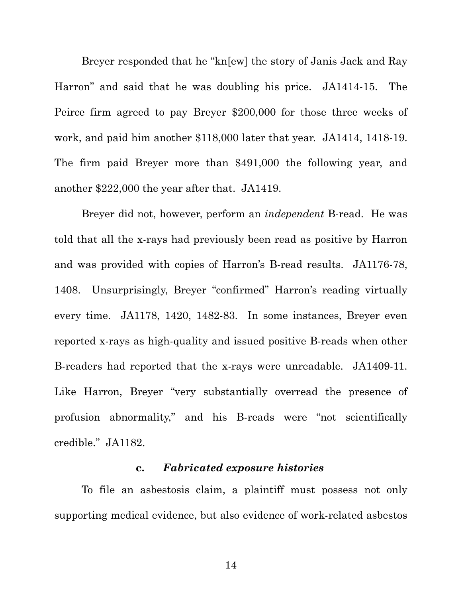Breyer responded that he "kn[ew] the story of Janis Jack and Ray Harron" and said that he was doubling his price. JA1414-15. The Peirce firm agreed to pay Breyer \$200,000 for those three weeks of work, and paid him another \$118,000 later that year. JA1414, 1418-19. The firm paid Breyer more than \$491,000 the following year, and another \$222,000 the year after that. JA1419.

Breyer did not, however, perform an *independent* B-read. He was told that all the x-rays had previously been read as positive by Harron and was provided with copies of Harron's B-read results. JA1176-78, 1408. Unsurprisingly, Breyer "confirmed" Harron's reading virtually every time. JA1178, 1420, 1482-83. In some instances, Breyer even reported x-rays as high-quality and issued positive B-reads when other B-readers had reported that the x-rays were unreadable. JA1409-11. Like Harron, Breyer "very substantially overread the presence of profusion abnormality," and his B-reads were "not scientifically credible." JA1182.

#### **c.** *Fabricated exposure histories*

To file an asbestosis claim, a plaintiff must possess not only supporting medical evidence, but also evidence of work-related asbestos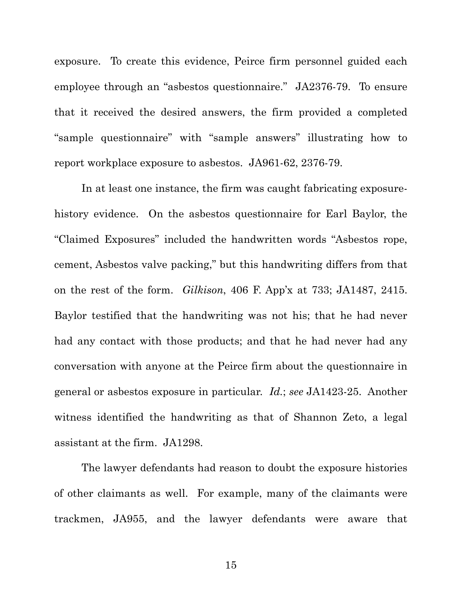exposure. To create this evidence, Peirce firm personnel guided each employee through an "asbestos questionnaire." JA2376-79. To ensure that it received the desired answers, the firm provided a completed "sample questionnaire" with "sample answers" illustrating how to report workplace exposure to asbestos. JA961-62, 2376-79.

In at least one instance, the firm was caught fabricating exposurehistory evidence. On the asbestos questionnaire for Earl Baylor, the "Claimed Exposures" included the handwritten words "Asbestos rope, cement, Asbestos valve packing," but this handwriting differs from that on the rest of the form. *Gilkison*, 406 F. App'x at 733; JA1487, 2415. Baylor testified that the handwriting was not his; that he had never had any contact with those products; and that he had never had any conversation with anyone at the Peirce firm about the questionnaire in general or asbestos exposure in particular. *Id.*; *see* JA1423-25. Another witness identified the handwriting as that of Shannon Zeto, a legal assistant at the firm. JA1298.

The lawyer defendants had reason to doubt the exposure histories of other claimants as well. For example, many of the claimants were trackmen, JA955, and the lawyer defendants were aware that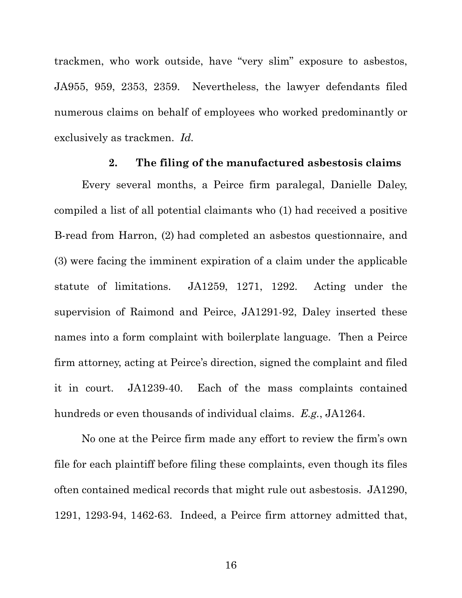trackmen, who work outside, have "very slim" exposure to asbestos, JA955, 959, 2353, 2359. Nevertheless, the lawyer defendants filed numerous claims on behalf of employees who worked predominantly or exclusively as trackmen. *Id.*

### **2. The filing of the manufactured asbestosis claims**

Every several months, a Peirce firm paralegal, Danielle Daley, compiled a list of all potential claimants who (1) had received a positive B-read from Harron, (2) had completed an asbestos questionnaire, and (3) were facing the imminent expiration of a claim under the applicable statute of limitations. JA1259, 1271, 1292. Acting under the supervision of Raimond and Peirce, JA1291-92, Daley inserted these names into a form complaint with boilerplate language. Then a Peirce firm attorney, acting at Peirce's direction, signed the complaint and filed it in court. JA1239-40. Each of the mass complaints contained hundreds or even thousands of individual claims. *E.g.*, JA1264.

No one at the Peirce firm made any effort to review the firm's own file for each plaintiff before filing these complaints, even though its files often contained medical records that might rule out asbestosis. JA1290, 1291, 1293-94, 1462-63. Indeed, a Peirce firm attorney admitted that,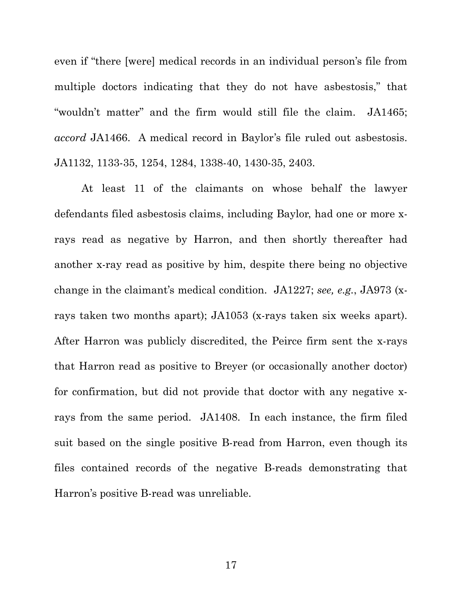even if "there [were] medical records in an individual person's file from multiple doctors indicating that they do not have asbestosis," that "wouldn't matter" and the firm would still file the claim. JA1465; *accord* JA1466. A medical record in Baylor's file ruled out asbestosis. JA1132, 1133-35, 1254, 1284, 1338-40, 1430-35, 2403.

At least 11 of the claimants on whose behalf the lawyer defendants filed asbestosis claims, including Baylor, had one or more xrays read as negative by Harron, and then shortly thereafter had another x-ray read as positive by him, despite there being no objective change in the claimant's medical condition. JA1227; *see, e.g.*, JA973 (xrays taken two months apart); JA1053 (x-rays taken six weeks apart). After Harron was publicly discredited, the Peirce firm sent the x-rays that Harron read as positive to Breyer (or occasionally another doctor) for confirmation, but did not provide that doctor with any negative xrays from the same period. JA1408. In each instance, the firm filed suit based on the single positive B-read from Harron, even though its files contained records of the negative B-reads demonstrating that Harron's positive B-read was unreliable.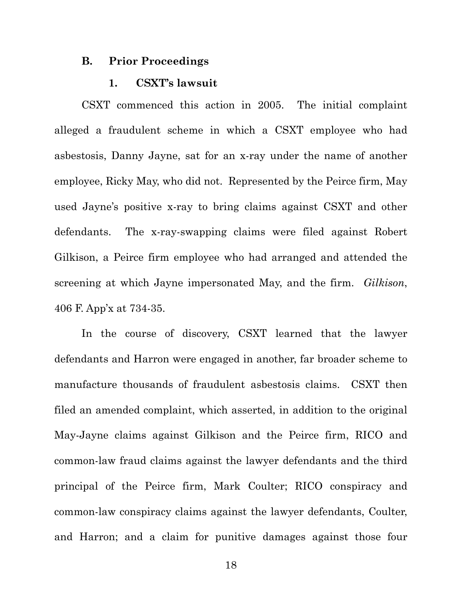### **B. Prior Proceedings**

#### **1. CSXT's lawsuit**

CSXT commenced this action in 2005. The initial complaint alleged a fraudulent scheme in which a CSXT employee who had asbestosis, Danny Jayne, sat for an x-ray under the name of another employee, Ricky May, who did not. Represented by the Peirce firm, May used Jayne's positive x-ray to bring claims against CSXT and other defendants. The x-ray-swapping claims were filed against Robert Gilkison, a Peirce firm employee who had arranged and attended the screening at which Jayne impersonated May, and the firm. *Gilkison*, 406 F. App'x at 734-35.

In the course of discovery, CSXT learned that the lawyer defendants and Harron were engaged in another, far broader scheme to manufacture thousands of fraudulent asbestosis claims. CSXT then filed an amended complaint, which asserted, in addition to the original May-Jayne claims against Gilkison and the Peirce firm, RICO and common-law fraud claims against the lawyer defendants and the third principal of the Peirce firm, Mark Coulter; RICO conspiracy and common-law conspiracy claims against the lawyer defendants, Coulter, and Harron; and a claim for punitive damages against those four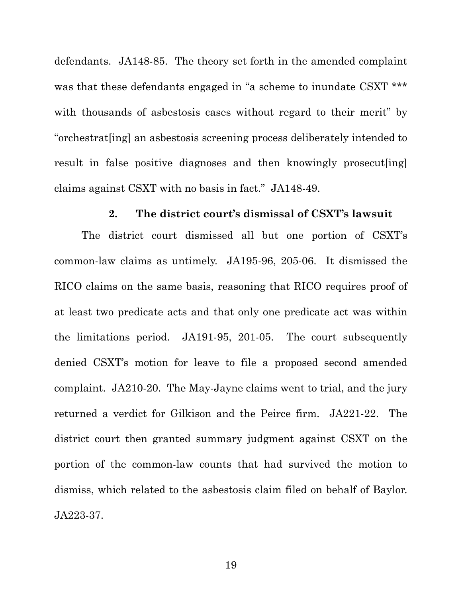defendants. JA148-85. The theory set forth in the amended complaint was that these defendants engaged in "a scheme to inundate CSXT \*\*\* with thousands of asbestosis cases without regard to their merit" by "orchestrat[ing] an asbestosis screening process deliberately intended to result in false positive diagnoses and then knowingly prosecutering claims against CSXT with no basis in fact." JA148-49.

#### **2. The district court's dismissal of CSXT's lawsuit**

The district court dismissed all but one portion of CSXT's common-law claims as untimely. JA195-96, 205-06. It dismissed the RICO claims on the same basis, reasoning that RICO requires proof of at least two predicate acts and that only one predicate act was within the limitations period. JA191-95, 201-05. The court subsequently denied CSXT's motion for leave to file a proposed second amended complaint. JA210-20. The May-Jayne claims went to trial, and the jury returned a verdict for Gilkison and the Peirce firm. JA221-22. The district court then granted summary judgment against CSXT on the portion of the common-law counts that had survived the motion to dismiss, which related to the asbestosis claim filed on behalf of Baylor. JA223-37.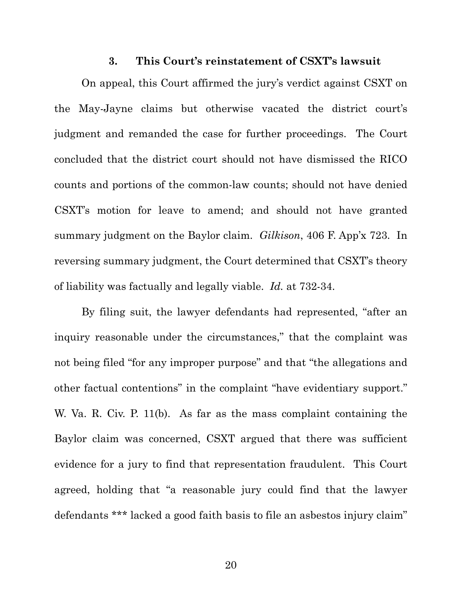#### **3. This Court's reinstatement of CSXT's lawsuit**

On appeal, this Court affirmed the jury's verdict against CSXT on the May-Jayne claims but otherwise vacated the district court's judgment and remanded the case for further proceedings. The Court concluded that the district court should not have dismissed the RICO counts and portions of the common-law counts; should not have denied CSXT's motion for leave to amend; and should not have granted summary judgment on the Baylor claim. *Gilkison*, 406 F. App'x 723. In reversing summary judgment, the Court determined that CSXT's theory of liability was factually and legally viable. *Id.* at 732-34.

By filing suit, the lawyer defendants had represented, "after an inquiry reasonable under the circumstances," that the complaint was not being filed "for any improper purpose" and that "the allegations and other factual contentions" in the complaint "have evidentiary support." W. Va. R. Civ. P. 11(b). As far as the mass complaint containing the Baylor claim was concerned, CSXT argued that there was sufficient evidence for a jury to find that representation fraudulent. This Court agreed, holding that "a reasonable jury could find that the lawyer defendants \*\*\* lacked a good faith basis to file an asbestos injury claim"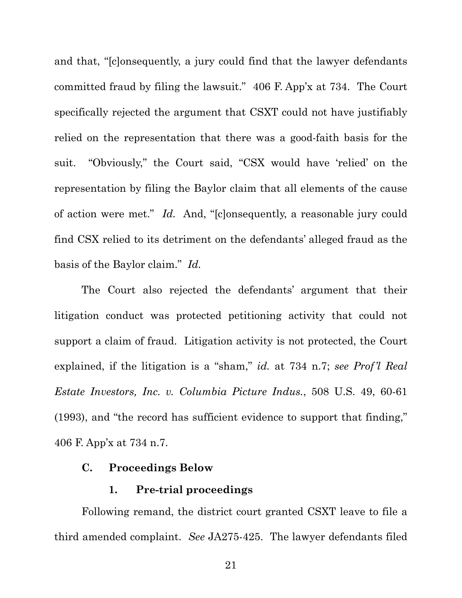and that, "[c]onsequently, a jury could find that the lawyer defendants committed fraud by filing the lawsuit." 406 F. App'x at 734. The Court specifically rejected the argument that CSXT could not have justifiably relied on the representation that there was a good-faith basis for the suit. "Obviously," the Court said, "CSX would have 'relied' on the representation by filing the Baylor claim that all elements of the cause of action were met." *Id.* And, "[c]onsequently, a reasonable jury could find CSX relied to its detriment on the defendants' alleged fraud as the basis of the Baylor claim." *Id.*

The Court also rejected the defendants' argument that their litigation conduct was protected petitioning activity that could not support a claim of fraud. Litigation activity is not protected, the Court explained, if the litigation is a "sham," *id.* at 734 n.7; *see Prof'l Real Estate Investors, Inc. v. Columbia Picture Indus.*, 508 U.S. 49, 60-61 (1993), and "the record has sufficient evidence to support that finding," 406 F. App'x at 734 n.7.

### **C. Proceedings Below**

#### **1. Pre-trial proceedings**

Following remand, the district court granted CSXT leave to file a third amended complaint. *See* JA275-425. The lawyer defendants filed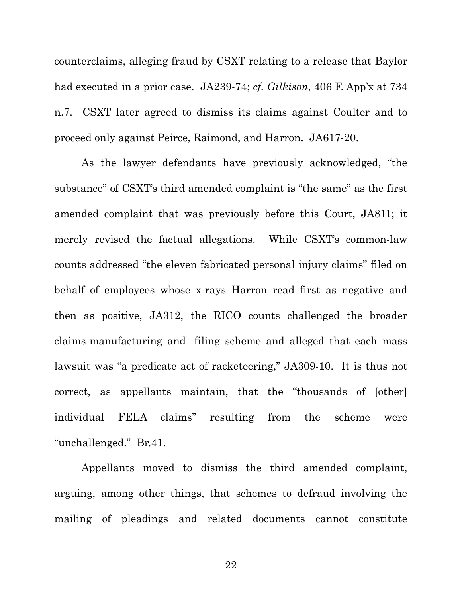counterclaims, alleging fraud by CSXT relating to a release that Baylor had executed in a prior case. JA239-74; *cf. Gilkison*, 406 F. App'x at 734 n.7. CSXT later agreed to dismiss its claims against Coulter and to proceed only against Peirce, Raimond, and Harron. JA617-20.

As the lawyer defendants have previously acknowledged, "the substance" of CSXT's third amended complaint is "the same" as the first amended complaint that was previously before this Court, JA811; it merely revised the factual allegations. While CSXT's common-law counts addressed "the eleven fabricated personal injury claims" filed on behalf of employees whose x-rays Harron read first as negative and then as positive, JA312, the RICO counts challenged the broader claims-manufacturing and -filing scheme and alleged that each mass lawsuit was "a predicate act of racketeering," JA309-10. It is thus not correct, as appellants maintain, that the "thousands of [other] individual FELA claims" resulting from the scheme were "unchallenged." Br.41.

Appellants moved to dismiss the third amended complaint, arguing, among other things, that schemes to defraud involving the mailing of pleadings and related documents cannot constitute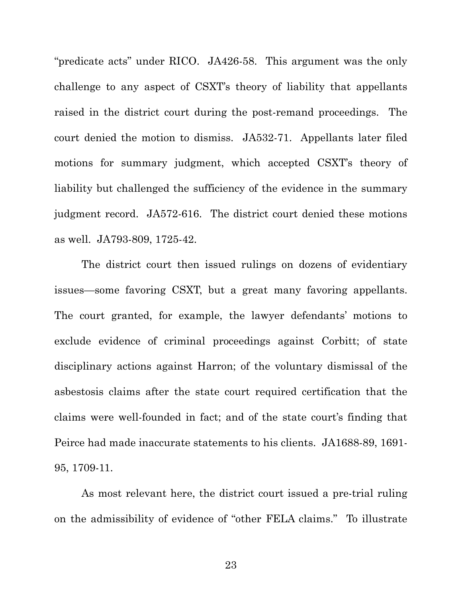"predicate acts" under RICO. JA426-58. This argument was the only challenge to any aspect of CSXT's theory of liability that appellants raised in the district court during the post-remand proceedings. The court denied the motion to dismiss. JA532-71. Appellants later filed motions for summary judgment, which accepted CSXT's theory of liability but challenged the sufficiency of the evidence in the summary judgment record. JA572-616. The district court denied these motions as well. JA793-809, 1725-42.

The district court then issued rulings on dozens of evidentiary issues—some favoring CSXT, but a great many favoring appellants. The court granted, for example, the lawyer defendants' motions to exclude evidence of criminal proceedings against Corbitt; of state disciplinary actions against Harron; of the voluntary dismissal of the asbestosis claims after the state court required certification that the claims were well-founded in fact; and of the state court's finding that Peirce had made inaccurate statements to his clients. JA1688-89, 1691- 95, 1709-11.

As most relevant here, the district court issued a pre-trial ruling on the admissibility of evidence of "other FELA claims." To illustrate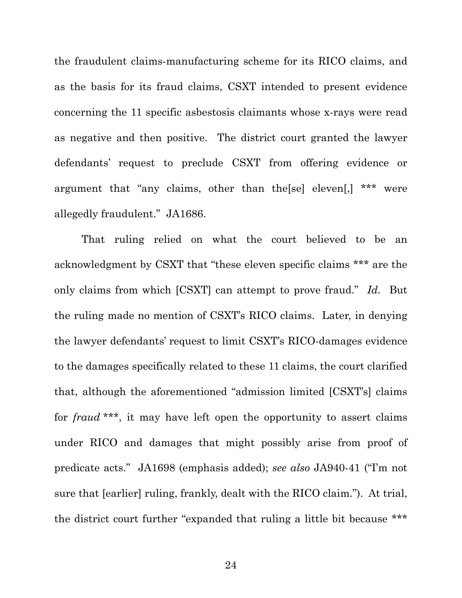the fraudulent claims-manufacturing scheme for its RICO claims, and as the basis for its fraud claims, CSXT intended to present evidence concerning the 11 specific asbestosis claimants whose x-rays were read as negative and then positive. The district court granted the lawyer defendants' request to preclude CSXT from offering evidence or argument that "any claims, other than the[se] eleven[,] \*\*\* were allegedly fraudulent." JA1686.

That ruling relied on what the court believed to be an acknowledgment by CSXT that "these eleven specific claims \*\*\* are the only claims from which [CSXT] can attempt to prove fraud." *Id.* But the ruling made no mention of CSXT's RICO claims. Later, in denying the lawyer defendants' request to limit CSXT's RICO-damages evidence to the damages specifically related to these 11 claims, the court clarified that, although the aforementioned "admission limited [CSXT's] claims for *fraud* \*\*\*, it may have left open the opportunity to assert claims under RICO and damages that might possibly arise from proof of predicate acts." JA1698 (emphasis added); *see also* JA940-41 ("I'm not sure that [earlier] ruling, frankly, dealt with the RICO claim."). At trial, the district court further "expanded that ruling a little bit because \*\*\*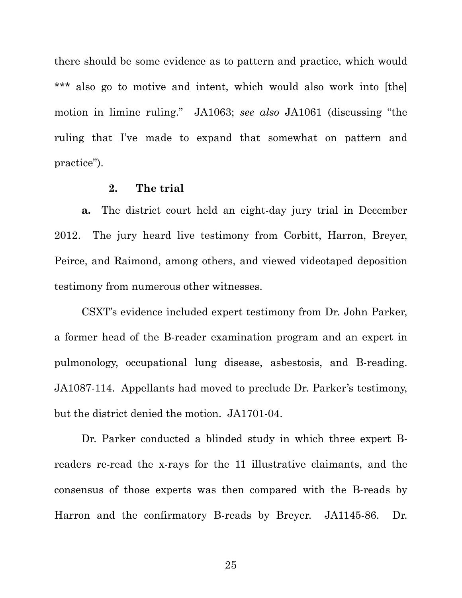there should be some evidence as to pattern and practice, which would \*\*\* also go to motive and intent, which would also work into [the] motion in limine ruling." JA1063; *see also* JA1061 (discussing "the ruling that I've made to expand that somewhat on pattern and practice").

#### **2. The trial**

**a.** The district court held an eight-day jury trial in December 2012. The jury heard live testimony from Corbitt, Harron, Breyer, Peirce, and Raimond, among others, and viewed videotaped deposition testimony from numerous other witnesses.

CSXT's evidence included expert testimony from Dr. John Parker, a former head of the B-reader examination program and an expert in pulmonology, occupational lung disease, asbestosis, and B-reading. JA1087-114. Appellants had moved to preclude Dr. Parker's testimony, but the district denied the motion. JA1701-04.

Dr. Parker conducted a blinded study in which three expert Breaders re-read the x-rays for the 11 illustrative claimants, and the consensus of those experts was then compared with the B-reads by Harron and the confirmatory B-reads by Breyer. JA1145-86. Dr.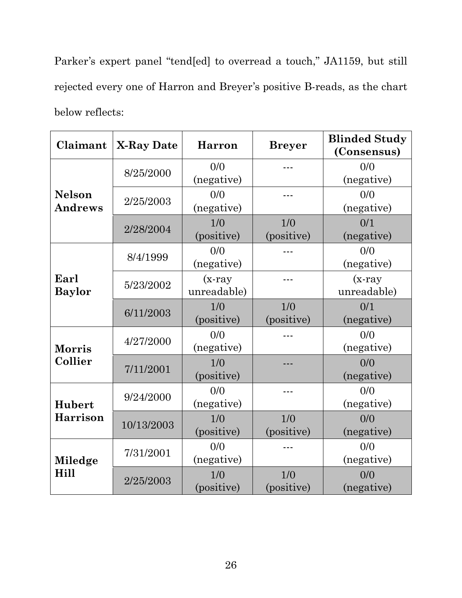Parker's expert panel "tend[ed] to overread a touch," JA1159, but still rejected every one of Harron and Breyer's positive B-reads, as the chart below reflects:

| Claimant                        | <b>X-Ray Date</b> | <b>Harron</b>            | <b>Breyer</b>     | <b>Blinded Study</b><br>(Consensus) |
|---------------------------------|-------------------|--------------------------|-------------------|-------------------------------------|
| <b>Nelson</b><br><b>Andrews</b> | 8/25/2000         | 0/0<br>(negative)        |                   | 0/0<br>(negative)                   |
|                                 | 2/25/2003         | 0/0<br>(negative)        |                   | 0/0<br>(negative)                   |
|                                 | 2/28/2004         | 1/0<br>(positive)        | 1/0<br>(positive) | 0/1<br>(negative)                   |
| Earl<br><b>Baylor</b>           | 8/4/1999          | 0/0<br>(negative)        |                   | 0/0<br>(negative)                   |
|                                 | 5/23/2002         | $(x-ray)$<br>unreadable) |                   | $(x-ray)$<br>unreadable)            |
|                                 | 6/11/2003         | 1/0<br>(positive)        | 1/0<br>(positive) | 0/1<br>(negative)                   |
| <b>Morris</b><br>Collier        | 4/27/2000         | 0/0<br>(negative)        |                   | 0/0<br>(negative)                   |
|                                 | 7/11/2001         | 1/0<br>(positive)        |                   | 0/0<br>(negative)                   |
| Hubert<br><b>Harrison</b>       | 9/24/2000         | 0/0<br>(negative)        |                   | 0/0<br>(negative)                   |
|                                 | 10/13/2003        | 1/0<br>(positive)        | 1/0<br>(positive) | 0/0<br>(negative)                   |
| Miledge<br>Hill                 | 7/31/2001         | 0/0<br>(negative)        |                   | 0/0<br>(negative)                   |
|                                 | 2/25/2003         | 1/0<br>(positive)        | 1/0<br>(positive) | 0/0<br>(negative)                   |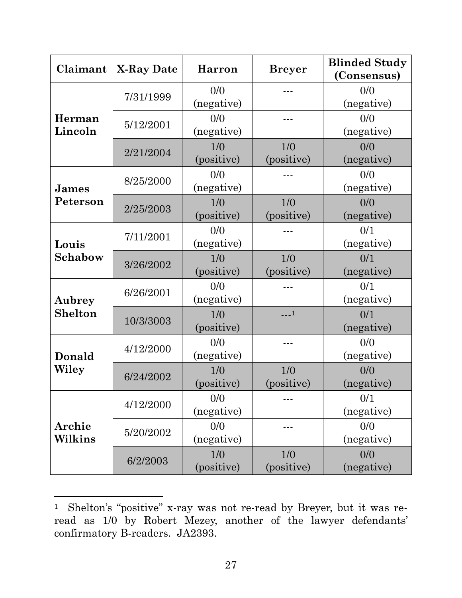| Claimant                 | <b>X-Ray Date</b> | <b>Harron</b>     | <b>Breyer</b>     | <b>Blinded Study</b><br>(Consensus) |
|--------------------------|-------------------|-------------------|-------------------|-------------------------------------|
| Herman<br>Lincoln        | 7/31/1999         | 0/0<br>(negative) |                   | 0/0<br>(negative)                   |
|                          | 5/12/2001         | 0/0<br>(negative) |                   | 0/0<br>(negative)                   |
|                          | 2/21/2004         | 1/0<br>(positive) | 1/0<br>(positive) | 0/0<br>(negative)                   |
| <b>James</b><br>Peterson | 8/25/2000         | 0/0<br>(negative) |                   | 0/0<br>(negative)                   |
|                          | 2/25/2003         | 1/0<br>(positive) | 1/0<br>(positive) | 0/0<br>(negative)                   |
| Louis<br>Schabow         | 7/11/2001         | 0/0<br>(negative) |                   | 0/1<br>(negative)                   |
|                          | 3/26/2002         | 1/0<br>(positive) | 1/0<br>(positive) | 0/1<br>(negative)                   |
| Aubrey<br><b>Shelton</b> | 6/26/2001         | 0/0<br>(negative) |                   | 0/1<br>(negative)                   |
|                          | 10/3/3003         | 1/0<br>(positive) | $---1$            | 0/1<br>(negative)                   |
| Donald<br>Wiley          | 4/12/2000         | 0/0<br>(negative) |                   | 0/0<br>(negative)                   |
|                          | 6/24/2002         | 1/0<br>(positive) | 1/0<br>(positive) | 0/0<br>(negative)                   |
| Archie<br>Wilkins        | 4/12/2000         | 0/0<br>(negative) |                   | 0/1<br>(negative)                   |
|                          | 5/20/2002         | 0/0<br>(negative) |                   | 0/0<br>(negative)                   |
|                          | 6/2/2003          | 1/0<br>(positive) | 1/0<br>(positive) | 0/0<br>(negative)                   |

<sup>1</sup> Shelton's "positive" x-ray was not re-read by Breyer, but it was reread as 1/0 by Robert Mezey, another of the lawyer defendants' confirmatory B-readers. JA2393.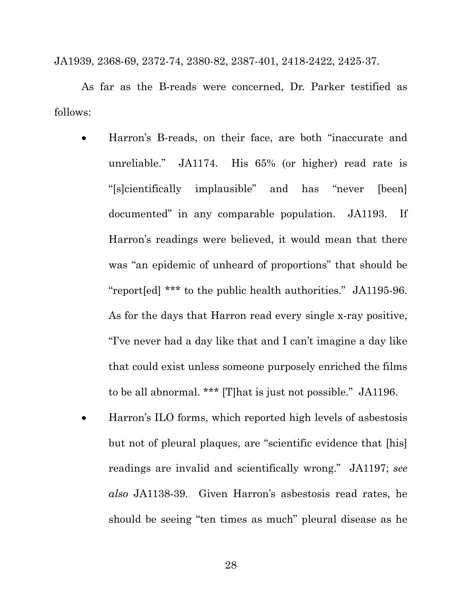JA1939, 2368-69, 2372-74, 2380-82, 2387-401, 2418-2422, 2425-37.

As far as the B-reads were concerned, Dr. Parker testified as follows:

- Harron's B-reads, on their face, are both "inaccurate and unreliable." JA1174. His 65% (or higher) read rate is "[s]cientifically implausible" and has "never [been] documented" in any comparable population. JA1193. If Harron's readings were believed, it would mean that there was "an epidemic of unheard of proportions" that should be "report[ed] \*\*\* to the public health authorities." JA1195-96. As for the days that Harron read every single x-ray positive, "I've never had a day like that and I can't imagine a day like that could exist unless someone purposely enriched the films to be all abnormal. \*\*\* [T]hat is just not possible." JA1196.
- Harron's ILO forms, which reported high levels of asbestosis but not of pleural plaques, are "scientific evidence that [his] readings are invalid and scientifically wrong." JA1197; *see also* JA1138-39. Given Harron's asbestosis read rates, he should be seeing "ten times as much" pleural disease as he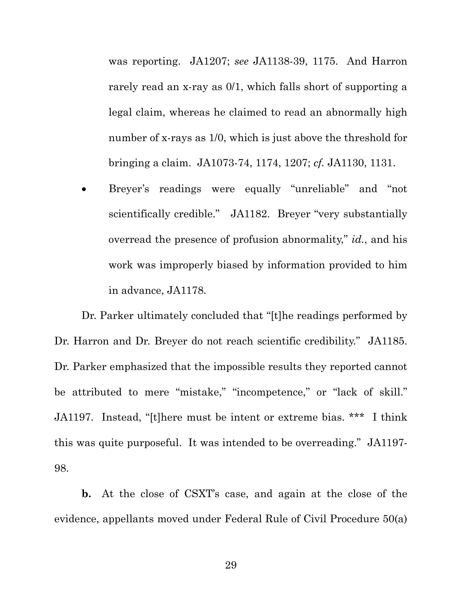was reporting. JA1207; *see* JA1138-39, 1175. And Harron rarely read an x-ray as 0/1, which falls short of supporting a legal claim, whereas he claimed to read an abnormally high number of x-rays as 1/0, which is just above the threshold for bringing a claim. JA1073-74, 1174, 1207; *cf.* JA1130, 1131.

 Breyer's readings were equally "unreliable" and "not scientifically credible." JA1182. Breyer "very substantially overread the presence of profusion abnormality," *id.*, and his work was improperly biased by information provided to him in advance, JA1178.

Dr. Parker ultimately concluded that "[t]he readings performed by Dr. Harron and Dr. Breyer do not reach scientific credibility." JA1185. Dr. Parker emphasized that the impossible results they reported cannot be attributed to mere "mistake," "incompetence," or "lack of skill." JA1197. Instead, "[t]here must be intent or extreme bias. \*\*\* I think this was quite purposeful. It was intended to be overreading." JA1197- 98.

**b.** At the close of CSXT's case, and again at the close of the evidence, appellants moved under Federal Rule of Civil Procedure 50(a)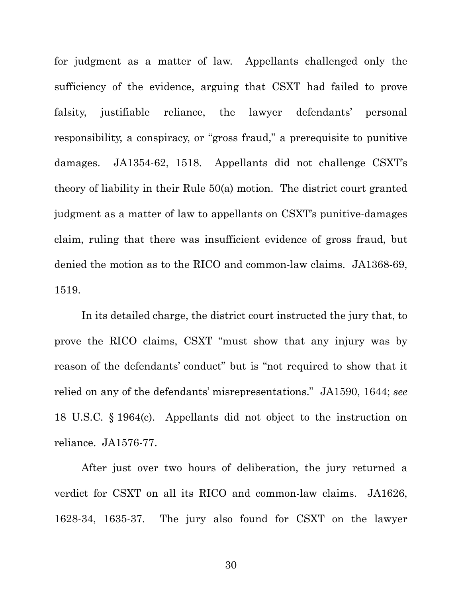for judgment as a matter of law. Appellants challenged only the sufficiency of the evidence, arguing that CSXT had failed to prove falsity, justifiable reliance, the lawyer defendants' personal responsibility, a conspiracy, or "gross fraud," a prerequisite to punitive damages. JA1354-62, 1518. Appellants did not challenge CSXT's theory of liability in their Rule 50(a) motion. The district court granted judgment as a matter of law to appellants on CSXT's punitive-damages claim, ruling that there was insufficient evidence of gross fraud, but denied the motion as to the RICO and common-law claims. JA1368-69, 1519.

In its detailed charge, the district court instructed the jury that, to prove the RICO claims, CSXT "must show that any injury was by reason of the defendants' conduct" but is "not required to show that it relied on any of the defendants' misrepresentations." JA1590, 1644; *see* 18 U.S.C. § 1964(c). Appellants did not object to the instruction on reliance. JA1576-77.

After just over two hours of deliberation, the jury returned a verdict for CSXT on all its RICO and common-law claims. JA1626, 1628-34, 1635-37. The jury also found for CSXT on the lawyer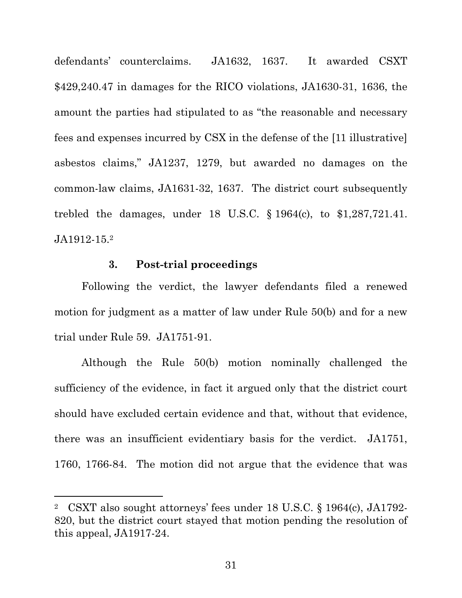defendants' counterclaims. JA1632, 1637. It awarded CSXT \$429,240.47 in damages for the RICO violations, JA1630-31, 1636, the amount the parties had stipulated to as "the reasonable and necessary fees and expenses incurred by CSX in the defense of the [11 illustrative] asbestos claims," JA1237, 1279, but awarded no damages on the common-law claims, JA1631-32, 1637. The district court subsequently trebled the damages, under 18 U.S.C. § 1964(c), to \$1,287,721.41. JA1912-15.<sup>2</sup>

### **3. Post-trial proceedings**

Following the verdict, the lawyer defendants filed a renewed motion for judgment as a matter of law under Rule 50(b) and for a new trial under Rule 59. JA1751-91.

Although the Rule 50(b) motion nominally challenged the sufficiency of the evidence, in fact it argued only that the district court should have excluded certain evidence and that, without that evidence, there was an insufficient evidentiary basis for the verdict. JA1751, 1760, 1766-84. The motion did not argue that the evidence that was

<sup>2</sup> CSXT also sought attorneys' fees under 18 U.S.C. § 1964(c), JA1792- 820, but the district court stayed that motion pending the resolution of this appeal, JA1917-24.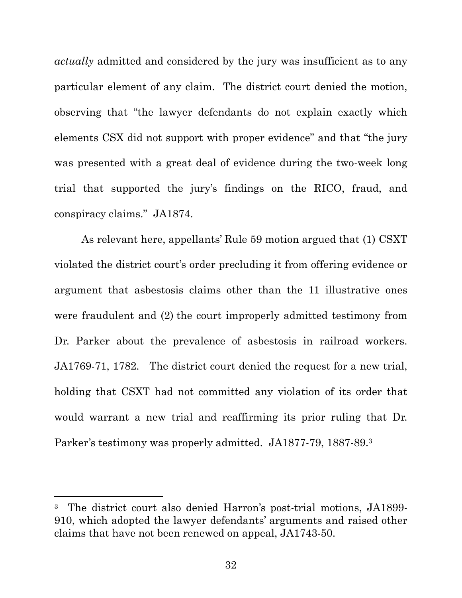*actually* admitted and considered by the jury was insufficient as to any particular element of any claim. The district court denied the motion, observing that "the lawyer defendants do not explain exactly which elements CSX did not support with proper evidence" and that "the jury was presented with a great deal of evidence during the two-week long trial that supported the jury's findings on the RICO, fraud, and conspiracy claims." JA1874.

As relevant here, appellants' Rule 59 motion argued that (1) CSXT violated the district court's order precluding it from offering evidence or argument that asbestosis claims other than the 11 illustrative ones were fraudulent and (2) the court improperly admitted testimony from Dr. Parker about the prevalence of asbestosis in railroad workers. JA1769-71, 1782. The district court denied the request for a new trial, holding that CSXT had not committed any violation of its order that would warrant a new trial and reaffirming its prior ruling that Dr. Parker's testimony was properly admitted. JA1877-79, 1887-89.<sup>3</sup>

<sup>3</sup> The district court also denied Harron's post-trial motions, JA1899- 910, which adopted the lawyer defendants' arguments and raised other claims that have not been renewed on appeal, JA1743-50.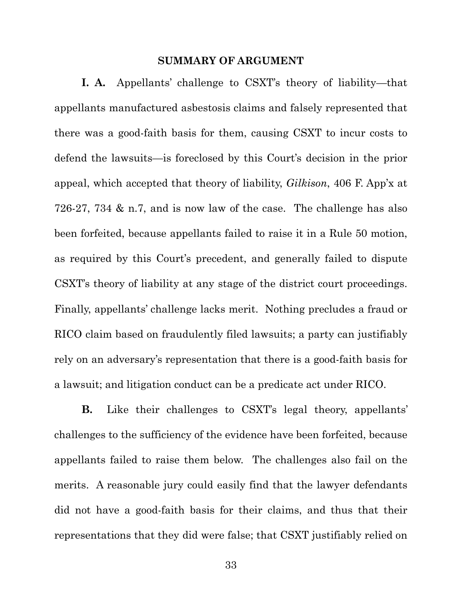#### **SUMMARY OF ARGUMENT**

**I. A.** Appellants' challenge to CSXT's theory of liability—that appellants manufactured asbestosis claims and falsely represented that there was a good-faith basis for them, causing CSXT to incur costs to defend the lawsuits—is foreclosed by this Court's decision in the prior appeal, which accepted that theory of liability, *Gilkison*, 406 F. App'x at 726-27, 734 & n.7, and is now law of the case. The challenge has also been forfeited, because appellants failed to raise it in a Rule 50 motion, as required by this Court's precedent, and generally failed to dispute CSXT's theory of liability at any stage of the district court proceedings. Finally, appellants' challenge lacks merit. Nothing precludes a fraud or RICO claim based on fraudulently filed lawsuits; a party can justifiably rely on an adversary's representation that there is a good-faith basis for a lawsuit; and litigation conduct can be a predicate act under RICO.

**B.** Like their challenges to CSXT's legal theory, appellants' challenges to the sufficiency of the evidence have been forfeited, because appellants failed to raise them below. The challenges also fail on the merits. A reasonable jury could easily find that the lawyer defendants did not have a good-faith basis for their claims, and thus that their representations that they did were false; that CSXT justifiably relied on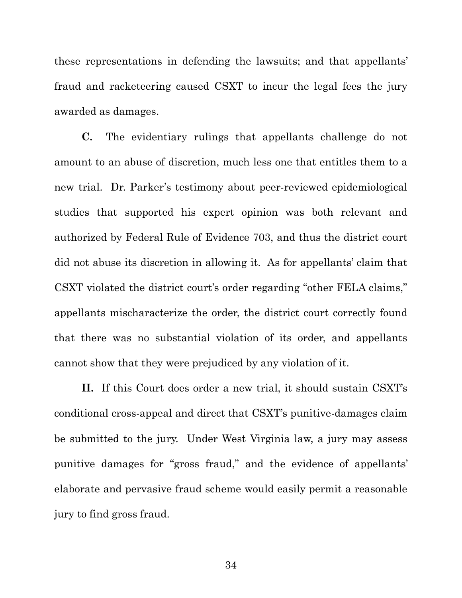these representations in defending the lawsuits; and that appellants' fraud and racketeering caused CSXT to incur the legal fees the jury awarded as damages.

**C.** The evidentiary rulings that appellants challenge do not amount to an abuse of discretion, much less one that entitles them to a new trial. Dr. Parker's testimony about peer-reviewed epidemiological studies that supported his expert opinion was both relevant and authorized by Federal Rule of Evidence 703, and thus the district court did not abuse its discretion in allowing it. As for appellants' claim that CSXT violated the district court's order regarding "other FELA claims," appellants mischaracterize the order, the district court correctly found that there was no substantial violation of its order, and appellants cannot show that they were prejudiced by any violation of it.

**II.** If this Court does order a new trial, it should sustain CSXT's conditional cross-appeal and direct that CSXT's punitive-damages claim be submitted to the jury. Under West Virginia law, a jury may assess punitive damages for "gross fraud," and the evidence of appellants' elaborate and pervasive fraud scheme would easily permit a reasonable jury to find gross fraud.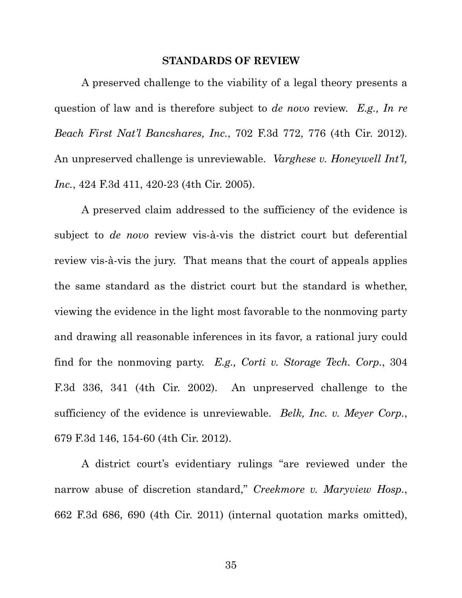#### **STANDARDS OF REVIEW**

A preserved challenge to the viability of a legal theory presents a question of law and is therefore subject to *de novo* review. *E.g., In re Beach First Nat'l Bancshares, Inc.*, 702 F.3d 772, 776 (4th Cir. 2012). An unpreserved challenge is unreviewable. *Varghese v. Honeywell Int'l, Inc.*, 424 F.3d 411, 420-23 (4th Cir. 2005).

A preserved claim addressed to the sufficiency of the evidence is subject to *de novo* review vis-à-vis the district court but deferential review vis-à-vis the jury. That means that the court of appeals applies the same standard as the district court but the standard is whether, viewing the evidence in the light most favorable to the nonmoving party and drawing all reasonable inferences in its favor, a rational jury could find for the nonmoving party. *E.g., Corti v. Storage Tech. Corp.*, 304 F.3d 336, 341 (4th Cir. 2002). An unpreserved challenge to the sufficiency of the evidence is unreviewable. *Belk, Inc. v. Meyer Corp.*, 679 F.3d 146, 154-60 (4th Cir. 2012).

A district court's evidentiary rulings "are reviewed under the narrow abuse of discretion standard," *Creekmore v. Maryview Hosp.*, 662 F.3d 686, 690 (4th Cir. 2011) (internal quotation marks omitted),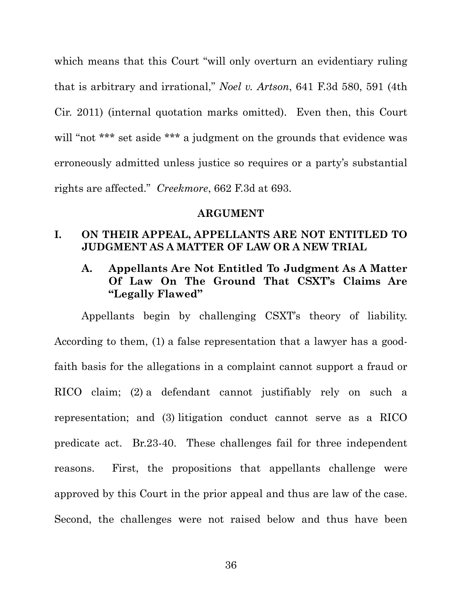which means that this Court "will only overturn an evidentiary ruling" that is arbitrary and irrational," *Noel v. Artson*, 641 F.3d 580, 591 (4th Cir. 2011) (internal quotation marks omitted). Even then, this Court will "not \*\*\* set aside \*\*\* a judgment on the grounds that evidence was erroneously admitted unless justice so requires or a party's substantial rights are affected." *Creekmore*, 662 F.3d at 693.

#### **ARGUMENT**

### **I. ON THEIR APPEAL, APPELLANTS ARE NOT ENTITLED TO JUDGMENT AS A MATTER OF LAW OR A NEW TRIAL**

# **A. Appellants Are Not Entitled To Judgment As A Matter Of Law On The Ground That CSXT's Claims Are "Legally Flawed"**

Appellants begin by challenging CSXT's theory of liability. According to them, (1) a false representation that a lawyer has a goodfaith basis for the allegations in a complaint cannot support a fraud or RICO claim; (2) a defendant cannot justifiably rely on such a representation; and (3) litigation conduct cannot serve as a RICO predicate act. Br.23-40. These challenges fail for three independent reasons. First, the propositions that appellants challenge were approved by this Court in the prior appeal and thus are law of the case. Second, the challenges were not raised below and thus have been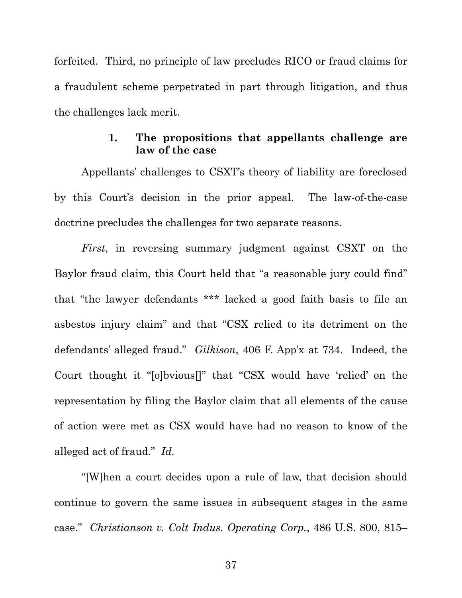forfeited. Third, no principle of law precludes RICO or fraud claims for a fraudulent scheme perpetrated in part through litigation, and thus the challenges lack merit.

# **1. The propositions that appellants challenge are law of the case**

Appellants' challenges to CSXT's theory of liability are foreclosed by this Court's decision in the prior appeal. The law-of-the-case doctrine precludes the challenges for two separate reasons.

*First*, in reversing summary judgment against CSXT on the Baylor fraud claim, this Court held that "a reasonable jury could find" that "the lawyer defendants \*\*\* lacked a good faith basis to file an asbestos injury claim" and that "CSX relied to its detriment on the defendants' alleged fraud." *Gilkison*, 406 F. App'x at 734. Indeed, the Court thought it "[o]bvious[]" that "CSX would have 'relied' on the representation by filing the Baylor claim that all elements of the cause of action were met as CSX would have had no reason to know of the alleged act of fraud." *Id.* 

"[W]hen a court decides upon a rule of law, that decision should continue to govern the same issues in subsequent stages in the same case." *Christianson v. Colt Indus. Operating Corp.*, 486 U.S. 800, 815–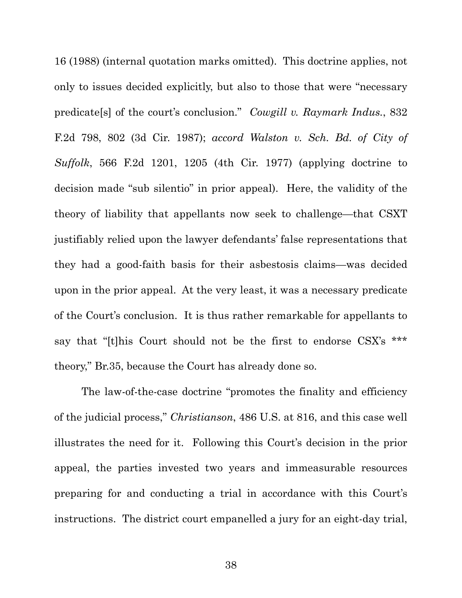16 (1988) (internal quotation marks omitted). This doctrine applies, not only to issues decided explicitly, but also to those that were "necessary predicate[s] of the court's conclusion." *Cowgill v. Raymark Indus.*, 832 F.2d 798, 802 (3d Cir. 1987); *accord Walston v. Sch. Bd. of City of Suffolk*, 566 F.2d 1201, 1205 (4th Cir. 1977) (applying doctrine to decision made "sub silentio" in prior appeal). Here, the validity of the theory of liability that appellants now seek to challenge—that CSXT justifiably relied upon the lawyer defendants' false representations that they had a good-faith basis for their asbestosis claims—was decided upon in the prior appeal. At the very least, it was a necessary predicate of the Court's conclusion. It is thus rather remarkable for appellants to say that "[t]his Court should not be the first to endorse CSX's \*\*\* theory," Br.35, because the Court has already done so.

The law-of-the-case doctrine "promotes the finality and efficiency of the judicial process," *Christianson*, 486 U.S. at 816, and this case well illustrates the need for it. Following this Court's decision in the prior appeal, the parties invested two years and immeasurable resources preparing for and conducting a trial in accordance with this Court's instructions. The district court empanelled a jury for an eight-day trial,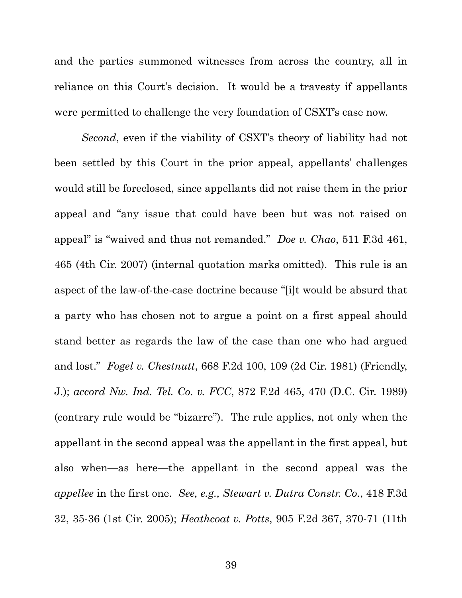and the parties summoned witnesses from across the country, all in reliance on this Court's decision. It would be a travesty if appellants were permitted to challenge the very foundation of CSXT's case now.

*Second*, even if the viability of CSXT's theory of liability had not been settled by this Court in the prior appeal, appellants' challenges would still be foreclosed, since appellants did not raise them in the prior appeal and "any issue that could have been but was not raised on appeal" is "waived and thus not remanded." *Doe v. Chao*, 511 F.3d 461, 465 (4th Cir. 2007) (internal quotation marks omitted). This rule is an aspect of the law-of-the-case doctrine because "[i]t would be absurd that a party who has chosen not to argue a point on a first appeal should stand better as regards the law of the case than one who had argued and lost." *Fogel v. Chestnutt*, 668 F.2d 100, 109 (2d Cir. 1981) (Friendly, J.); *accord Nw. Ind. Tel. Co. v. FCC*, 872 F.2d 465, 470 (D.C. Cir. 1989) (contrary rule would be "bizarre"). The rule applies, not only when the appellant in the second appeal was the appellant in the first appeal, but also when—as here—the appellant in the second appeal was the *appellee* in the first one. *See, e.g., Stewart v. Dutra Constr. Co.*, 418 F.3d 32, 35-36 (1st Cir. 2005); *Heathcoat v. Potts*, 905 F.2d 367, 370-71 (11th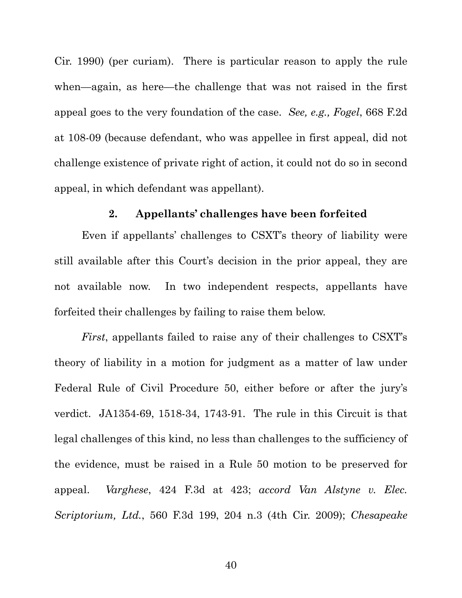Cir. 1990) (per curiam). There is particular reason to apply the rule when—again, as here—the challenge that was not raised in the first appeal goes to the very foundation of the case. *See, e.g., Fogel*, 668 F.2d at 108-09 (because defendant, who was appellee in first appeal, did not challenge existence of private right of action, it could not do so in second appeal, in which defendant was appellant).

#### **2. Appellants' challenges have been forfeited**

Even if appellants' challenges to CSXT's theory of liability were still available after this Court's decision in the prior appeal, they are not available now. In two independent respects, appellants have forfeited their challenges by failing to raise them below.

*First*, appellants failed to raise any of their challenges to CSXT's theory of liability in a motion for judgment as a matter of law under Federal Rule of Civil Procedure 50, either before or after the jury's verdict. JA1354-69, 1518-34, 1743-91. The rule in this Circuit is that legal challenges of this kind, no less than challenges to the sufficiency of the evidence, must be raised in a Rule 50 motion to be preserved for appeal. *Varghese*, 424 F.3d at 423; *accord Van Alstyne v. Elec. Scriptorium, Ltd.*, 560 F.3d 199, 204 n.3 (4th Cir. 2009); *Chesapeake*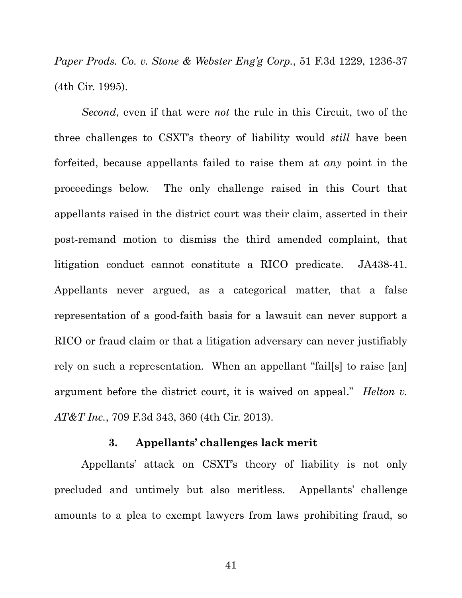*Paper Prods. Co. v. Stone & Webster Eng'g Corp.*, 51 F.3d 1229, 1236-37 (4th Cir. 1995).

*Second*, even if that were *not* the rule in this Circuit, two of the three challenges to CSXT's theory of liability would *still* have been forfeited, because appellants failed to raise them at *any* point in the proceedings below. The only challenge raised in this Court that appellants raised in the district court was their claim, asserted in their post-remand motion to dismiss the third amended complaint, that litigation conduct cannot constitute a RICO predicate. JA438-41. Appellants never argued, as a categorical matter, that a false representation of a good-faith basis for a lawsuit can never support a RICO or fraud claim or that a litigation adversary can never justifiably rely on such a representation. When an appellant "fail[s] to raise [an] argument before the district court, it is waived on appeal." *Helton v. AT&T Inc.*, 709 F.3d 343, 360 (4th Cir. 2013).

#### **3. Appellants' challenges lack merit**

Appellants' attack on CSXT's theory of liability is not only precluded and untimely but also meritless. Appellants' challenge amounts to a plea to exempt lawyers from laws prohibiting fraud, so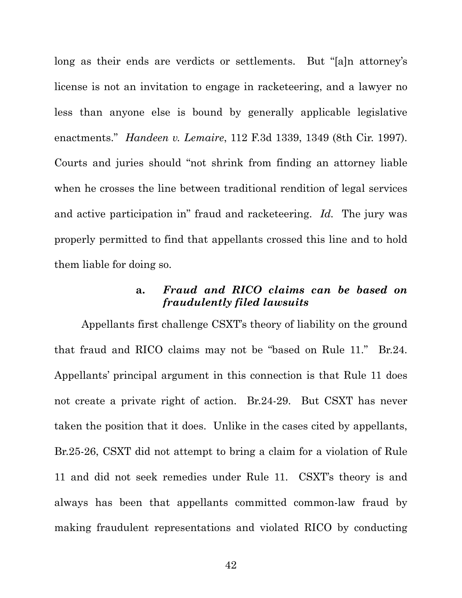long as their ends are verdicts or settlements. But "[a]n attorney's license is not an invitation to engage in racketeering, and a lawyer no less than anyone else is bound by generally applicable legislative enactments." *Handeen v. Lemaire*, 112 F.3d 1339, 1349 (8th Cir. 1997). Courts and juries should "not shrink from finding an attorney liable when he crosses the line between traditional rendition of legal services and active participation in" fraud and racketeering. *Id.* The jury was properly permitted to find that appellants crossed this line and to hold them liable for doing so.

## **a.** *Fraud and RICO claims can be based on fraudulently filed lawsuits*

Appellants first challenge CSXT's theory of liability on the ground that fraud and RICO claims may not be "based on Rule 11." Br.24. Appellants' principal argument in this connection is that Rule 11 does not create a private right of action. Br.24-29. But CSXT has never taken the position that it does. Unlike in the cases cited by appellants, Br.25-26, CSXT did not attempt to bring a claim for a violation of Rule 11 and did not seek remedies under Rule 11. CSXT's theory is and always has been that appellants committed common-law fraud by making fraudulent representations and violated RICO by conducting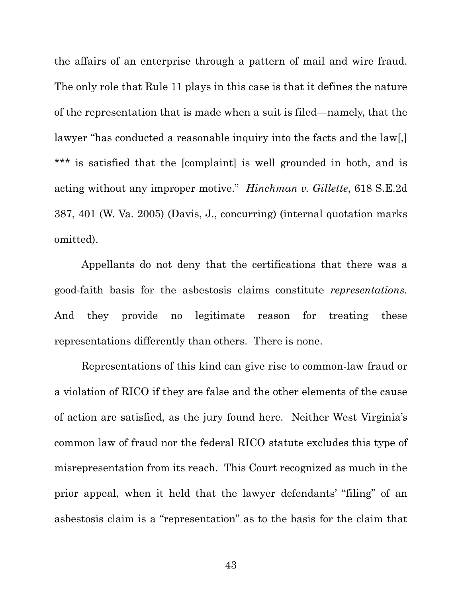the affairs of an enterprise through a pattern of mail and wire fraud. The only role that Rule 11 plays in this case is that it defines the nature of the representation that is made when a suit is filed—namely, that the lawyer "has conducted a reasonable inquiry into the facts and the law[,] \*\*\* is satisfied that the [complaint] is well grounded in both, and is acting without any improper motive." *Hinchman v. Gillette*, 618 S.E.2d 387, 401 (W. Va. 2005) (Davis, J., concurring) (internal quotation marks omitted).

Appellants do not deny that the certifications that there was a good-faith basis for the asbestosis claims constitute *representations*. And they provide no legitimate reason for treating these representations differently than others. There is none.

Representations of this kind can give rise to common-law fraud or a violation of RICO if they are false and the other elements of the cause of action are satisfied, as the jury found here. Neither West Virginia's common law of fraud nor the federal RICO statute excludes this type of misrepresentation from its reach. This Court recognized as much in the prior appeal, when it held that the lawyer defendants' "filing" of an asbestosis claim is a "representation" as to the basis for the claim that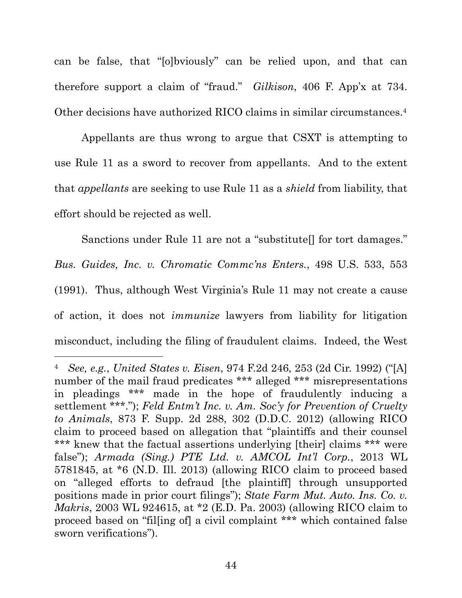can be false, that "[o]bviously" can be relied upon, and that can therefore support a claim of "fraud." *Gilkison*, 406 F. App'x at 734. Other decisions have authorized RICO claims in similar circumstances.<sup>4</sup>

Appellants are thus wrong to argue that CSXT is attempting to use Rule 11 as a sword to recover from appellants. And to the extent that *appellants* are seeking to use Rule 11 as a *shield* from liability, that effort should be rejected as well.

Sanctions under Rule 11 are not a "substitute<sup>[]</sup> for tort damages."

*Bus. Guides, Inc. v. Chromatic Commc'ns Enters.*, 498 U.S. 533, 553 (1991). Thus, although West Virginia's Rule 11 may not create a cause of action, it does not *immunize* lawyers from liability for litigation misconduct, including the filing of fraudulent claims. Indeed, the West

l

<sup>4</sup> *See, e.g.*, *United States v. Eisen*, 974 F.2d 246, 253 (2d Cir. 1992) ("[A] number of the mail fraud predicates \*\*\* alleged \*\*\* misrepresentations in pleadings \*\*\* made in the hope of fraudulently inducing a settlement \*\*\*."); *Feld Entm't Inc. v. Am. Soc'y for Prevention of Cruelty to Animals*, 873 F. Supp. 2d 288, 302 (D.D.C. 2012) (allowing RICO claim to proceed based on allegation that "plaintiffs and their counsel \*\*\* knew that the factual assertions underlying [their] claims \*\*\* were false"); *Armada (Sing.) PTE Ltd. v. AMCOL Int'l Corp.*, 2013 WL 5781845, at \*6 (N.D. Ill. 2013) (allowing RICO claim to proceed based on "alleged efforts to defraud [the plaintiff] through unsupported positions made in prior court filings"); *State Farm Mut. Auto. Ins. Co. v. Makris*, 2003 WL 924615, at \*2 (E.D. Pa. 2003) (allowing RICO claim to proceed based on "fil[ing of] a civil complaint \*\*\* which contained false sworn verifications").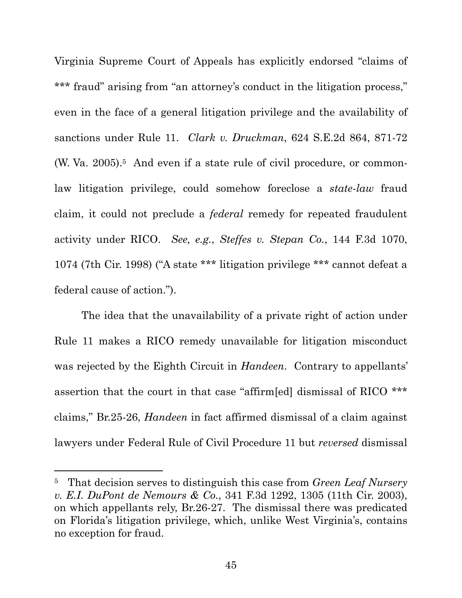Virginia Supreme Court of Appeals has explicitly endorsed "claims of \*\*\* fraud" arising from "an attorney's conduct in the litigation process," even in the face of a general litigation privilege and the availability of sanctions under Rule 11. *Clark v. Druckman*, 624 S.E.2d 864, 871-72 (W. Va. 2005).5 And even if a state rule of civil procedure, or commonlaw litigation privilege, could somehow foreclose a *state-law* fraud claim, it could not preclude a *federal* remedy for repeated fraudulent activity under RICO. *See, e.g.*, *Steffes v. Stepan Co.*, 144 F.3d 1070, 1074 (7th Cir. 1998) ("A state \*\*\* litigation privilege \*\*\* cannot defeat a federal cause of action.").

The idea that the unavailability of a private right of action under Rule 11 makes a RICO remedy unavailable for litigation misconduct was rejected by the Eighth Circuit in *Handeen*. Contrary to appellants' assertion that the court in that case "affirm[ed] dismissal of RICO \*\*\* claims," Br.25-26, *Handeen* in fact affirmed dismissal of a claim against lawyers under Federal Rule of Civil Procedure 11 but *reversed* dismissal

<sup>5</sup> That decision serves to distinguish this case from *Green Leaf Nursery v. E.I. DuPont de Nemours & Co.*, 341 F.3d 1292, 1305 (11th Cir. 2003), on which appellants rely, Br.26-27. The dismissal there was predicated on Florida's litigation privilege, which, unlike West Virginia's, contains no exception for fraud.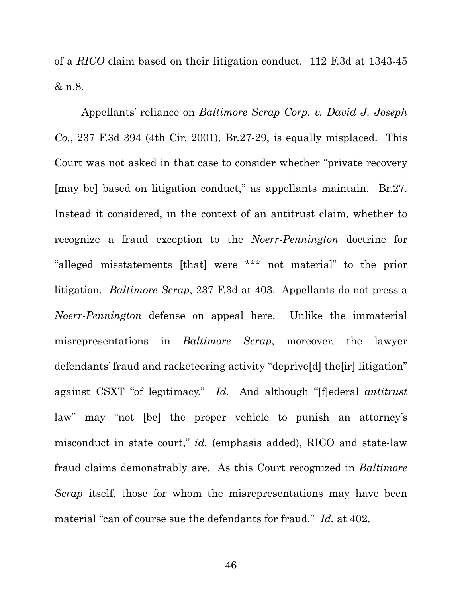of a *RICO* claim based on their litigation conduct. 112 F.3d at 1343-45 & n.8.

Appellants' reliance on *Baltimore Scrap Corp. v. David J. Joseph Co.*, 237 F.3d 394 (4th Cir. 2001), Br.27-29, is equally misplaced. This Court was not asked in that case to consider whether "private recovery [may be] based on litigation conduct," as appellants maintain. Br.27. Instead it considered, in the context of an antitrust claim, whether to recognize a fraud exception to the *Noerr*-*Pennington* doctrine for "alleged misstatements [that] were \*\*\* not material" to the prior litigation. *Baltimore Scrap*, 237 F.3d at 403. Appellants do not press a *Noerr*-*Pennington* defense on appeal here. Unlike the immaterial misrepresentations in *Baltimore Scrap*, moreover, the lawyer defendants' fraud and racketeering activity "deprive[d] the[ir] litigation" against CSXT "of legitimacy." *Id.* And although "[f]ederal *antitrust* law" may "not [be] the proper vehicle to punish an attorney's misconduct in state court," *id.* (emphasis added), RICO and state-law fraud claims demonstrably are. As this Court recognized in *Baltimore Scrap* itself, those for whom the misrepresentations may have been material "can of course sue the defendants for fraud." *Id.* at 402.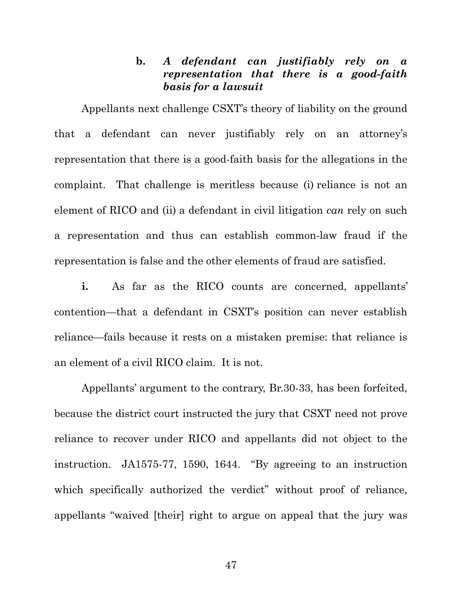# **b.** *A defendant can justifiably rely on a representation that there is a good-faith basis for a lawsuit*

Appellants next challenge CSXT's theory of liability on the ground that a defendant can never justifiably rely on an attorney's representation that there is a good-faith basis for the allegations in the complaint. That challenge is meritless because (i) reliance is not an element of RICO and (ii) a defendant in civil litigation *can* rely on such a representation and thus can establish common-law fraud if the representation is false and the other elements of fraud are satisfied.

**i.** As far as the RICO counts are concerned, appellants' contention—that a defendant in CSXT's position can never establish reliance—fails because it rests on a mistaken premise: that reliance is an element of a civil RICO claim. It is not.

Appellants' argument to the contrary, Br.30-33, has been forfeited, because the district court instructed the jury that CSXT need not prove reliance to recover under RICO and appellants did not object to the instruction. JA1575-77, 1590, 1644. "By agreeing to an instruction which specifically authorized the verdict" without proof of reliance, appellants "waived [their] right to argue on appeal that the jury was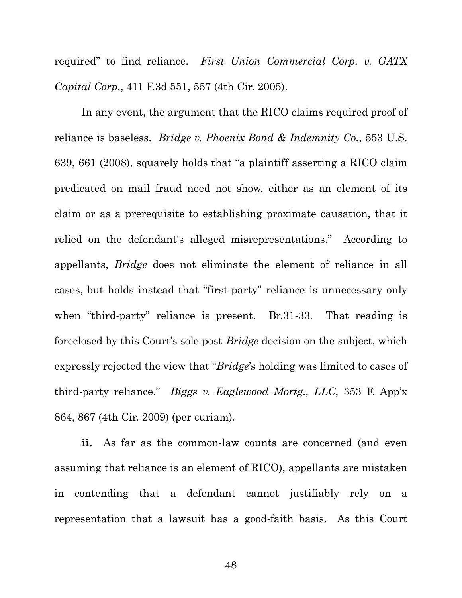required" to find reliance. *First Union Commercial Corp. v. GATX Capital Corp.*, 411 F.3d 551, 557 (4th Cir. 2005).

In any event, the argument that the RICO claims required proof of reliance is baseless. *Bridge v. Phoenix Bond & Indemnity Co.*, 553 U.S. 639, 661 (2008), squarely holds that "a plaintiff asserting a RICO claim predicated on mail fraud need not show, either as an element of its claim or as a prerequisite to establishing proximate causation, that it relied on the defendant's alleged misrepresentations." According to appellants, *Bridge* does not eliminate the element of reliance in all cases, but holds instead that "first-party" reliance is unnecessary only when "third-party" reliance is present. Br.31-33. That reading is foreclosed by this Court's sole post-*Bridge* decision on the subject, which expressly rejected the view that "*Bridge*'s holding was limited to cases of third-party reliance." *Biggs v. Eaglewood Mortg., LLC*, 353 F. App'x 864, 867 (4th Cir. 2009) (per curiam).

**ii.** As far as the common-law counts are concerned (and even assuming that reliance is an element of RICO), appellants are mistaken in contending that a defendant cannot justifiably rely on a representation that a lawsuit has a good-faith basis. As this Court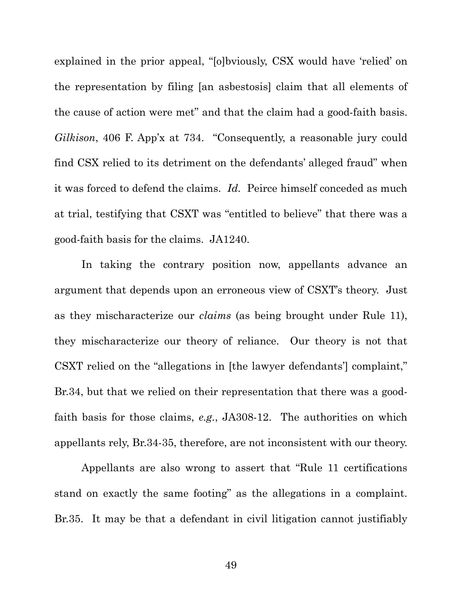explained in the prior appeal, "[o]bviously, CSX would have 'relied' on the representation by filing [an asbestosis] claim that all elements of the cause of action were met" and that the claim had a good-faith basis. *Gilkison*, 406 F. App'x at 734. "Consequently, a reasonable jury could find CSX relied to its detriment on the defendants' alleged fraud" when it was forced to defend the claims. *Id.* Peirce himself conceded as much at trial, testifying that CSXT was "entitled to believe" that there was a good-faith basis for the claims. JA1240.

In taking the contrary position now, appellants advance an argument that depends upon an erroneous view of CSXT's theory. Just as they mischaracterize our *claims* (as being brought under Rule 11), they mischaracterize our theory of reliance. Our theory is not that CSXT relied on the "allegations in [the lawyer defendants'] complaint," Br.34, but that we relied on their representation that there was a goodfaith basis for those claims, *e.g.*, JA308-12. The authorities on which appellants rely, Br.34-35, therefore, are not inconsistent with our theory.

Appellants are also wrong to assert that "Rule 11 certifications stand on exactly the same footing" as the allegations in a complaint. Br.35. It may be that a defendant in civil litigation cannot justifiably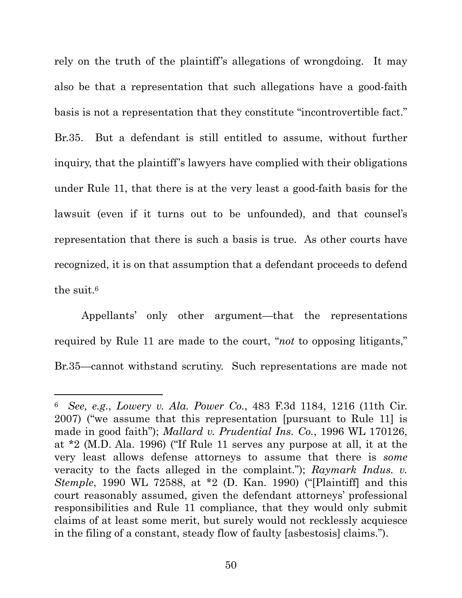rely on the truth of the plaintiff's allegations of wrongdoing. It may also be that a representation that such allegations have a good-faith basis is not a representation that they constitute "incontrovertible fact." Br.35. But a defendant is still entitled to assume, without further inquiry, that the plaintiff's lawyers have complied with their obligations under Rule 11, that there is at the very least a good-faith basis for the lawsuit (even if it turns out to be unfounded), and that counsel's representation that there is such a basis is true. As other courts have recognized, it is on that assumption that a defendant proceeds to defend the suit.<sup>6</sup>

Appellants' only other argument—that the representations required by Rule 11 are made to the court, "*not* to opposing litigants," Br.35—cannot withstand scrutiny. Such representations are made not

<sup>6</sup> *See, e.g.*, *Lowery v. Ala. Power Co.*, 483 F.3d 1184, 1216 (11th Cir. 2007) ("we assume that this representation [pursuant to Rule 11] is made in good faith"); *Mallard v. Prudential Ins. Co.*, 1996 WL 170126, at \*2 (M.D. Ala. 1996) ("If Rule 11 serves any purpose at all, it at the very least allows defense attorneys to assume that there is *some* veracity to the facts alleged in the complaint."); *Raymark Indus. v. Stemple*, 1990 WL 72588, at \*2 (D. Kan. 1990) ("[Plaintiff] and this court reasonably assumed, given the defendant attorneys' professional responsibilities and Rule 11 compliance, that they would only submit claims of at least some merit, but surely would not recklessly acquiesce in the filing of a constant, steady flow of faulty [asbestosis] claims.").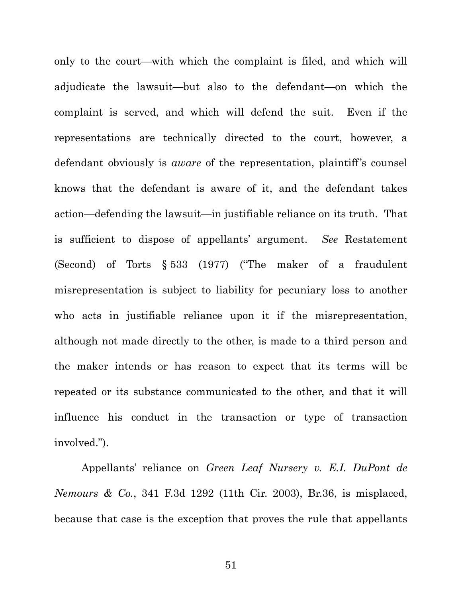only to the court—with which the complaint is filed, and which will adjudicate the lawsuit—but also to the defendant—on which the complaint is served, and which will defend the suit. Even if the representations are technically directed to the court, however, a defendant obviously is *aware* of the representation, plaintiff's counsel knows that the defendant is aware of it, and the defendant takes action—defending the lawsuit—in justifiable reliance on its truth. That is sufficient to dispose of appellants' argument. *See* Restatement (Second) of Torts § 533 (1977) ("The maker of a fraudulent misrepresentation is subject to liability for pecuniary loss to another who acts in justifiable reliance upon it if the misrepresentation, although not made directly to the other, is made to a third person and the maker intends or has reason to expect that its terms will be repeated or its substance communicated to the other, and that it will influence his conduct in the transaction or type of transaction involved.").

Appellants' reliance on *Green Leaf Nursery v. E.I. DuPont de Nemours & Co.*, 341 F.3d 1292 (11th Cir. 2003), Br.36, is misplaced, because that case is the exception that proves the rule that appellants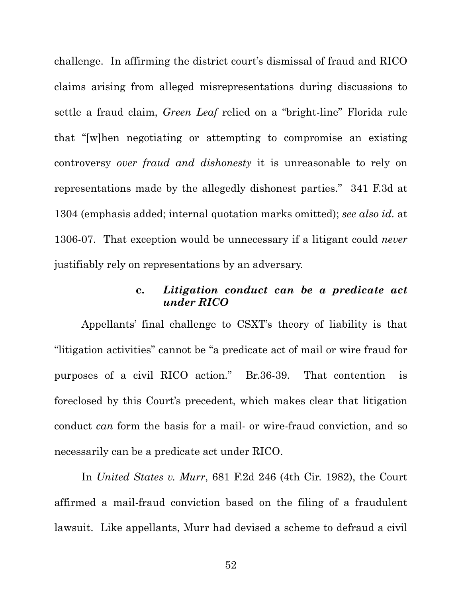challenge. In affirming the district court's dismissal of fraud and RICO claims arising from alleged misrepresentations during discussions to settle a fraud claim, *Green Leaf* relied on a "bright-line" Florida rule that "[w]hen negotiating or attempting to compromise an existing controversy *over fraud and dishonesty* it is unreasonable to rely on representations made by the allegedly dishonest parties." 341 F.3d at 1304 (emphasis added; internal quotation marks omitted); *see also id.* at 1306-07. That exception would be unnecessary if a litigant could *never* justifiably rely on representations by an adversary.

## **c.** *Litigation conduct can be a predicate act under RICO*

Appellants' final challenge to CSXT's theory of liability is that "litigation activities" cannot be "a predicate act of mail or wire fraud for purposes of a civil RICO action." Br.36-39. That contention is foreclosed by this Court's precedent, which makes clear that litigation conduct *can* form the basis for a mail- or wire-fraud conviction, and so necessarily can be a predicate act under RICO.

In *United States v. Murr*, 681 F.2d 246 (4th Cir. 1982), the Court affirmed a mail-fraud conviction based on the filing of a fraudulent lawsuit. Like appellants, Murr had devised a scheme to defraud a civil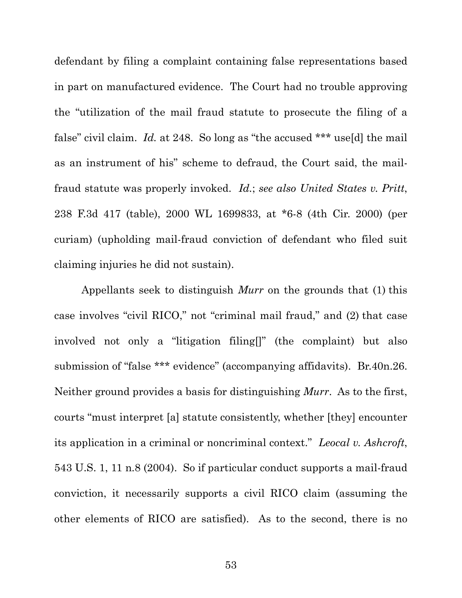defendant by filing a complaint containing false representations based in part on manufactured evidence. The Court had no trouble approving the "utilization of the mail fraud statute to prosecute the filing of a false" civil claim. *Id.* at 248. So long as "the accused \*\*\* use[d] the mail as an instrument of his" scheme to defraud, the Court said, the mailfraud statute was properly invoked. *Id.*; *see also United States v. Pritt*, 238 F.3d 417 (table), 2000 WL 1699833, at \*6-8 (4th Cir. 2000) (per curiam) (upholding mail-fraud conviction of defendant who filed suit claiming injuries he did not sustain).

Appellants seek to distinguish *Murr* on the grounds that (1) this case involves "civil RICO," not "criminal mail fraud," and (2) that case involved not only a "litigation filing[]" (the complaint) but also submission of "false \*\*\* evidence" (accompanying affidavits). Br.40n.26. Neither ground provides a basis for distinguishing *Murr*. As to the first, courts "must interpret [a] statute consistently, whether [they] encounter its application in a criminal or noncriminal context." *Leocal v. Ashcroft*, 543 U.S. 1, 11 n.8 (2004). So if particular conduct supports a mail-fraud conviction, it necessarily supports a civil RICO claim (assuming the other elements of RICO are satisfied). As to the second, there is no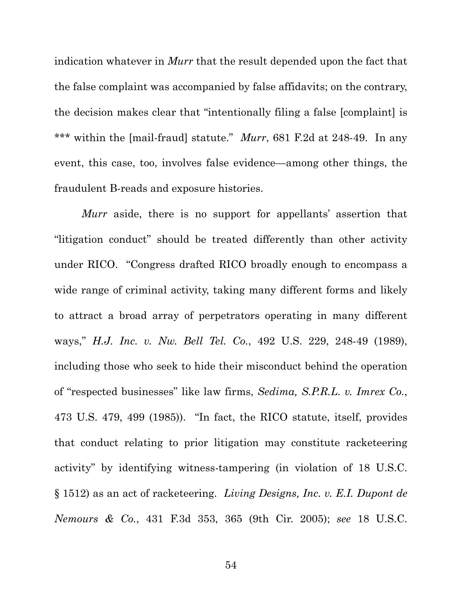indication whatever in *Murr* that the result depended upon the fact that the false complaint was accompanied by false affidavits; on the contrary, the decision makes clear that "intentionally filing a false [complaint] is \*\*\* within the [mail-fraud] statute." *Murr*, 681 F.2d at 248-49. In any event, this case, too, involves false evidence—among other things, the fraudulent B-reads and exposure histories.

*Murr* aside, there is no support for appellants' assertion that "litigation conduct" should be treated differently than other activity under RICO. "Congress drafted RICO broadly enough to encompass a wide range of criminal activity, taking many different forms and likely to attract a broad array of perpetrators operating in many different ways," *H.J. Inc. v. Nw. Bell Tel. Co.*, 492 U.S. 229, 248-49 (1989), including those who seek to hide their misconduct behind the operation of "respected businesses" like law firms, *Sedima, S.P.R.L. v. Imrex Co.*, 473 U.S. 479, 499 (1985)). "In fact, the RICO statute, itself, provides that conduct relating to prior litigation may constitute racketeering activity" by identifying witness-tampering (in violation of 18 U.S.C. § 1512) as an act of racketeering. *Living Designs, Inc. v. E.I. Dupont de Nemours & Co.*, 431 F.3d 353, 365 (9th Cir. 2005); *see* 18 U.S.C.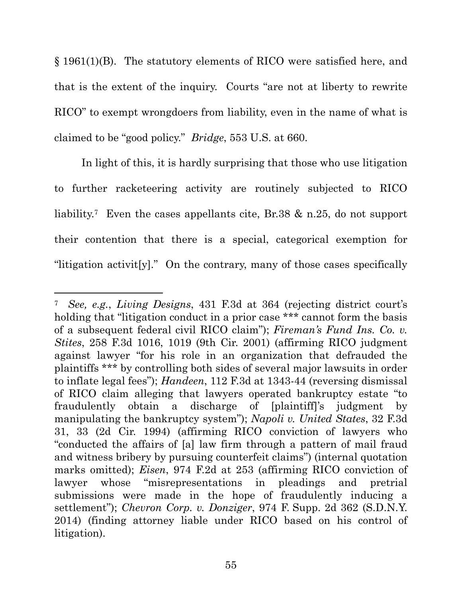§ 1961(1)(B). The statutory elements of RICO were satisfied here, and that is the extent of the inquiry. Courts "are not at liberty to rewrite RICO" to exempt wrongdoers from liability, even in the name of what is claimed to be "good policy." *Bridge*, 553 U.S. at 660.

In light of this, it is hardly surprising that those who use litigation to further racketeering activity are routinely subjected to RICO liability.<sup>7</sup> Even the cases appellants cite, Br.38 & n.25, do not support their contention that there is a special, categorical exemption for "litigation activit[y]." On the contrary, many of those cases specifically

<sup>7</sup> *See, e.g.*, *Living Designs*, 431 F.3d at 364 (rejecting district court's holding that "litigation conduct in a prior case \*\*\* cannot form the basis of a subsequent federal civil RICO claim"); *Fireman's Fund Ins. Co. v. Stites*, 258 F.3d 1016, 1019 (9th Cir. 2001) (affirming RICO judgment against lawyer "for his role in an organization that defrauded the plaintiffs \*\*\* by controlling both sides of several major lawsuits in order to inflate legal fees"); *Handeen*, 112 F.3d at 1343-44 (reversing dismissal of RICO claim alleging that lawyers operated bankruptcy estate "to fraudulently obtain a discharge of [plaintiff]'s judgment by manipulating the bankruptcy system"); *Napoli v. United States*, 32 F.3d 31, 33 (2d Cir. 1994) (affirming RICO conviction of lawyers who "conducted the affairs of [a] law firm through a pattern of mail fraud and witness bribery by pursuing counterfeit claims") (internal quotation marks omitted); *Eisen*, 974 F.2d at 253 (affirming RICO conviction of lawyer whose "misrepresentations in pleadings and pretrial submissions were made in the hope of fraudulently inducing a settlement"); *Chevron Corp. v. Donziger*, 974 F. Supp. 2d 362 (S.D.N.Y. 2014) (finding attorney liable under RICO based on his control of litigation).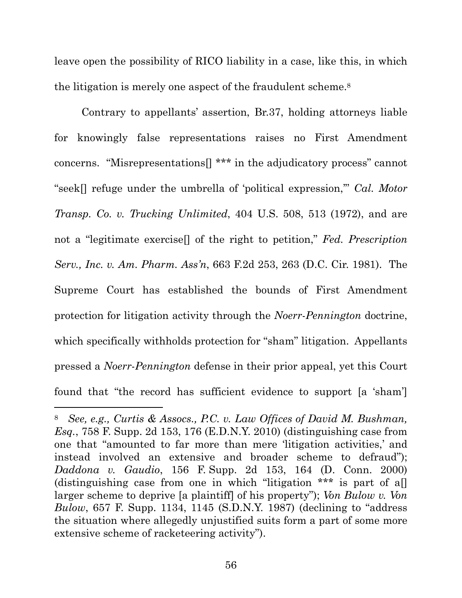leave open the possibility of RICO liability in a case, like this, in which the litigation is merely one aspect of the fraudulent scheme.<sup>8</sup>

Contrary to appellants' assertion, Br.37, holding attorneys liable for knowingly false representations raises no First Amendment concerns. "Misrepresentations[] \*\*\* in the adjudicatory process" cannot "seek[] refuge under the umbrella of 'political expression,'" *Cal. Motor Transp. Co. v. Trucking Unlimited*, 404 U.S. 508, 513 (1972), and are not a "legitimate exercise[] of the right to petition," *Fed. Prescription Serv., Inc. v. Am. Pharm. Ass'n*, 663 F.2d 253, 263 (D.C. Cir. 1981). The Supreme Court has established the bounds of First Amendment protection for litigation activity through the *Noerr*-*Pennington* doctrine, which specifically withholds protection for "sham" litigation. Appellants pressed a *Noerr*-*Pennington* defense in their prior appeal, yet this Court found that "the record has sufficient evidence to support [a 'sham']

<sup>8</sup> *See, e.g., Curtis & Assocs., P.C. v. Law Offices of David M. Bushman, Esq.*, 758 F. Supp. 2d 153, 176 (E.D.N.Y. 2010) (distinguishing case from one that "amounted to far more than mere 'litigation activities,' and instead involved an extensive and broader scheme to defraud"); *Daddona v. Gaudio*, 156 F. Supp. 2d 153, 164 (D. Conn. 2000) (distinguishing case from one in which "litigation  $***$  is part of a. larger scheme to deprive [a plaintiff] of his property"); *Von Bulow v. Von Bulow*, 657 F. Supp. 1134, 1145 (S.D.N.Y. 1987) (declining to "address the situation where allegedly unjustified suits form a part of some more extensive scheme of racketeering activity").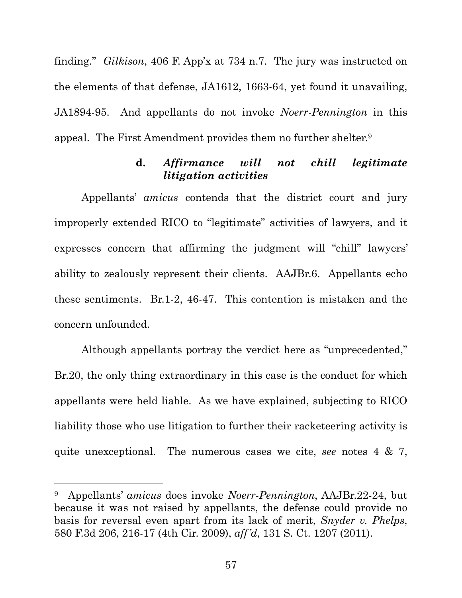finding." *Gilkison*, 406 F. App'x at 734 n.7. The jury was instructed on the elements of that defense, JA1612, 1663-64, yet found it unavailing, JA1894-95. And appellants do not invoke *Noerr*-*Pennington* in this appeal. The First Amendment provides them no further shelter. 9

### **d.** *Affirmance will not chill legitimate litigation activities*

Appellants' *amicus* contends that the district court and jury improperly extended RICO to "legitimate" activities of lawyers, and it expresses concern that affirming the judgment will "chill" lawyers' ability to zealously represent their clients. AAJBr.6. Appellants echo these sentiments. Br.1-2, 46-47. This contention is mistaken and the concern unfounded.

Although appellants portray the verdict here as "unprecedented," Br.20, the only thing extraordinary in this case is the conduct for which appellants were held liable. As we have explained, subjecting to RICO liability those who use litigation to further their racketeering activity is quite unexceptional. The numerous cases we cite, *see* notes 4 & 7,

l

<sup>9</sup> Appellants' *amicus* does invoke *Noerr-Pennington*, AAJBr.22-24, but because it was not raised by appellants, the defense could provide no basis for reversal even apart from its lack of merit, *Snyder v. Phelps*, 580 F.3d 206, 216-17 (4th Cir. 2009), *aff'd*, 131 S. Ct. 1207 (2011).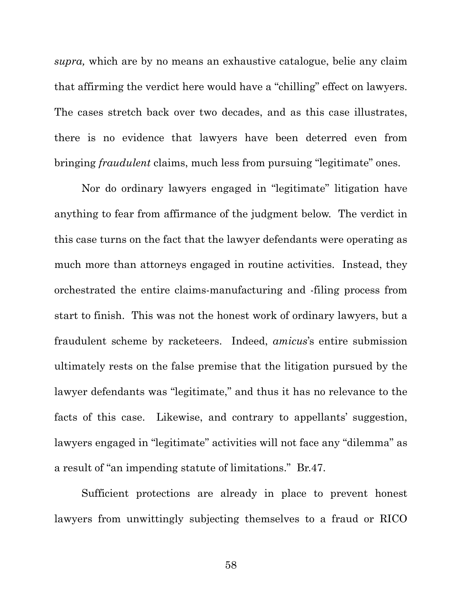*supra,* which are by no means an exhaustive catalogue, belie any claim that affirming the verdict here would have a "chilling" effect on lawyers. The cases stretch back over two decades, and as this case illustrates, there is no evidence that lawyers have been deterred even from bringing *fraudulent* claims, much less from pursuing "legitimate" ones.

Nor do ordinary lawyers engaged in "legitimate" litigation have anything to fear from affirmance of the judgment below. The verdict in this case turns on the fact that the lawyer defendants were operating as much more than attorneys engaged in routine activities. Instead, they orchestrated the entire claims-manufacturing and -filing process from start to finish. This was not the honest work of ordinary lawyers, but a fraudulent scheme by racketeers. Indeed, *amicus*'s entire submission ultimately rests on the false premise that the litigation pursued by the lawyer defendants was "legitimate," and thus it has no relevance to the facts of this case. Likewise, and contrary to appellants' suggestion, lawyers engaged in "legitimate" activities will not face any "dilemma" as a result of "an impending statute of limitations." Br.47.

Sufficient protections are already in place to prevent honest lawyers from unwittingly subjecting themselves to a fraud or RICO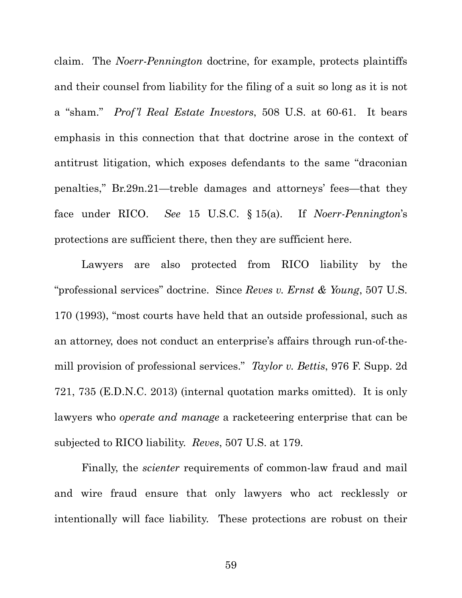claim. The *Noerr*-*Pennington* doctrine, for example, protects plaintiffs and their counsel from liability for the filing of a suit so long as it is not a "sham." *Prof'l Real Estate Investors*, 508 U.S. at 60-61. It bears emphasis in this connection that that doctrine arose in the context of antitrust litigation, which exposes defendants to the same "draconian penalties," Br.29n.21—treble damages and attorneys' fees—that they face under RICO. *See* 15 U.S.C. § 15(a). If *Noerr-Pennington*'s protections are sufficient there, then they are sufficient here.

Lawyers are also protected from RICO liability by the "professional services" doctrine. Since *Reves v. Ernst & Young*, 507 U.S. 170 (1993), "most courts have held that an outside professional, such as an attorney, does not conduct an enterprise's affairs through run-of-themill provision of professional services." *Taylor v. Bettis*, 976 F. Supp. 2d 721, 735 (E.D.N.C. 2013) (internal quotation marks omitted). It is only lawyers who *operate and manage* a racketeering enterprise that can be subjected to RICO liability. *Reves*, 507 U.S. at 179.

Finally, the *scienter* requirements of common-law fraud and mail and wire fraud ensure that only lawyers who act recklessly or intentionally will face liability. These protections are robust on their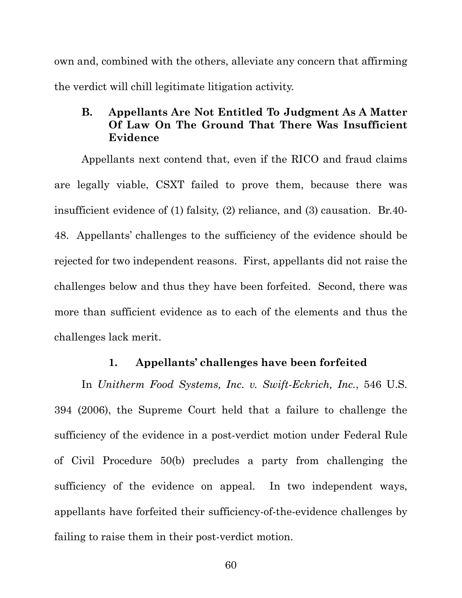own and, combined with the others, alleviate any concern that affirming the verdict will chill legitimate litigation activity.

# **B. Appellants Are Not Entitled To Judgment As A Matter Of Law On The Ground That There Was Insufficient Evidence**

Appellants next contend that, even if the RICO and fraud claims are legally viable, CSXT failed to prove them, because there was insufficient evidence of (1) falsity, (2) reliance, and (3) causation. Br.40- 48. Appellants' challenges to the sufficiency of the evidence should be rejected for two independent reasons. First, appellants did not raise the challenges below and thus they have been forfeited. Second, there was more than sufficient evidence as to each of the elements and thus the challenges lack merit.

#### **1. Appellants' challenges have been forfeited**

In *Unitherm Food Systems, Inc. v. Swift-Eckrich, Inc.*, 546 U.S. 394 (2006), the Supreme Court held that a failure to challenge the sufficiency of the evidence in a post-verdict motion under Federal Rule of Civil Procedure 50(b) precludes a party from challenging the sufficiency of the evidence on appeal. In two independent ways, appellants have forfeited their sufficiency-of-the-evidence challenges by failing to raise them in their post-verdict motion.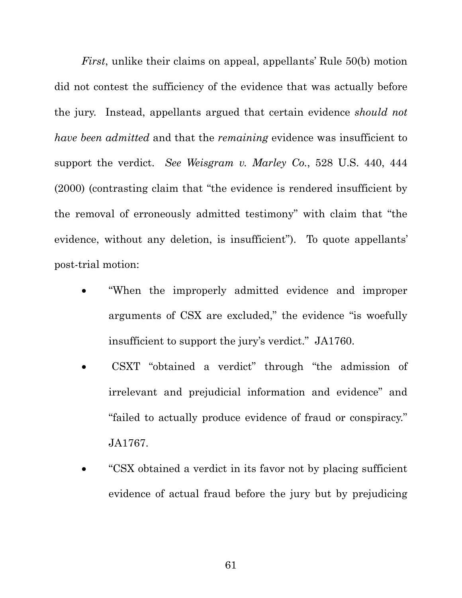*First*, unlike their claims on appeal, appellants' Rule 50(b) motion did not contest the sufficiency of the evidence that was actually before the jury. Instead, appellants argued that certain evidence *should not have been admitted* and that the *remaining* evidence was insufficient to support the verdict. *See Weisgram v. Marley Co.*, 528 U.S. 440, 444 (2000) (contrasting claim that "the evidence is rendered insufficient by the removal of erroneously admitted testimony" with claim that "the evidence, without any deletion, is insufficient"). To quote appellants' post-trial motion:

- "When the improperly admitted evidence and improper arguments of CSX are excluded," the evidence "is woefully insufficient to support the jury's verdict." JA1760.
- CSXT "obtained a verdict" through "the admission of irrelevant and prejudicial information and evidence" and "failed to actually produce evidence of fraud or conspiracy." JA1767.
- "CSX obtained a verdict in its favor not by placing sufficient evidence of actual fraud before the jury but by prejudicing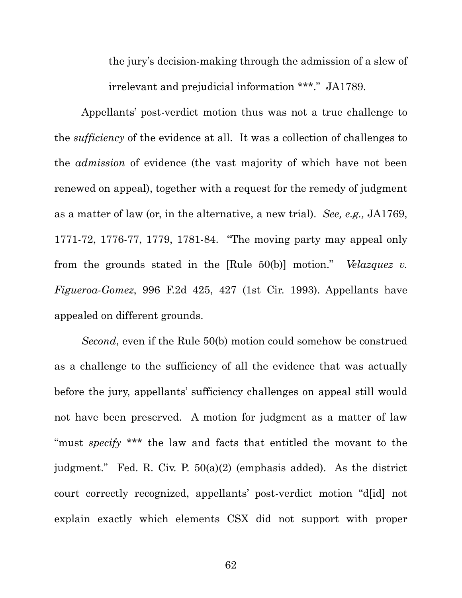the jury's decision-making through the admission of a slew of irrelevant and prejudicial information \*\*\*." JA1789.

Appellants' post-verdict motion thus was not a true challenge to the *sufficiency* of the evidence at all. It was a collection of challenges to the *admission* of evidence (the vast majority of which have not been renewed on appeal), together with a request for the remedy of judgment as a matter of law (or, in the alternative, a new trial). *See, e.g.,* JA1769, 1771-72, 1776-77, 1779, 1781-84. "The moving party may appeal only from the grounds stated in the [Rule 50(b)] motion." *Velazquez v. Figueroa-Gomez*, 996 F.2d 425, 427 (1st Cir. 1993). Appellants have appealed on different grounds.

*Second*, even if the Rule 50(b) motion could somehow be construed as a challenge to the sufficiency of all the evidence that was actually before the jury, appellants' sufficiency challenges on appeal still would not have been preserved. A motion for judgment as a matter of law "must *specify* \*\*\* the law and facts that entitled the movant to the judgment." Fed. R. Civ. P. 50(a)(2) (emphasis added). As the district court correctly recognized, appellants' post-verdict motion "d[id] not explain exactly which elements CSX did not support with proper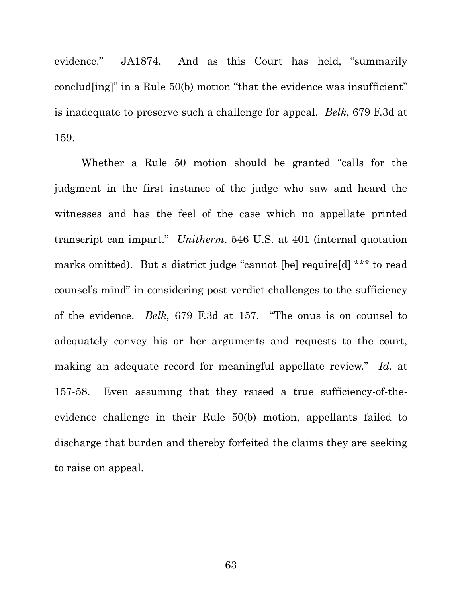evidence." JA1874. And as this Court has held, "summarily conclud[ing]" in a Rule 50(b) motion "that the evidence was insufficient" is inadequate to preserve such a challenge for appeal. *Belk*, 679 F.3d at 159.

Whether a Rule 50 motion should be granted "calls for the judgment in the first instance of the judge who saw and heard the witnesses and has the feel of the case which no appellate printed transcript can impart." *Unitherm*, 546 U.S. at 401 (internal quotation marks omitted). But a district judge "cannot [be] require[d] \*\*\* to read counsel's mind" in considering post-verdict challenges to the sufficiency of the evidence. *Belk*, 679 F.3d at 157. "The onus is on counsel to adequately convey his or her arguments and requests to the court, making an adequate record for meaningful appellate review." *Id.* at 157-58. Even assuming that they raised a true sufficiency-of-theevidence challenge in their Rule 50(b) motion, appellants failed to discharge that burden and thereby forfeited the claims they are seeking to raise on appeal.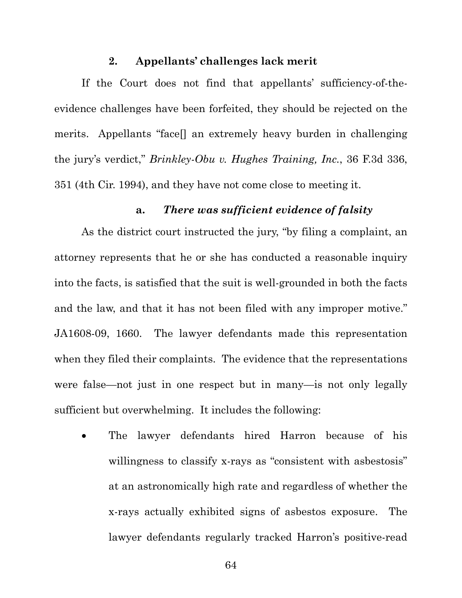#### **2. Appellants' challenges lack merit**

If the Court does not find that appellants' sufficiency-of-theevidence challenges have been forfeited, they should be rejected on the merits. Appellants "face[] an extremely heavy burden in challenging the jury's verdict," *Brinkley-Obu v. Hughes Training, Inc.*, 36 F.3d 336, 351 (4th Cir. 1994), and they have not come close to meeting it.

### **a.** *There was sufficient evidence of falsity*

As the district court instructed the jury, "by filing a complaint, an attorney represents that he or she has conducted a reasonable inquiry into the facts, is satisfied that the suit is well-grounded in both the facts and the law, and that it has not been filed with any improper motive." JA1608-09, 1660. The lawyer defendants made this representation when they filed their complaints. The evidence that the representations were false—not just in one respect but in many—is not only legally sufficient but overwhelming. It includes the following:

 The lawyer defendants hired Harron because of his willingness to classify x-rays as "consistent with asbestosis" at an astronomically high rate and regardless of whether the x-rays actually exhibited signs of asbestos exposure. The lawyer defendants regularly tracked Harron's positive-read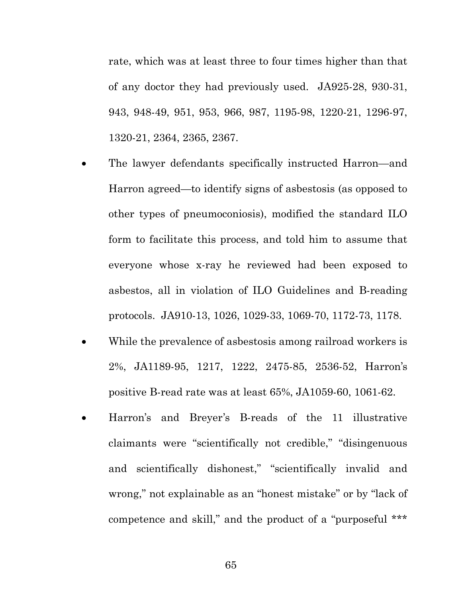rate, which was at least three to four times higher than that of any doctor they had previously used. JA925-28, 930-31, 943, 948-49, 951, 953, 966, 987, 1195-98, 1220-21, 1296-97, 1320-21, 2364, 2365, 2367.

- The lawyer defendants specifically instructed Harron—and Harron agreed—to identify signs of asbestosis (as opposed to other types of pneumoconiosis), modified the standard ILO form to facilitate this process, and told him to assume that everyone whose x-ray he reviewed had been exposed to asbestos, all in violation of ILO Guidelines and B-reading protocols. JA910-13, 1026, 1029-33, 1069-70, 1172-73, 1178.
- While the prevalence of asbestosis among railroad workers is 2%, JA1189-95, 1217, 1222, 2475-85, 2536-52, Harron's positive B-read rate was at least 65%, JA1059-60, 1061-62.
- Harron's and Breyer's B-reads of the 11 illustrative claimants were "scientifically not credible," "disingenuous and scientifically dishonest," "scientifically invalid and wrong," not explainable as an "honest mistake" or by "lack of competence and skill," and the product of a "purposeful \*\*\*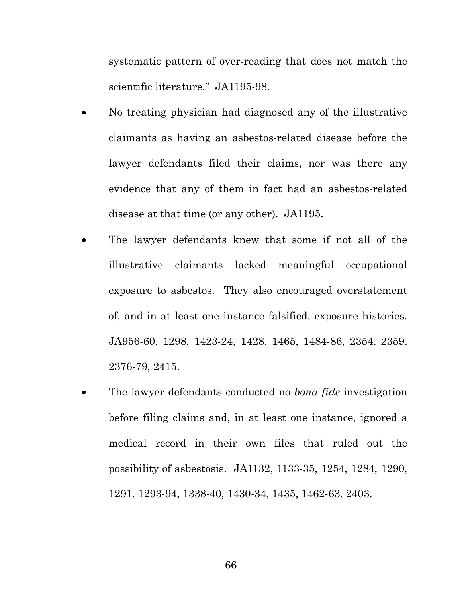systematic pattern of over-reading that does not match the scientific literature." JA1195-98.

- No treating physician had diagnosed any of the illustrative claimants as having an asbestos-related disease before the lawyer defendants filed their claims, nor was there any evidence that any of them in fact had an asbestos-related disease at that time (or any other). JA1195.
- The lawyer defendants knew that some if not all of the illustrative claimants lacked meaningful occupational exposure to asbestos. They also encouraged overstatement of, and in at least one instance falsified, exposure histories. JA956-60, 1298, 1423-24, 1428, 1465, 1484-86, 2354, 2359, 2376-79, 2415.
- The lawyer defendants conducted no *bona fide* investigation before filing claims and, in at least one instance, ignored a medical record in their own files that ruled out the possibility of asbestosis. JA1132, 1133-35, 1254, 1284, 1290, 1291, 1293-94, 1338-40, 1430-34, 1435, 1462-63, 2403.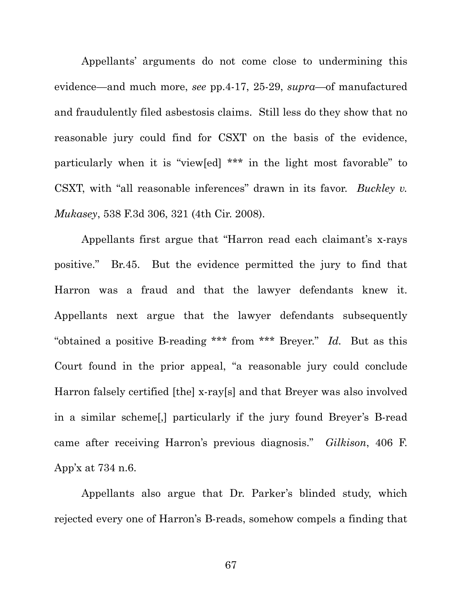Appellants' arguments do not come close to undermining this evidence—and much more, *see* pp.4-17, 25-29, *supra*—of manufactured and fraudulently filed asbestosis claims. Still less do they show that no reasonable jury could find for CSXT on the basis of the evidence, particularly when it is "view[ed] \*\*\* in the light most favorable" to CSXT, with "all reasonable inferences" drawn in its favor. *Buckley v. Mukasey*, 538 F.3d 306, 321 (4th Cir. 2008).

Appellants first argue that "Harron read each claimant's x-rays positive." Br.45. But the evidence permitted the jury to find that Harron was a fraud and that the lawyer defendants knew it. Appellants next argue that the lawyer defendants subsequently "obtained a positive B-reading \*\*\* from \*\*\* Breyer." *Id.* But as this Court found in the prior appeal, "a reasonable jury could conclude Harron falsely certified [the] x-ray[s] and that Breyer was also involved in a similar scheme[,] particularly if the jury found Breyer's B-read came after receiving Harron's previous diagnosis." *Gilkison*, 406 F. App'x at 734 n.6.

Appellants also argue that Dr. Parker's blinded study, which rejected every one of Harron's B-reads, somehow compels a finding that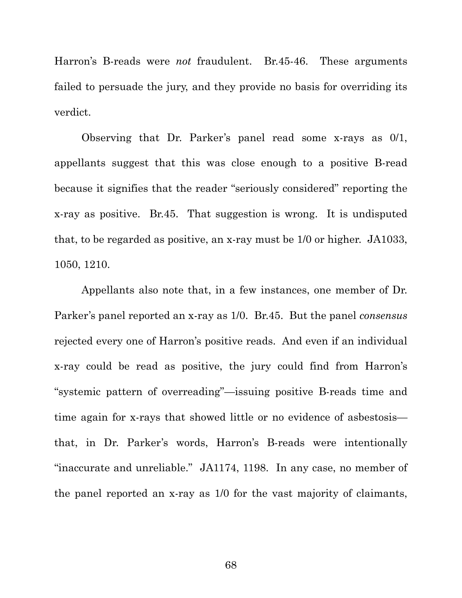Harron's B-reads were *not* fraudulent. Br.45-46. These arguments failed to persuade the jury, and they provide no basis for overriding its verdict.

Observing that Dr. Parker's panel read some x-rays as 0/1, appellants suggest that this was close enough to a positive B-read because it signifies that the reader "seriously considered" reporting the x-ray as positive. Br.45. That suggestion is wrong. It is undisputed that, to be regarded as positive, an x-ray must be 1/0 or higher. JA1033, 1050, 1210.

Appellants also note that, in a few instances, one member of Dr. Parker's panel reported an x-ray as 1/0. Br.45. But the panel *consensus* rejected every one of Harron's positive reads. And even if an individual x-ray could be read as positive, the jury could find from Harron's "systemic pattern of overreading"—issuing positive B-reads time and time again for x-rays that showed little or no evidence of asbestosis that, in Dr. Parker's words, Harron's B-reads were intentionally "inaccurate and unreliable." JA1174, 1198. In any case, no member of the panel reported an x-ray as 1/0 for the vast majority of claimants,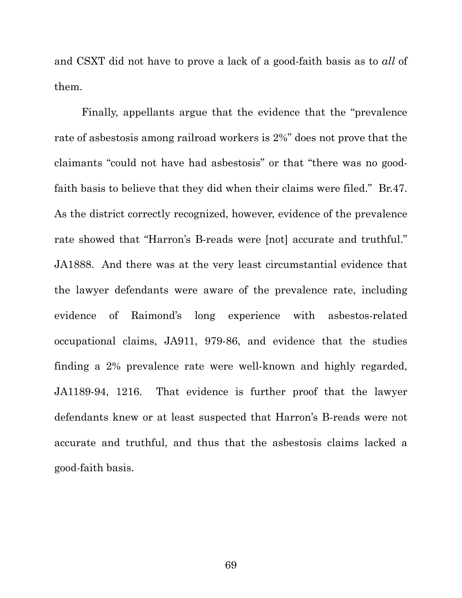and CSXT did not have to prove a lack of a good-faith basis as to *all* of them.

Finally, appellants argue that the evidence that the "prevalence rate of asbestosis among railroad workers is 2%" does not prove that the claimants "could not have had asbestosis" or that "there was no goodfaith basis to believe that they did when their claims were filed." Br.47. As the district correctly recognized, however, evidence of the prevalence rate showed that "Harron's B-reads were [not] accurate and truthful." JA1888. And there was at the very least circumstantial evidence that the lawyer defendants were aware of the prevalence rate, including evidence of Raimond's long experience with asbestos-related occupational claims, JA911, 979-86, and evidence that the studies finding a 2% prevalence rate were well-known and highly regarded, JA1189-94, 1216. That evidence is further proof that the lawyer defendants knew or at least suspected that Harron's B-reads were not accurate and truthful, and thus that the asbestosis claims lacked a good-faith basis.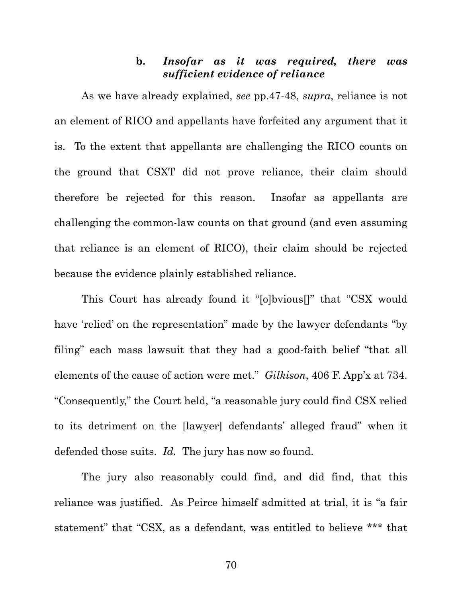## **b.** *Insofar as it was required, there was sufficient evidence of reliance*

As we have already explained, *see* pp.47-48, *supra*, reliance is not an element of RICO and appellants have forfeited any argument that it is. To the extent that appellants are challenging the RICO counts on the ground that CSXT did not prove reliance, their claim should therefore be rejected for this reason. Insofar as appellants are challenging the common-law counts on that ground (and even assuming that reliance is an element of RICO), their claim should be rejected because the evidence plainly established reliance.

This Court has already found it "[o]bvious[]" that "CSX would have 'relied' on the representation" made by the lawyer defendants "by filing" each mass lawsuit that they had a good-faith belief "that all elements of the cause of action were met." *Gilkison*, 406 F. App'x at 734. "Consequently," the Court held, "a reasonable jury could find CSX relied to its detriment on the [lawyer] defendants' alleged fraud" when it defended those suits. *Id.* The jury has now so found.

The jury also reasonably could find, and did find, that this reliance was justified. As Peirce himself admitted at trial, it is "a fair statement" that "CSX, as a defendant, was entitled to believe \*\*\* that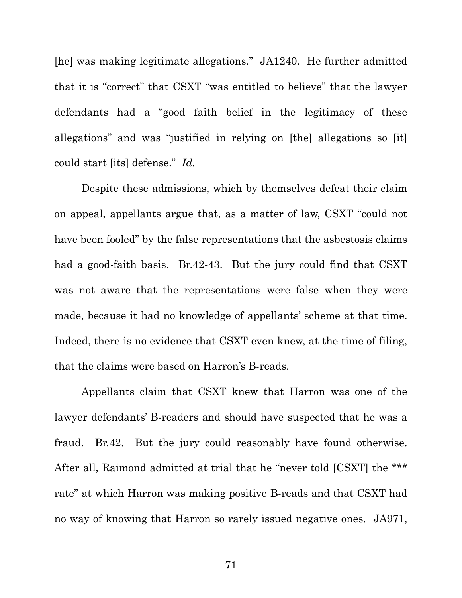[he] was making legitimate allegations." JA1240. He further admitted that it is "correct" that CSXT "was entitled to believe" that the lawyer defendants had a "good faith belief in the legitimacy of these allegations" and was "justified in relying on [the] allegations so [it] could start [its] defense." *Id.*

Despite these admissions, which by themselves defeat their claim on appeal, appellants argue that, as a matter of law, CSXT "could not have been fooled" by the false representations that the asbestosis claims had a good-faith basis. Br.42-43. But the jury could find that CSXT was not aware that the representations were false when they were made, because it had no knowledge of appellants' scheme at that time. Indeed, there is no evidence that CSXT even knew, at the time of filing, that the claims were based on Harron's B-reads.

Appellants claim that CSXT knew that Harron was one of the lawyer defendants' B-readers and should have suspected that he was a fraud. Br.42. But the jury could reasonably have found otherwise. After all, Raimond admitted at trial that he "never told [CSXT] the \*\*\* rate" at which Harron was making positive B-reads and that CSXT had no way of knowing that Harron so rarely issued negative ones. JA971,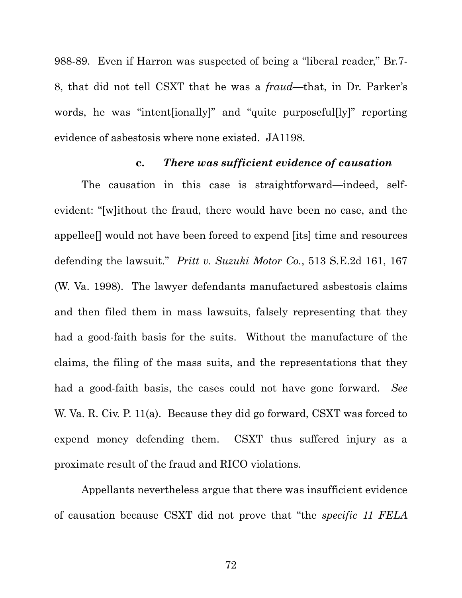988-89. Even if Harron was suspected of being a "liberal reader," Br.7- 8, that did not tell CSXT that he was a *fraud*—that, in Dr. Parker's words, he was "intent[ionally]" and "quite purposeful[ly]" reporting evidence of asbestosis where none existed. JA1198.

#### **c.** *There was sufficient evidence of causation*

The causation in this case is straightforward—indeed, selfevident: "[w]ithout the fraud, there would have been no case, and the appellee[] would not have been forced to expend [its] time and resources defending the lawsuit." *Pritt v. Suzuki Motor Co.*, 513 S.E.2d 161, 167 (W. Va. 1998). The lawyer defendants manufactured asbestosis claims and then filed them in mass lawsuits, falsely representing that they had a good-faith basis for the suits. Without the manufacture of the claims, the filing of the mass suits, and the representations that they had a good-faith basis, the cases could not have gone forward. *See*  W. Va. R. Civ. P. 11(a). Because they did go forward, CSXT was forced to expend money defending them. CSXT thus suffered injury as a proximate result of the fraud and RICO violations.

Appellants nevertheless argue that there was insufficient evidence of causation because CSXT did not prove that "the *specific 11 FELA*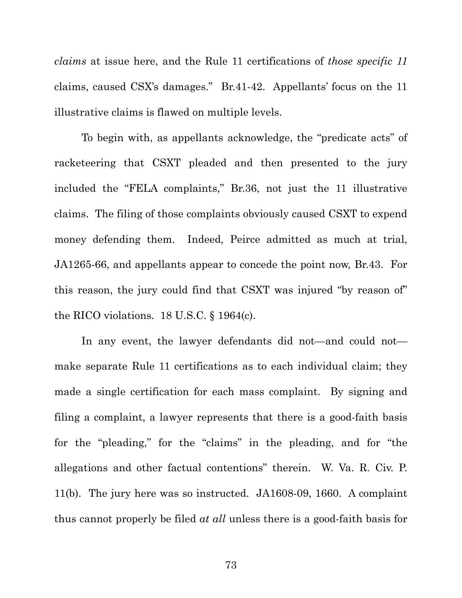*claims* at issue here, and the Rule 11 certifications of *those specific 11* claims, caused CSX's damages." Br.41-42. Appellants' focus on the 11 illustrative claims is flawed on multiple levels.

To begin with, as appellants acknowledge, the "predicate acts" of racketeering that CSXT pleaded and then presented to the jury included the "FELA complaints," Br.36, not just the 11 illustrative claims. The filing of those complaints obviously caused CSXT to expend money defending them. Indeed, Peirce admitted as much at trial, JA1265-66, and appellants appear to concede the point now, Br.43. For this reason, the jury could find that CSXT was injured "by reason of" the RICO violations. 18 U.S.C. § 1964(c).

In any event, the lawyer defendants did not—and could not make separate Rule 11 certifications as to each individual claim; they made a single certification for each mass complaint. By signing and filing a complaint, a lawyer represents that there is a good-faith basis for the "pleading," for the "claims" in the pleading, and for "the allegations and other factual contentions" therein. W. Va. R. Civ. P. 11(b). The jury here was so instructed. JA1608-09, 1660. A complaint thus cannot properly be filed *at all* unless there is a good-faith basis for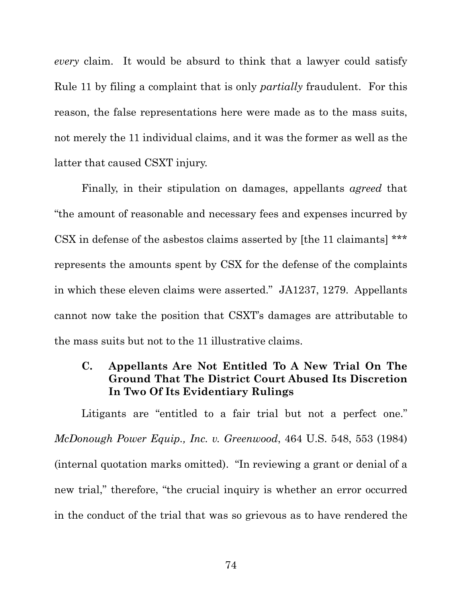*every* claim. It would be absurd to think that a lawyer could satisfy Rule 11 by filing a complaint that is only *partially* fraudulent. For this reason, the false representations here were made as to the mass suits, not merely the 11 individual claims, and it was the former as well as the latter that caused CSXT injury.

Finally, in their stipulation on damages, appellants *agreed* that "the amount of reasonable and necessary fees and expenses incurred by CSX in defense of the asbestos claims asserted by [the 11 claimants] \*\*\* represents the amounts spent by CSX for the defense of the complaints in which these eleven claims were asserted." JA1237, 1279. Appellants cannot now take the position that CSXT's damages are attributable to the mass suits but not to the 11 illustrative claims.

# **C. Appellants Are Not Entitled To A New Trial On The Ground That The District Court Abused Its Discretion In Two Of Its Evidentiary Rulings**

Litigants are "entitled to a fair trial but not a perfect one." *McDonough Power Equip., Inc. v. Greenwood*, 464 U.S. 548, 553 (1984) (internal quotation marks omitted). "In reviewing a grant or denial of a new trial," therefore, "the crucial inquiry is whether an error occurred in the conduct of the trial that was so grievous as to have rendered the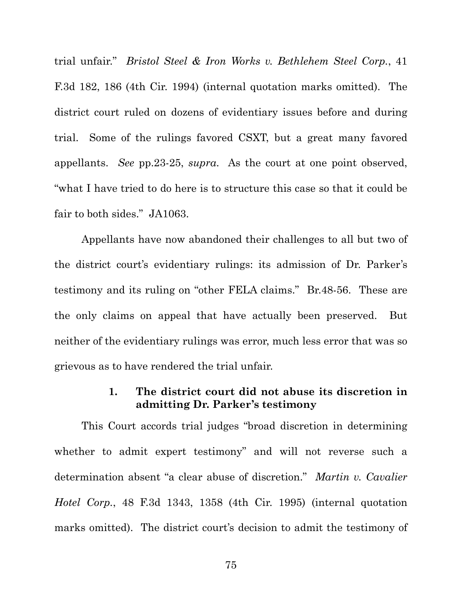trial unfair." *Bristol Steel & Iron Works v. Bethlehem Steel Corp.*, 41 F.3d 182, 186 (4th Cir. 1994) (internal quotation marks omitted). The district court ruled on dozens of evidentiary issues before and during trial. Some of the rulings favored CSXT, but a great many favored appellants. *See* pp.23-25, *supra*. As the court at one point observed, "what I have tried to do here is to structure this case so that it could be fair to both sides." JA1063.

Appellants have now abandoned their challenges to all but two of the district court's evidentiary rulings: its admission of Dr. Parker's testimony and its ruling on "other FELA claims." Br.48-56. These are the only claims on appeal that have actually been preserved. But neither of the evidentiary rulings was error, much less error that was so grievous as to have rendered the trial unfair.

### **1. The district court did not abuse its discretion in admitting Dr. Parker's testimony**

This Court accords trial judges "broad discretion in determining whether to admit expert testimony" and will not reverse such a determination absent "a clear abuse of discretion." *Martin v. Cavalier Hotel Corp.*, 48 F.3d 1343, 1358 (4th Cir. 1995) (internal quotation marks omitted). The district court's decision to admit the testimony of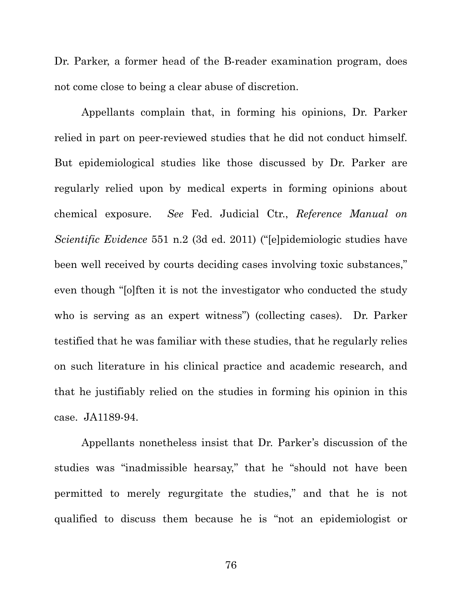Dr. Parker, a former head of the B-reader examination program, does not come close to being a clear abuse of discretion.

Appellants complain that, in forming his opinions, Dr. Parker relied in part on peer-reviewed studies that he did not conduct himself. But epidemiological studies like those discussed by Dr. Parker are regularly relied upon by medical experts in forming opinions about chemical exposure. *See* Fed. Judicial Ctr., *Reference Manual on Scientific Evidence* 551 n.2 (3d ed. 2011) ("[e]pidemiologic studies have been well received by courts deciding cases involving toxic substances," even though "[o]ften it is not the investigator who conducted the study who is serving as an expert witness") (collecting cases). Dr. Parker testified that he was familiar with these studies, that he regularly relies on such literature in his clinical practice and academic research, and that he justifiably relied on the studies in forming his opinion in this case. JA1189-94.

Appellants nonetheless insist that Dr. Parker's discussion of the studies was "inadmissible hearsay," that he "should not have been permitted to merely regurgitate the studies," and that he is not qualified to discuss them because he is "not an epidemiologist or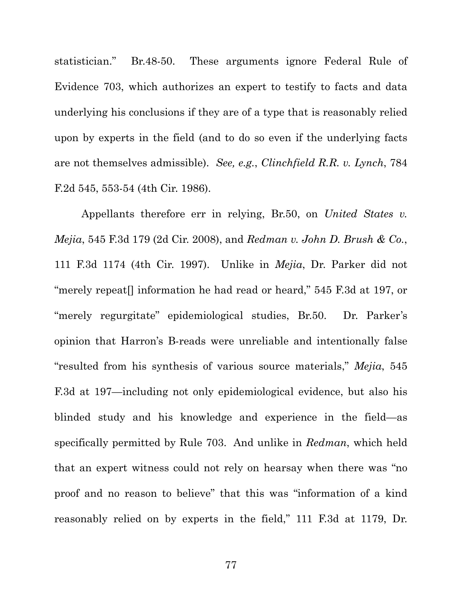statistician." Br.48-50. These arguments ignore Federal Rule of Evidence 703, which authorizes an expert to testify to facts and data underlying his conclusions if they are of a type that is reasonably relied upon by experts in the field (and to do so even if the underlying facts are not themselves admissible). *See, e.g.*, *Clinchfield R.R. v. Lynch*, 784 F.2d 545, 553-54 (4th Cir. 1986).

Appellants therefore err in relying, Br.50, on *United States v. Mejia*, 545 F.3d 179 (2d Cir. 2008), and *Redman v. John D. Brush & Co.*, 111 F.3d 1174 (4th Cir. 1997). Unlike in *Mejia*, Dr. Parker did not "merely repeat[] information he had read or heard," 545 F.3d at 197, or "merely regurgitate" epidemiological studies, Br.50. Dr. Parker's opinion that Harron's B-reads were unreliable and intentionally false "resulted from his synthesis of various source materials," *Mejia*, 545 F.3d at 197—including not only epidemiological evidence, but also his blinded study and his knowledge and experience in the field—as specifically permitted by Rule 703. And unlike in *Redman*, which held that an expert witness could not rely on hearsay when there was "no proof and no reason to believe" that this was "information of a kind reasonably relied on by experts in the field," 111 F.3d at 1179, Dr.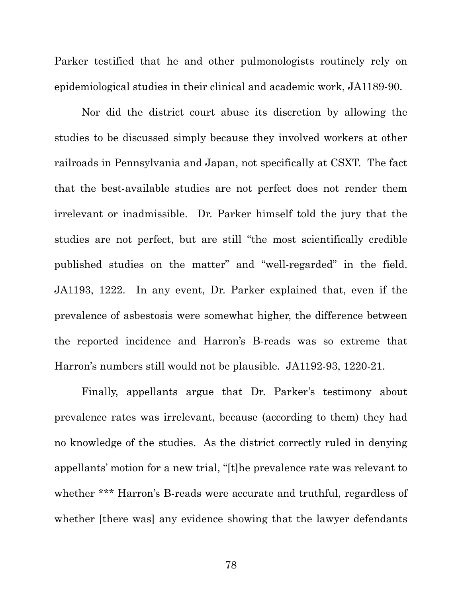Parker testified that he and other pulmonologists routinely rely on epidemiological studies in their clinical and academic work, JA1189-90.

Nor did the district court abuse its discretion by allowing the studies to be discussed simply because they involved workers at other railroads in Pennsylvania and Japan, not specifically at CSXT. The fact that the best-available studies are not perfect does not render them irrelevant or inadmissible. Dr. Parker himself told the jury that the studies are not perfect, but are still "the most scientifically credible published studies on the matter" and "well-regarded" in the field. JA1193, 1222. In any event, Dr. Parker explained that, even if the prevalence of asbestosis were somewhat higher, the difference between the reported incidence and Harron's B-reads was so extreme that Harron's numbers still would not be plausible. JA1192-93, 1220-21.

Finally, appellants argue that Dr. Parker's testimony about prevalence rates was irrelevant, because (according to them) they had no knowledge of the studies. As the district correctly ruled in denying appellants' motion for a new trial, "[t]he prevalence rate was relevant to whether \*\*\* Harron's B-reads were accurate and truthful, regardless of whether [there was] any evidence showing that the lawyer defendants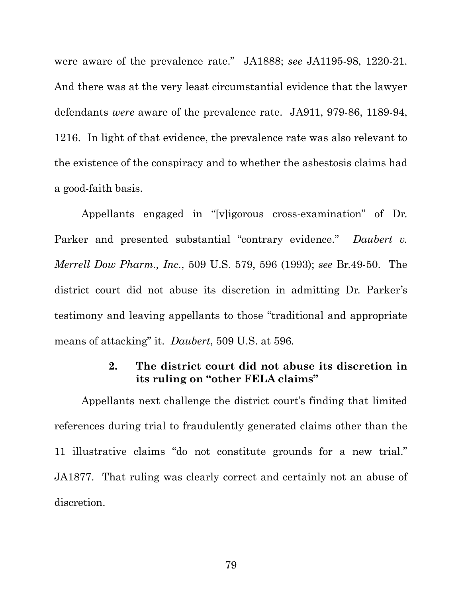were aware of the prevalence rate." JA1888; *see* JA1195-98, 1220-21. And there was at the very least circumstantial evidence that the lawyer defendants *were* aware of the prevalence rate. JA911, 979-86, 1189-94, 1216. In light of that evidence, the prevalence rate was also relevant to the existence of the conspiracy and to whether the asbestosis claims had a good-faith basis.

Appellants engaged in "[v]igorous cross-examination" of Dr. Parker and presented substantial "contrary evidence." *Daubert v. Merrell Dow Pharm., Inc.*, 509 U.S. 579, 596 (1993); *see* Br.49-50. The district court did not abuse its discretion in admitting Dr. Parker's testimony and leaving appellants to those "traditional and appropriate means of attacking" it. *Daubert*, 509 U.S. at 596*.* 

## **2. The district court did not abuse its discretion in its ruling on "other FELA claims"**

Appellants next challenge the district court's finding that limited references during trial to fraudulently generated claims other than the 11 illustrative claims "do not constitute grounds for a new trial." JA1877. That ruling was clearly correct and certainly not an abuse of discretion.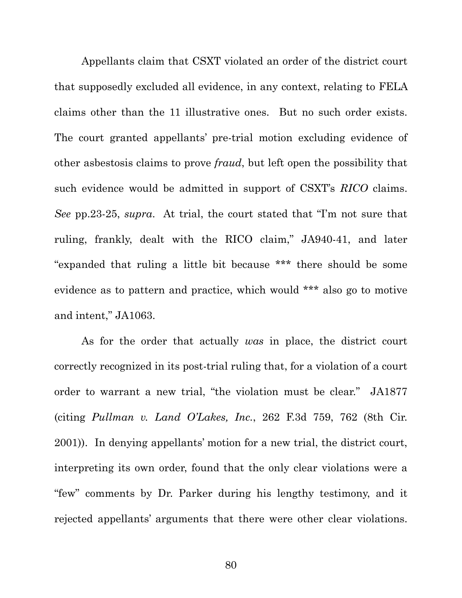Appellants claim that CSXT violated an order of the district court that supposedly excluded all evidence, in any context, relating to FELA claims other than the 11 illustrative ones. But no such order exists. The court granted appellants' pre-trial motion excluding evidence of other asbestosis claims to prove *fraud*, but left open the possibility that such evidence would be admitted in support of CSXT's *RICO* claims. *See* pp.23-25, *supra*. At trial, the court stated that "I'm not sure that ruling, frankly, dealt with the RICO claim," JA940-41, and later "expanded that ruling a little bit because \*\*\* there should be some evidence as to pattern and practice, which would \*\*\* also go to motive and intent," JA1063.

As for the order that actually *was* in place, the district court correctly recognized in its post-trial ruling that, for a violation of a court order to warrant a new trial, "the violation must be clear." JA1877 (citing *Pullman v. Land O'Lakes, Inc.*, 262 F.3d 759, 762 (8th Cir. 2001)). In denying appellants' motion for a new trial, the district court, interpreting its own order, found that the only clear violations were a "few" comments by Dr. Parker during his lengthy testimony, and it rejected appellants' arguments that there were other clear violations.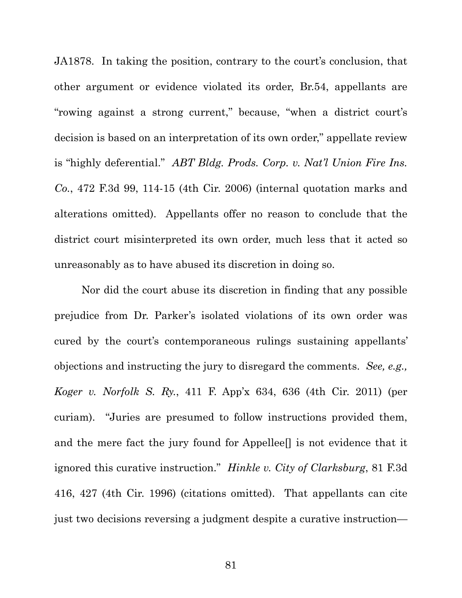JA1878. In taking the position, contrary to the court's conclusion, that other argument or evidence violated its order, Br.54, appellants are "rowing against a strong current," because, "when a district court's decision is based on an interpretation of its own order," appellate review is "highly deferential." *ABT Bldg. Prods. Corp. v. Nat'l Union Fire Ins. Co.*, 472 F.3d 99, 114-15 (4th Cir. 2006) (internal quotation marks and alterations omitted). Appellants offer no reason to conclude that the district court misinterpreted its own order, much less that it acted so unreasonably as to have abused its discretion in doing so.

Nor did the court abuse its discretion in finding that any possible prejudice from Dr. Parker's isolated violations of its own order was cured by the court's contemporaneous rulings sustaining appellants' objections and instructing the jury to disregard the comments. *See, e.g., Koger v. Norfolk S. Ry.*, 411 F. App'x 634, 636 (4th Cir. 2011) (per curiam). "Juries are presumed to follow instructions provided them, and the mere fact the jury found for Appellee[] is not evidence that it ignored this curative instruction." *Hinkle v. City of Clarksburg*, 81 F.3d 416, 427 (4th Cir. 1996) (citations omitted). That appellants can cite just two decisions reversing a judgment despite a curative instruction—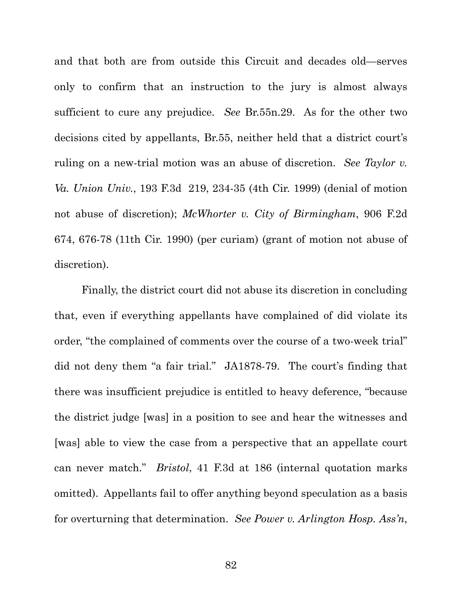and that both are from outside this Circuit and decades old—serves only to confirm that an instruction to the jury is almost always sufficient to cure any prejudice. *See* Br.55n.29. As for the other two decisions cited by appellants, Br.55, neither held that a district court's ruling on a new-trial motion was an abuse of discretion. *See Taylor v. Va. Union Univ.*, 193 F.3d 219, 234-35 (4th Cir. 1999) (denial of motion not abuse of discretion); *McWhorter v. City of Birmingham*, 906 F.2d 674, 676-78 (11th Cir. 1990) (per curiam) (grant of motion not abuse of discretion).

Finally, the district court did not abuse its discretion in concluding that, even if everything appellants have complained of did violate its order, "the complained of comments over the course of a two-week trial" did not deny them "a fair trial." JA1878-79. The court's finding that there was insufficient prejudice is entitled to heavy deference, "because the district judge [was] in a position to see and hear the witnesses and [was] able to view the case from a perspective that an appellate court can never match." *Bristol*, 41 F.3d at 186 (internal quotation marks omitted). Appellants fail to offer anything beyond speculation as a basis for overturning that determination. *See Power v. Arlington Hosp. Ass'n*,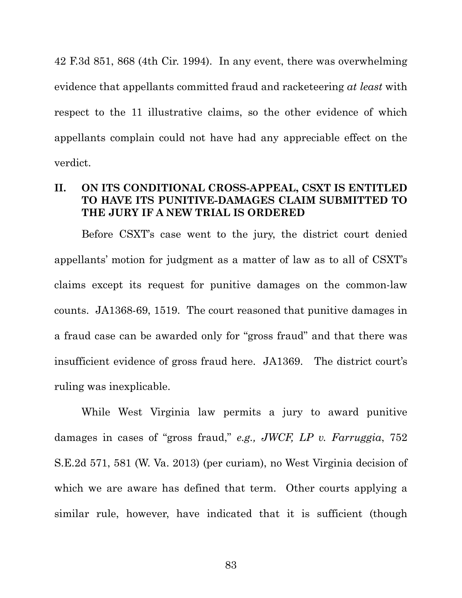42 F.3d 851, 868 (4th Cir. 1994). In any event, there was overwhelming evidence that appellants committed fraud and racketeering *at least* with respect to the 11 illustrative claims, so the other evidence of which appellants complain could not have had any appreciable effect on the verdict.

## **II. ON ITS CONDITIONAL CROSS-APPEAL, CSXT IS ENTITLED TO HAVE ITS PUNITIVE-DAMAGES CLAIM SUBMITTED TO THE JURY IF A NEW TRIAL IS ORDERED**

Before CSXT's case went to the jury, the district court denied appellants' motion for judgment as a matter of law as to all of CSXT's claims except its request for punitive damages on the common-law counts. JA1368-69, 1519. The court reasoned that punitive damages in a fraud case can be awarded only for "gross fraud" and that there was insufficient evidence of gross fraud here. JA1369. The district court's ruling was inexplicable.

While West Virginia law permits a jury to award punitive damages in cases of "gross fraud," *e.g., JWCF, LP v. Farruggia*, 752 S.E.2d 571, 581 (W. Va. 2013) (per curiam), no West Virginia decision of which we are aware has defined that term. Other courts applying a similar rule, however, have indicated that it is sufficient (though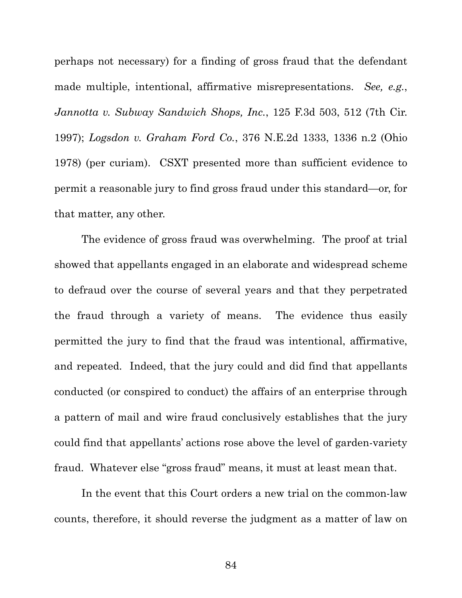perhaps not necessary) for a finding of gross fraud that the defendant made multiple, intentional, affirmative misrepresentations. *See, e.g.*, *Jannotta v. Subway Sandwich Shops, Inc.*, 125 F.3d 503, 512 (7th Cir. 1997); *Logsdon v. Graham Ford Co.*, 376 N.E.2d 1333, 1336 n.2 (Ohio 1978) (per curiam). CSXT presented more than sufficient evidence to permit a reasonable jury to find gross fraud under this standard—or, for that matter, any other.

The evidence of gross fraud was overwhelming. The proof at trial showed that appellants engaged in an elaborate and widespread scheme to defraud over the course of several years and that they perpetrated the fraud through a variety of means. The evidence thus easily permitted the jury to find that the fraud was intentional, affirmative, and repeated. Indeed, that the jury could and did find that appellants conducted (or conspired to conduct) the affairs of an enterprise through a pattern of mail and wire fraud conclusively establishes that the jury could find that appellants' actions rose above the level of garden-variety fraud. Whatever else "gross fraud" means, it must at least mean that.

In the event that this Court orders a new trial on the common-law counts, therefore, it should reverse the judgment as a matter of law on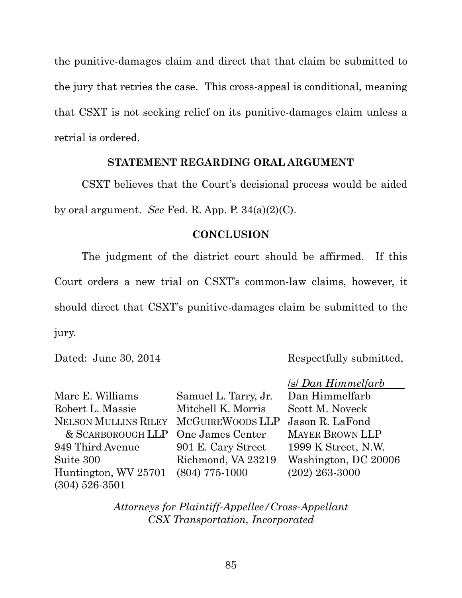the punitive-damages claim and direct that that claim be submitted to the jury that retries the case. This cross-appeal is conditional, meaning that CSXT is not seeking relief on its punitive-damages claim unless a retrial is ordered.

#### **STATEMENT REGARDING ORAL ARGUMENT**

CSXT believes that the Court's decisional process would be aided by oral argument. *See* Fed. R. App. P. 34(a)(2)(C).

#### **CONCLUSION**

The judgment of the district court should be affirmed. If this Court orders a new trial on CSXT's common-law claims, however, it should direct that CSXT's punitive-damages claim be submitted to the jury.

Dated: June 30, 2014 Respectfully submitted,

/s/ *Dan Himmelfarb*

Marc E. Williams Robert L. Massie NELSON MULLINS RILEY MCGUIREWOODS LLP & SCARBOROUGH LLP One James Center 949 Third Avenue Suite 300 Huntington, WV 25701 (304) 526-3501

Samuel L. Tarry, Jr. Mitchell K. Morris 901 E. Cary Street Richmond, VA 23219 (804) 775-1000

Dan Himmelfarb Scott M. Noveck Jason R. LaFond MAYER BROWN LLP 1999 K Street, N.W. Washington, DC 20006 (202) 263-3000

*Attorneys for Plaintiff-Appellee/Cross-Appellant CSX Transportation, Incorporated*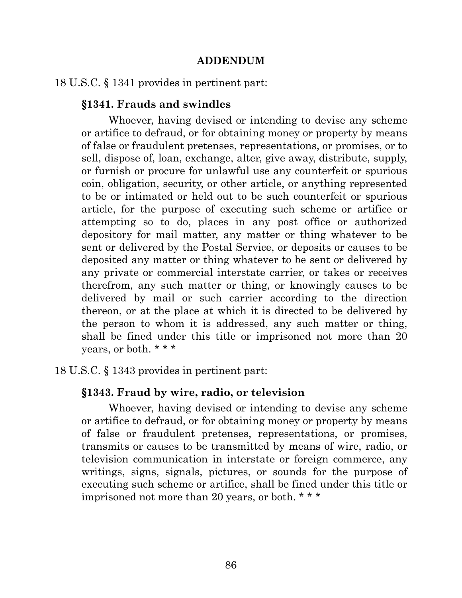### **ADDENDUM**

### 18 U.S.C. § 1341 provides in pertinent part:

### **§1341. Frauds and swindles**

Whoever, having devised or intending to devise any scheme or artifice to defraud, or for obtaining money or property by means of false or fraudulent pretenses, representations, or promises, or to sell, dispose of, loan, exchange, alter, give away, distribute, supply, or furnish or procure for unlawful use any counterfeit or spurious coin, obligation, security, or other article, or anything represented to be or intimated or held out to be such counterfeit or spurious article, for the purpose of executing such scheme or artifice or attempting so to do, places in any post office or authorized depository for mail matter, any matter or thing whatever to be sent or delivered by the Postal Service, or deposits or causes to be deposited any matter or thing whatever to be sent or delivered by any private or commercial interstate carrier, or takes or receives therefrom, any such matter or thing, or knowingly causes to be delivered by mail or such carrier according to the direction thereon, or at the place at which it is directed to be delivered by the person to whom it is addressed, any such matter or thing, shall be fined under this title or imprisoned not more than 20 years, or both. \* \* \*

### 18 U.S.C. § 1343 provides in pertinent part:

# **§1343. Fraud by wire, radio, or television**

Whoever, having devised or intending to devise any scheme or artifice to defraud, or for obtaining money or property by means of false or fraudulent pretenses, representations, or promises, transmits or causes to be transmitted by means of wire, radio, or television communication in interstate or foreign commerce, any writings, signs, signals, pictures, or sounds for the purpose of executing such scheme or artifice, shall be fined under this title or imprisoned not more than 20 years, or both. \* \* \*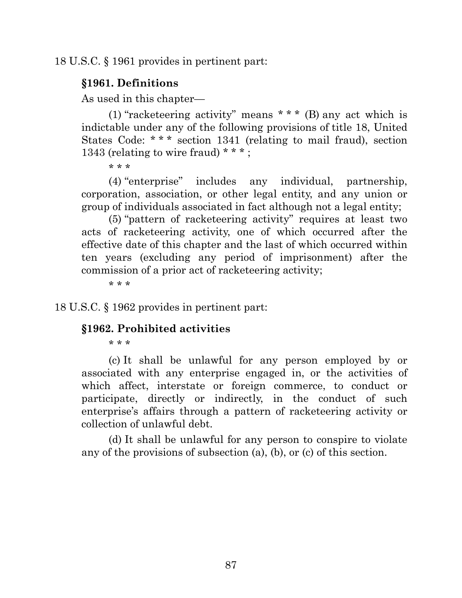18 U.S.C. § 1961 provides in pertinent part:

# **§1961. Definitions**

As used in this chapter—

(1) "racketeering activity" means \* \* \* (B) any act which is indictable under any of the following provisions of title 18, United States Code: \*\*\* section 1341 (relating to mail fraud), section 1343 (relating to wire fraud) \* \* \* ;

\* \* \*

(4) "enterprise" includes any individual, partnership, corporation, association, or other legal entity, and any union or group of individuals associated in fact although not a legal entity;

(5) "pattern of racketeering activity" requires at least two acts of racketeering activity, one of which occurred after the effective date of this chapter and the last of which occurred within ten years (excluding any period of imprisonment) after the commission of a prior act of racketeering activity;

\* \* \*

18 U.S.C. § 1962 provides in pertinent part:

# **§1962. Prohibited activities**

\* \* \*

(c) It shall be unlawful for any person employed by or associated with any enterprise engaged in, or the activities of which affect, interstate or foreign commerce, to conduct or participate, directly or indirectly, in the conduct of such enterprise's affairs through a pattern of racketeering activity or collection of unlawful debt.

(d) It shall be unlawful for any person to conspire to violate any of the provisions of subsection (a), (b), or (c) of this section.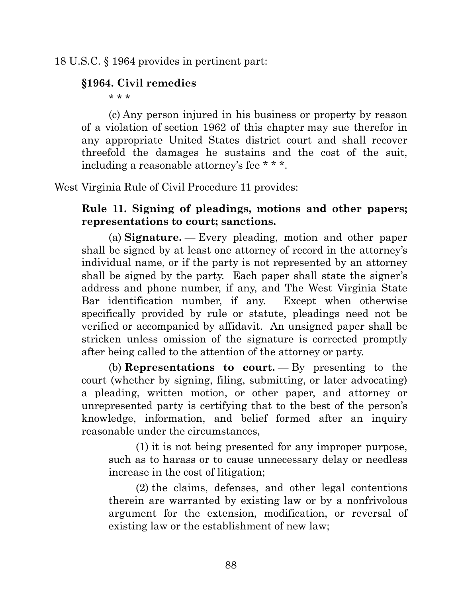18 U.S.C. § 1964 provides in pertinent part:

# **§1964. Civil remedies**

\* \* \*

(c) Any person injured in his business or property by reason of a violation of section 1962 of this chapter may sue therefor in any appropriate United States district court and shall recover threefold the damages he sustains and the cost of the suit, including a reasonable attorney's fee \* \* \*.

West Virginia Rule of Civil Procedure 11 provides:

# **Rule 11. Signing of pleadings, motions and other papers; representations to court; sanctions.**

(a) **Signature.** — Every pleading, motion and other paper shall be signed by at least one attorney of record in the attorney's individual name, or if the party is not represented by an attorney shall be signed by the party. Each paper shall state the signer's address and phone number, if any, and The West Virginia State Bar identification number, if any. Except when otherwise specifically provided by rule or statute, pleadings need not be verified or accompanied by affidavit. An unsigned paper shall be stricken unless omission of the signature is corrected promptly after being called to the attention of the attorney or party.

(b) **Representations to court.** — By presenting to the court (whether by signing, filing, submitting, or later advocating) a pleading, written motion, or other paper, and attorney or unrepresented party is certifying that to the best of the person's knowledge, information, and belief formed after an inquiry reasonable under the circumstances,

(1) it is not being presented for any improper purpose, such as to harass or to cause unnecessary delay or needless increase in the cost of litigation;

(2) the claims, defenses, and other legal contentions therein are warranted by existing law or by a nonfrivolous argument for the extension, modification, or reversal of existing law or the establishment of new law;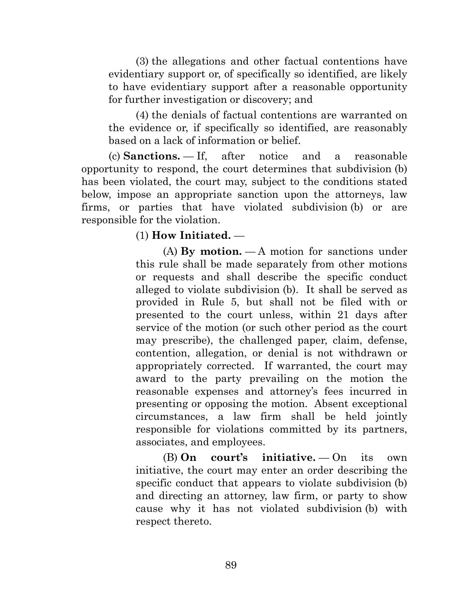(3) the allegations and other factual contentions have evidentiary support or, of specifically so identified, are likely to have evidentiary support after a reasonable opportunity for further investigation or discovery; and

(4) the denials of factual contentions are warranted on the evidence or, if specifically so identified, are reasonably based on a lack of information or belief.

(c) **Sanctions.** — If, after notice and a reasonable opportunity to respond, the court determines that subdivision (b) has been violated, the court may, subject to the conditions stated below, impose an appropriate sanction upon the attorneys, law firms, or parties that have violated subdivision (b) or are responsible for the violation.

## (1) **How Initiated.** —

(A) **By motion.** — A motion for sanctions under this rule shall be made separately from other motions or requests and shall describe the specific conduct alleged to violate subdivision (b). It shall be served as provided in Rule 5, but shall not be filed with or presented to the court unless, within 21 days after service of the motion (or such other period as the court may prescribe), the challenged paper, claim, defense, contention, allegation, or denial is not withdrawn or appropriately corrected. If warranted, the court may award to the party prevailing on the motion the reasonable expenses and attorney's fees incurred in presenting or opposing the motion. Absent exceptional circumstances, a law firm shall be held jointly responsible for violations committed by its partners, associates, and employees.

(B) **On court's initiative.** — On its own initiative, the court may enter an order describing the specific conduct that appears to violate subdivision (b) and directing an attorney, law firm, or party to show cause why it has not violated subdivision (b) with respect thereto.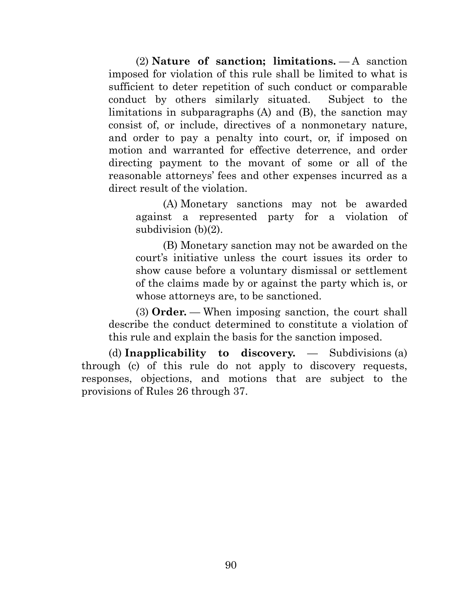(2) **Nature of sanction; limitations.** — A sanction imposed for violation of this rule shall be limited to what is sufficient to deter repetition of such conduct or comparable conduct by others similarly situated. Subject to the limitations in subparagraphs (A) and (B), the sanction may consist of, or include, directives of a nonmonetary nature, and order to pay a penalty into court, or, if imposed on motion and warranted for effective deterrence, and order directing payment to the movant of some or all of the reasonable attorneys' fees and other expenses incurred as a direct result of the violation.

(A) Monetary sanctions may not be awarded against a represented party for a violation of subdivision (b)(2).

(B) Monetary sanction may not be awarded on the court's initiative unless the court issues its order to show cause before a voluntary dismissal or settlement of the claims made by or against the party which is, or whose attorneys are, to be sanctioned.

(3) **Order.** — When imposing sanction, the court shall describe the conduct determined to constitute a violation of this rule and explain the basis for the sanction imposed.

(d) **Inapplicability to discovery.** — Subdivisions (a) through (c) of this rule do not apply to discovery requests, responses, objections, and motions that are subject to the provisions of Rules 26 through 37.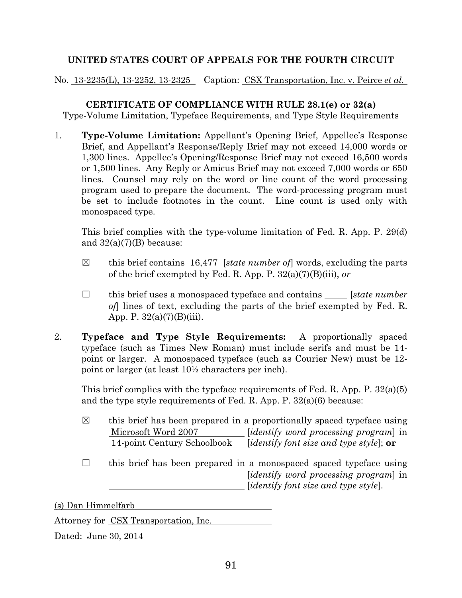### **UNITED STATES COURT OF APPEALS FOR THE FOURTH CIRCUIT**

No. 13-2235(L), 13-2252, 13-2325 Caption: CSX Transportation, Inc. v. Peirce *et al.*

**CERTIFICATE OF COMPLIANCE WITH RULE 28.1(e) or 32(a)** Type-Volume Limitation, Typeface Requirements, and Type Style Requirements

1. **Type-Volume Limitation:** Appellant's Opening Brief, Appellee's Response Brief, and Appellant's Response/Reply Brief may not exceed 14,000 words or 1,300 lines. Appellee's Opening/Response Brief may not exceed 16,500 words or 1,500 lines. Any Reply or Amicus Brief may not exceed 7,000 words or 650 lines. Counsel may rely on the word or line count of the word processing program used to prepare the document. The word-processing program must be set to include footnotes in the count. Line count is used only with monospaced type.

This brief complies with the type-volume limitation of Fed. R. App. P. 29(d) and  $32(a)(7)(B)$  because:

- ☒ this brief contains 16,477 [*state number of*] words, excluding the parts of the brief exempted by Fed. R. App. P. 32(a)(7)(B)(iii), *or*
- ☐ this brief uses a monospaced typeface and contains [*state number of*] lines of text, excluding the parts of the brief exempted by Fed. R. App. P.  $32(a)(7)(B)(iii)$ .
- 2. **Typeface and Type Style Requirements:** A proportionally spaced typeface (such as Times New Roman) must include serifs and must be 14 point or larger. A monospaced typeface (such as Courier New) must be 12 point or larger (at least 10½ characters per inch).

This brief complies with the typeface requirements of Fed. R. App. P. 32(a)(5) and the type style requirements of Fed. R. App. P. 32(a)(6) because:

- $\boxtimes$  this brief has been prepared in a proportionally spaced typeface using Microsoft Word 2007 [*identify word processing program*] in 14-point Century Schoolbook [*identify font size and type style*]; **or**
- $\Box$  this brief has been prepared in a monospaced spaced typeface using [*identify word processing program*] in [*identify font size and type style*].

(s) Dan Himmelfarb

Attorney for CSX Transportation, Inc.

Dated: June 30, 2014